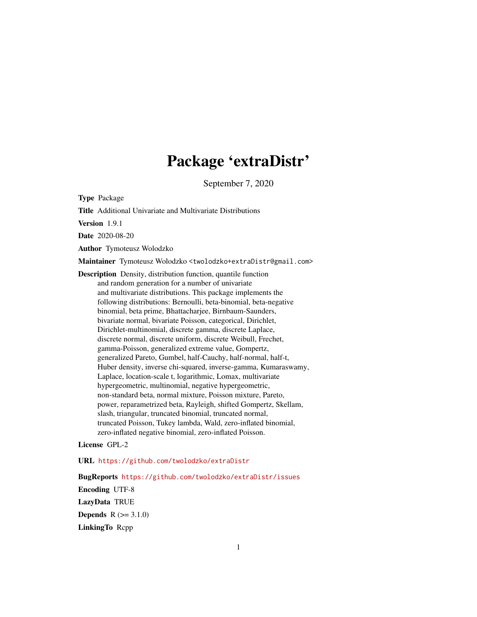# Package 'extraDistr'

September 7, 2020

<span id="page-0-0"></span>Type Package

Title Additional Univariate and Multivariate Distributions

Version 1.9.1

Date 2020-08-20

Author Tymoteusz Wolodzko

Maintainer Tymoteusz Wolodzko <twolodzko+extraDistr@gmail.com>

Description Density, distribution function, quantile function and random generation for a number of univariate and multivariate distributions. This package implements the following distributions: Bernoulli, beta-binomial, beta-negative binomial, beta prime, Bhattacharjee, Birnbaum-Saunders, bivariate normal, bivariate Poisson, categorical, Dirichlet, Dirichlet-multinomial, discrete gamma, discrete Laplace, discrete normal, discrete uniform, discrete Weibull, Frechet, gamma-Poisson, generalized extreme value, Gompertz, generalized Pareto, Gumbel, half-Cauchy, half-normal, half-t, Huber density, inverse chi-squared, inverse-gamma, Kumaraswamy, Laplace, location-scale t, logarithmic, Lomax, multivariate hypergeometric, multinomial, negative hypergeometric, non-standard beta, normal mixture, Poisson mixture, Pareto, power, reparametrized beta, Rayleigh, shifted Gompertz, Skellam, slash, triangular, truncated binomial, truncated normal, truncated Poisson, Tukey lambda, Wald, zero-inflated binomial, zero-inflated negative binomial, zero-inflated Poisson.

### License GPL-2

URL <https://github.com/twolodzko/extraDistr>

BugReports <https://github.com/twolodzko/extraDistr/issues> Encoding UTF-8 LazyData TRUE **Depends**  $R (= 3.1.0)$ LinkingTo Rcpp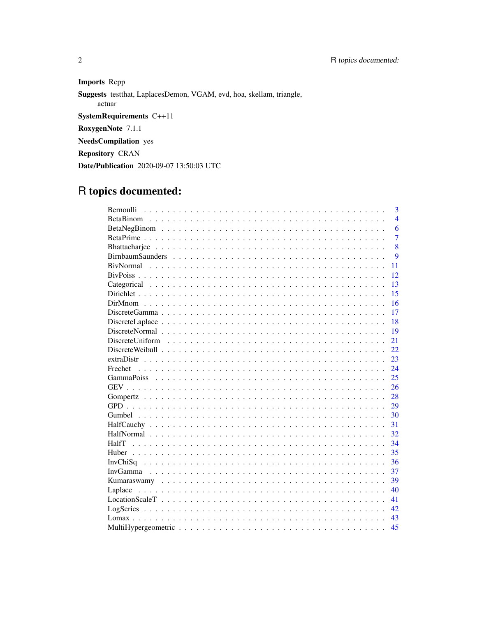Imports Repp

Suggests testthat, LaplacesDemon, VGAM, evd, hoa, skellam, triangle,

actuar

SystemRequirements C++11

RoxygenNote 7.1.1

NeedsCompilation yes

**Repository CRAN** 

Date/Publication 2020-09-07 13:50:03 UTC

# R topics documented:

| $\overline{3}$<br>Bernoulli |
|-----------------------------|
| $\overline{4}$              |
| 6                           |
| $\overline{7}$              |
| 8                           |
| 9                           |
| <b>BivNormal</b><br>11      |
| 12                          |
| 13                          |
| 15                          |
| 16                          |
| 17                          |
| 18                          |
| 19                          |
| 21                          |
| 22                          |
| 23<br>extraDistr            |
| 24<br>Frechet               |
| 25                          |
| 26                          |
| 28                          |
| 29                          |
| 30                          |
| 31                          |
| 32                          |
| 34<br>HalfT                 |
| 35                          |
| 36                          |
| 37                          |
| 39                          |
| 40<br>Laplace               |
| 41                          |
| 42                          |
| 43                          |
| 45                          |

 $\sqrt{2}$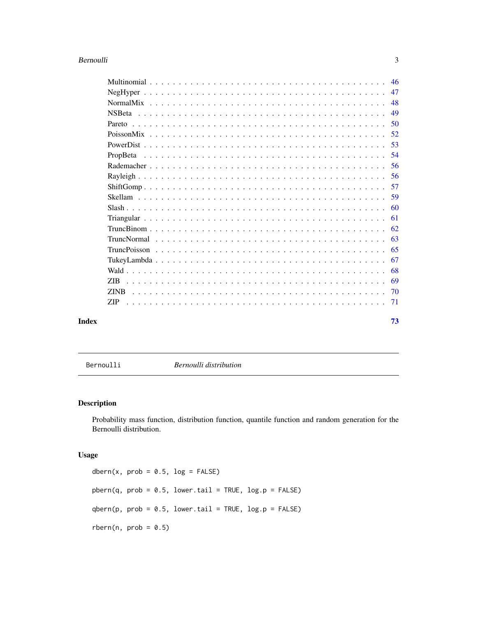#### <span id="page-2-0"></span>Bernoulli 3

|       |             | 50  |
|-------|-------------|-----|
|       |             |     |
|       |             |     |
|       | PropBeta    |     |
|       |             |     |
|       |             |     |
|       |             |     |
|       |             | .59 |
|       |             |     |
|       |             |     |
|       |             |     |
|       |             |     |
|       |             |     |
|       |             |     |
|       |             |     |
|       |             |     |
|       | <b>ZINB</b> |     |
|       | ZIP-        |     |
| Index |             | 73  |

Bernoulli *Bernoulli distribution*

### Description

Probability mass function, distribution function, quantile function and random generation for the Bernoulli distribution.

### Usage

dbern(x,  $prob = 0.5$ ,  $log = FALSE$ )  $phern(q, prob = 0.5, lower$ **tail = TRUE, log.p = FALSE** $)$  $qbern(p, prob = 0.5, lower.tail = TRUE, log.p = FALSE)$  $rbern(n, prob = 0.5)$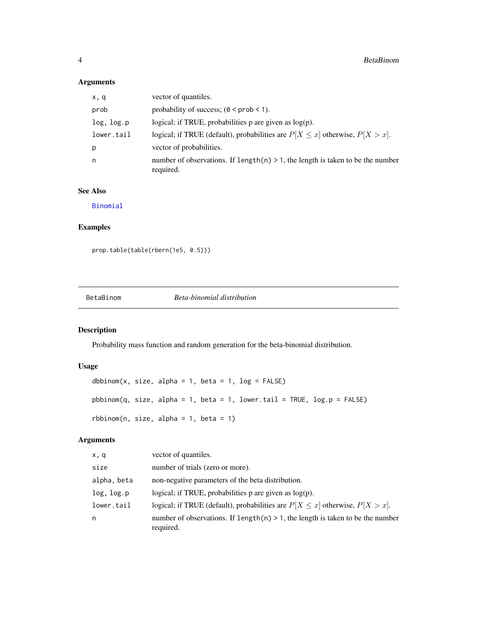### Arguments

| x, q       | vector of quantiles.                                                                           |
|------------|------------------------------------------------------------------------------------------------|
| prob       | probability of success; $(0 \le prob \le 1)$ .                                                 |
| log, log.p | logical; if TRUE, probabilities $p$ are given as $log(p)$ .                                    |
| lower.tail | logical; if TRUE (default), probabilities are $P[X \le x]$ otherwise, $P[X > x]$ .             |
| p          | vector of probabilities.                                                                       |
| n          | number of observations. If $length(n) > 1$ , the length is taken to be the number<br>required. |

### See Also

[Binomial](#page-0-0)

### Examples

```
prop.table(table(rbern(1e5, 0.5)))
```
BetaBinom *Beta-binomial distribution*

## Description

Probability mass function and random generation for the beta-binomial distribution.

### Usage

```
dbbinom(x, size, alpha = 1, beta = 1, log = FALSE)
pbbinom(q, size, alpha = 1, beta = 1, lower.tail = TRUE, log.p = FALSE)
rbbinom(n, size, alpha = 1, beta = 1)
```
### Arguments

| x, q        | vector of quantiles.                                                                           |
|-------------|------------------------------------------------------------------------------------------------|
| size        | number of trials (zero or more).                                                               |
| alpha, beta | non-negative parameters of the beta distribution.                                              |
| log, log.p  | logical; if TRUE, probabilities $p$ are given as $log(p)$ .                                    |
| lower.tail  | logical; if TRUE (default), probabilities are $P[X \le x]$ otherwise, $P[X > x]$ .             |
| n           | number of observations. If length(n) $> 1$ , the length is taken to be the number<br>required. |

<span id="page-3-0"></span>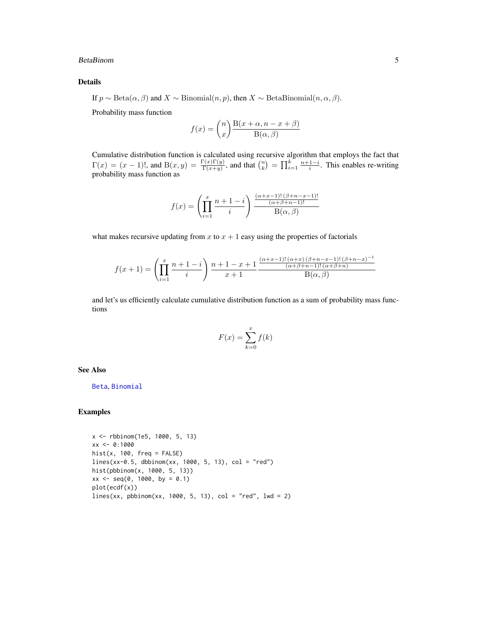#### BetaBinom 5

#### Details

If  $p \sim \text{Beta}(\alpha, \beta)$  and  $X \sim \text{Binomial}(n, p)$ , then  $X \sim \text{BetaBinomial}(n, \alpha, \beta)$ .

Probability mass function

$$
f(x) = {n \choose x} \frac{B(x + \alpha, n - x + \beta)}{B(\alpha, \beta)}
$$

Cumulative distribution function is calculated using recursive algorithm that employs the fact that  $\Gamma(x) = (x-1)!,$  and  $B(x, y) = \frac{\Gamma(x)\Gamma(y)}{\Gamma(x+y)}$ , and that  $\binom{n}{k} = \prod_{i=1}^{k} \frac{n+1-i}{i}$ . This enables re-writing probability mass function as

$$
f(x) = \left(\prod_{i=1}^{x} \frac{n+1-i}{i}\right) \frac{\frac{(\alpha+x-1)!(\beta+n-x-1)!}{(\alpha+\beta+n-1)!}}{\mathcal{B}(\alpha,\beta)}
$$

what makes recursive updating from x to  $x + 1$  easy using the properties of factorials

$$
f(x+1) = \left(\prod_{i=1}^{x} \frac{n+1-i}{i}\right) \frac{n+1-x+1}{x+1} \frac{\frac{(\alpha+x-1)!(\alpha+x)(\beta+n-x-1)!(\beta+n-x)^{-1}}{(\alpha+\beta+n-1)!(\alpha+\beta+n)}}
$$

$$
B(\alpha, \beta)
$$

and let's us efficiently calculate cumulative distribution function as a sum of probability mass functions

$$
F(x) = \sum_{k=0}^{x} f(k)
$$

See Also

[Beta](#page-0-0), [Binomial](#page-0-0)

### Examples

```
x <- rbbinom(1e5, 1000, 5, 13)
xx <- 0:1000
hist(x, 100, freq = FALSE)lines(xx-0.5, dbbinom(xx, 1000, 5, 13), col = "red")
hist(pbbinom(x, 1000, 5, 13))
xx \le - seq(0, 1000, by = 0.1)
plot(ecdf(x))
lines(xx, pbbinom(xx, 1000, 5, 13), col = "red", lwd = 2)
```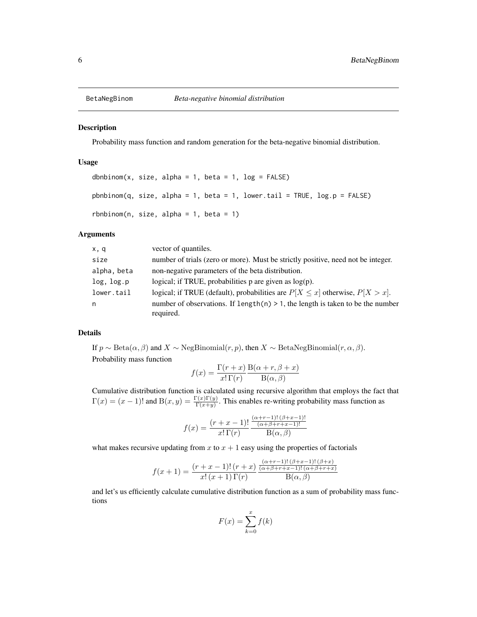<span id="page-5-0"></span>

### Description

Probability mass function and random generation for the beta-negative binomial distribution.

### Usage

```
dbnbinom(x, size, alpha = 1, beta = 1, log = FALSE)
pbnbinom(q, size, alpha = 1, beta = 1, lower.tail = TRUE, log.p = FALSE)
rbnbinom(n, size, alpha = 1, beta = 1)
```
#### Arguments

| x, q        | vector of quantiles.                                                                            |
|-------------|-------------------------------------------------------------------------------------------------|
| size        | number of trials (zero or more). Must be strictly positive, need not be integer.                |
| alpha, beta | non-negative parameters of the beta distribution.                                               |
| log, log.p  | logical; if TRUE, probabilities $p$ are given as $log(p)$ .                                     |
| lower.tail  | logical; if TRUE (default), probabilities are $P[X \le x]$ otherwise, $P[X > x]$ .              |
| n           | number of observations. If length $(n) > 1$ , the length is taken to be the number<br>required. |

#### Details

If  $p \sim \text{Beta}(\alpha, \beta)$  and  $X \sim \text{NegBinomial}(r, p)$ , then  $X \sim \text{BetaNegBinomial}(r, \alpha, \beta)$ . Probability mass function

$$
f(x) = \frac{\Gamma(r+x)}{x!\,\Gamma(r)} \frac{\text{B}(\alpha+r,\beta+x)}{\text{B}(\alpha,\beta)}
$$

Cumulative distribution function is calculated using recursive algorithm that employs the fact that  $\Gamma(x) = (x-1)!$  and  $B(x, y) = \frac{\Gamma(x)\Gamma(y)}{\Gamma(x+y)}$ . This enables re-writing probability mass function as

$$
f(x) = \frac{(r+x-1)!}{x!\,\Gamma(r)} \frac{\frac{(\alpha+r-1)!\,(\beta+x-1)!}{(\alpha+\beta+r+x-1)!}}{\text{B}(\alpha,\beta)}
$$

what makes recursive updating from  $x$  to  $x + 1$  easy using the properties of factorials

$$
f(x + 1) = \frac{(r + x - 1)!(r + x)}{x!(x + 1)\Gamma(r)} \frac{\frac{(\alpha + r - 1)!(\beta + x - 1)!(\beta + x)}{(\alpha + \beta + r + x - 1)!(\alpha + \beta + r + x)}}{\text{B}(\alpha, \beta)}
$$

and let's us efficiently calculate cumulative distribution function as a sum of probability mass functions

$$
F(x) = \sum_{k=0}^{x} f(k)
$$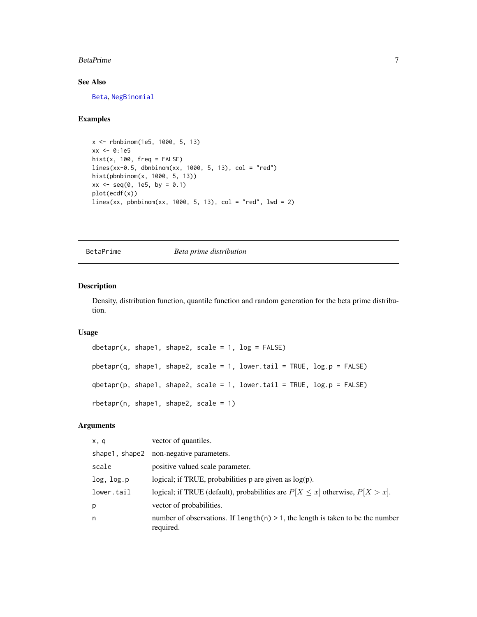#### <span id="page-6-0"></span>BetaPrime 7

### See Also

[Beta](#page-0-0), [NegBinomial](#page-0-0)

### Examples

```
x <- rbnbinom(1e5, 1000, 5, 13)
xx <- 0:1e5
hist(x, 100, freq = FALSE)
lines(xx-0.5, dbnbinom(xx, 1000, 5, 13), col = "red")hist(pbnbinom(x, 1000, 5, 13))
xx \le - seq(0, 1e5, by = 0.1)
plot(ecdf(x))
lines(xx, pbnbinom(xx, 1000, 5, 13), col = "red", lwd = 2)
```
BetaPrime *Beta prime distribution*

#### Description

Density, distribution function, quantile function and random generation for the beta prime distribution.

### Usage

```
dbetapr(x, shape1, shape2, scale = 1, log = FALSE)
pbetapr(q, shape1, shape2, scale = 1, lower.tail = TRUE, log.p = FALSE)
qbetapr(p, shape1, shape2, scale = 1, lower.tail = TRUE, log.p = FALSE)
rbetapr(n, shape1, shape2, scale = 1)
```
### Arguments

| x, q           | vector of quantiles.                                                                           |
|----------------|------------------------------------------------------------------------------------------------|
| shape1, shape2 | non-negative parameters.                                                                       |
| scale          | positive valued scale parameter.                                                               |
| log, log.p     | logical; if TRUE, probabilities $p$ are given as $log(p)$ .                                    |
| lower.tail     | logical; if TRUE (default), probabilities are $P[X \le x]$ otherwise, $P[X > x]$ .             |
| p              | vector of probabilities.                                                                       |
| n              | number of observations. If length(n) $> 1$ , the length is taken to be the number<br>required. |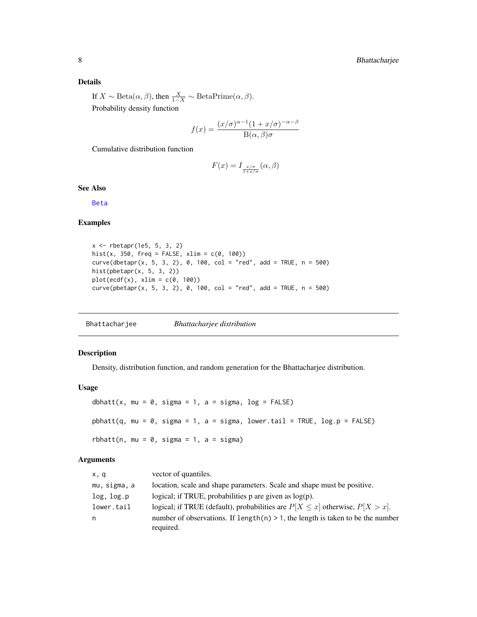### <span id="page-7-0"></span>Details

If  $X \sim \text{Beta}(\alpha, \beta)$ , then  $\frac{X}{1-X} \sim \text{BetaPrime}(\alpha, \beta)$ . Probability density function

$$
f(x) = \frac{(x/\sigma)^{\alpha - 1}(1 + x/\sigma)^{-\alpha - \beta}}{B(\alpha, \beta)\sigma}
$$

Cumulative distribution function

$$
F(x) = I_{\frac{x/\sigma}{1+x/\sigma}}(\alpha, \beta)
$$

### See Also

[Beta](#page-0-0)

### Examples

```
x <- rbetapr(1e5, 5, 3, 2)
hist(x, 350, freq = FALSE, xlim = c(\theta, 100))
curve(dbetapr(x, 5, 3, 2), 0, 100, col = "red", add = TRUE, n = 500)hist(pbetapr(x, 5, 3, 2))
plot(ecdf(x), xlim = c(0, 100))curve(pbetapr(x, 5, 3, 2), 0, 100, col = "red", add = TRUE, n = 500)
```
Bhattacharjee *Bhattacharjee distribution*

### Description

Density, distribution function, and random generation for the Bhattacharjee distribution.

#### Usage

```
dbhatt(x, mu = 0, sigma = 1, a = sigma, log = FALSE)
pbhatt(q, mu = 0, sigma = 1, a = sigma, lower.tail = TRUE, log.p = FALSE)
rbhatt(n, mu = 0, sigma = 1, a = sigma)
```
#### Arguments

| x, q         | vector of quantiles.                                                                           |
|--------------|------------------------------------------------------------------------------------------------|
| mu, sigma, a | location, scale and shape parameters. Scale and shape must be positive.                        |
| log, log.p   | logical; if TRUE, probabilities p are given as $log(p)$ .                                      |
| lower.tail   | logical; if TRUE (default), probabilities are $P[X \le x]$ otherwise, $P[X > x]$ .             |
| n.           | number of observations. If $length(n) > 1$ , the length is taken to be the number<br>required. |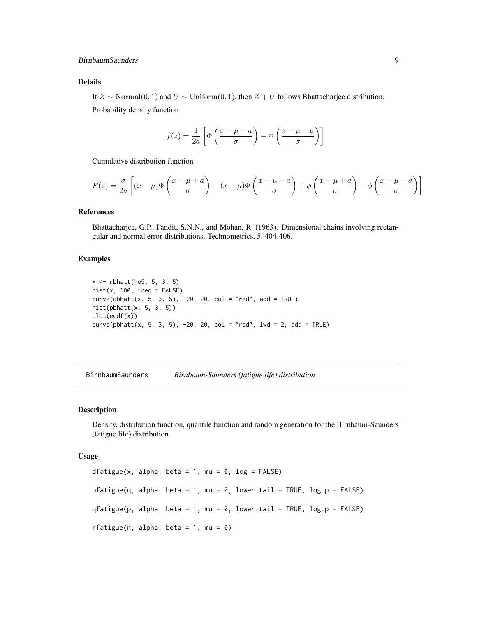#### <span id="page-8-0"></span>BirnbaumSaunders 9

### Details

If  $Z \sim \text{Normal}(0, 1)$  and  $U \sim \text{Uniform}(0, 1)$ , then  $Z + U$  follows Bhattacharjee distribution.

Probability density function

$$
f(z) = \frac{1}{2a} \left[ \Phi \left( \frac{x - \mu + a}{\sigma} \right) - \Phi \left( \frac{x - \mu - a}{\sigma} \right) \right]
$$

Cumulative distribution function

$$
F(z) = \frac{\sigma}{2a} \left[ (x - \mu) \Phi \left( \frac{x - \mu + a}{\sigma} \right) - (x - \mu) \Phi \left( \frac{x - \mu - a}{\sigma} \right) + \phi \left( \frac{x - \mu + a}{\sigma} \right) - \phi \left( \frac{x - \mu - a}{\sigma} \right) \right]
$$

### References

Bhattacharjee, G.P., Pandit, S.N.N., and Mohan, R. (1963). Dimensional chains involving rectangular and normal error-distributions. Technometrics, 5, 404-406.

#### Examples

```
x <- rbhatt(1e5, 5, 3, 5)
hist(x, 100, freq = FALSE)
curve(dbhat(x, 5, 3, 5), -20, 20, col = "red", add = TRUE)hist(pbhatt(x, 5, 3, 5))
plot(ecdf(x))
curve(pbhat(x, 5, 3, 5), -20, 20, col = "red", 1wd = 2, add = TRUE)
```
BirnbaumSaunders *Birnbaum-Saunders (fatigue life) distribution*

#### Description

Density, distribution function, quantile function and random generation for the Birnbaum-Saunders (fatigue life) distribution.

#### Usage

dfatigue(x, alpha, beta = 1, mu =  $0$ , log = FALSE) pfatigue(q, alpha, beta = 1, mu = 0, lower.tail = TRUE,  $log.p = FALSE$ )  $q$ fatigue(p, alpha, beta = 1, mu = 0, lower.tail = TRUE, log.p = FALSE) rfatigue(n, alpha, beta = 1, mu =  $\emptyset$ )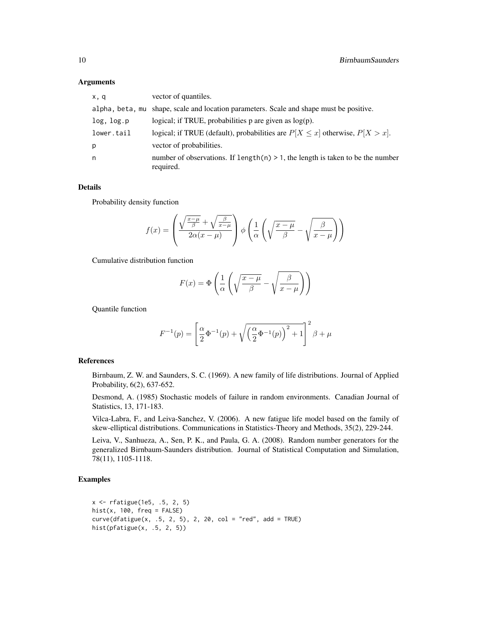#### **Arguments**

| x, q       | vector of quantiles.                                                                           |
|------------|------------------------------------------------------------------------------------------------|
|            | alpha, beta, mu shape, scale and location parameters. Scale and shape must be positive.        |
| log, log.p | logical; if TRUE, probabilities $p$ are given as $log(p)$ .                                    |
| lower.tail | logical; if TRUE (default), probabilities are $P[X \le x]$ otherwise, $P[X > x]$ .             |
| р          | vector of probabilities.                                                                       |
| n.         | number of observations. If $length(n) > 1$ , the length is taken to be the number<br>required. |

#### Details

Probability density function

$$
f(x) = \left(\frac{\sqrt{\frac{x-\mu}{\beta}} + \sqrt{\frac{\beta}{x-\mu}}}{2\alpha(x-\mu)}\right)\phi\left(\frac{1}{\alpha}\left(\sqrt{\frac{x-\mu}{\beta}} - \sqrt{\frac{\beta}{x-\mu}}\right)\right)
$$

Cumulative distribution function

$$
F(x) = \Phi\left(\frac{1}{\alpha}\left(\sqrt{\frac{x-\mu}{\beta}} - \sqrt{\frac{\beta}{x-\mu}}\right)\right)
$$

Quantile function

$$
F^{-1}(p) = \left[\frac{\alpha}{2}\Phi^{-1}(p) + \sqrt{\left(\frac{\alpha}{2}\Phi^{-1}(p)\right)^2 + 1}\right]^2 \beta + \mu
$$

### References

Birnbaum, Z. W. and Saunders, S. C. (1969). A new family of life distributions. Journal of Applied Probability, 6(2), 637-652.

Desmond, A. (1985) Stochastic models of failure in random environments. Canadian Journal of Statistics, 13, 171-183.

Vilca-Labra, F., and Leiva-Sanchez, V. (2006). A new fatigue life model based on the family of skew-elliptical distributions. Communications in Statistics-Theory and Methods, 35(2), 229-244.

Leiva, V., Sanhueza, A., Sen, P. K., and Paula, G. A. (2008). Random number generators for the generalized Birnbaum-Saunders distribution. Journal of Statistical Computation and Simulation, 78(11), 1105-1118.

### Examples

```
x <- rfatigue(1e5, .5, 2, 5)
hist(x, 100, freq = FALSE)curve(dfatingue(x, .5, 2, 5), 2, 20, col = "red", add = TRUE)hist(pfatigue(x, .5, 2, 5))
```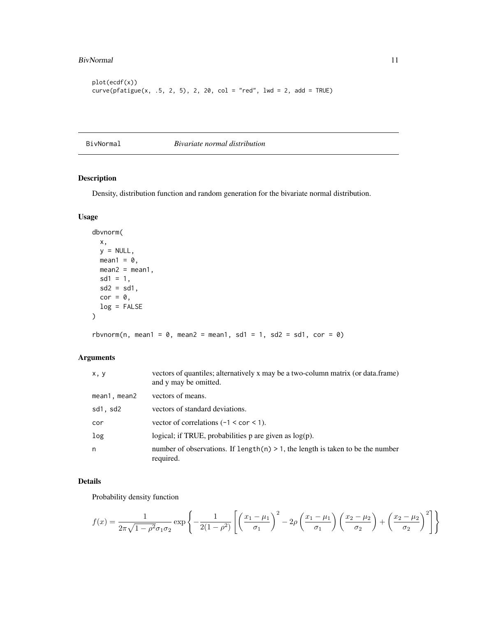#### <span id="page-10-0"></span>BivNormal 11

```
plot(ecdf(x))
curve(pfatigue(x, .5, 2, 5), 2, 20, col = "red", 1wd = 2, add = TRUE)
```
BivNormal *Bivariate normal distribution*

### Description

Density, distribution function and random generation for the bivariate normal distribution.

### Usage

```
dbvnorm(
 x,
 y = NULL,mean1 = 0,
 mean2 = mean1,
 sd1 = 1,sd2 = sd1,
 cor = 0,
 log = FALSE
)
```
rbvnorm(n, mean1 =  $\theta$ , mean2 = mean1, sd1 = 1, sd2 = sd1, cor =  $\theta$ )

### Arguments

| x, y         | vectors of quantiles; alternatively x may be a two-column matrix (or data.frame)<br>and y may be omitted. |
|--------------|-----------------------------------------------------------------------------------------------------------|
| mean1, mean2 | vectors of means.                                                                                         |
| sd1, sd2     | vectors of standard deviations.                                                                           |
| cor          | vector of correlations $(-1 < \text{cor} < 1)$ .                                                          |
| log          | logical; if TRUE, probabilities $p$ are given as $log(p)$ .                                               |
| n            | number of observations. If $length(n) > 1$ , the length is taken to be the number<br>required.            |

### Details

Probability density function

$$
f(x) = \frac{1}{2\pi\sqrt{1 - \rho^2}\sigma_1\sigma_2} \exp\left\{-\frac{1}{2(1 - \rho^2)} \left[ \left(\frac{x_1 - \mu_1}{\sigma_1}\right)^2 - 2\rho \left(\frac{x_1 - \mu_1}{\sigma_1}\right) \left(\frac{x_2 - \mu_2}{\sigma_2}\right) + \left(\frac{x_2 - \mu_2}{\sigma_2}\right)^2 \right] \right\}
$$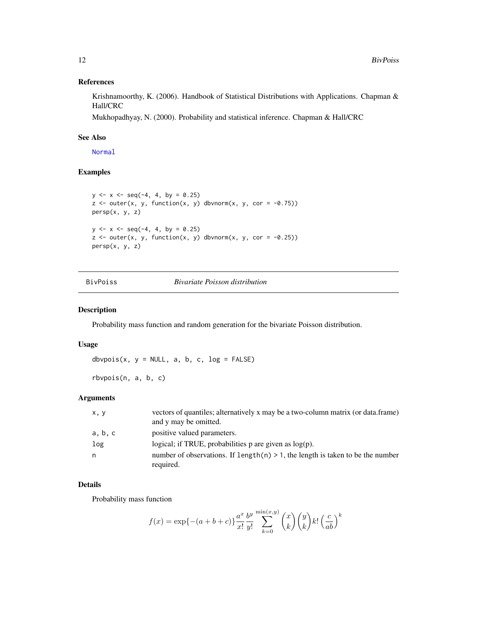### References

Krishnamoorthy, K. (2006). Handbook of Statistical Distributions with Applications. Chapman & Hall/CRC

Mukhopadhyay, N. (2000). Probability and statistical inference. Chapman & Hall/CRC

### See Also

[Normal](#page-0-0)

### Examples

```
y \le -x \le -\text{seq}(-4, 4, \text{ by } = 0.25)z \le outer(x, y, function(x, y) dbvnorm(x, y, cor = -0.75))
persp(x, y, z)
y \le -x \le -\text{seq}(-4, 4, \text{ by } = 0.25)z \le outer(x, y, function(x, y) dbvnorm(x, y, cor = -0.25))
persp(x, y, z)
```
BivPoiss *Bivariate Poisson distribution*

### Description

Probability mass function and random generation for the bivariate Poisson distribution.

### Usage

dbvpois(x,  $y = NULL$ , a, b, c,  $log = FALSE$ )

rbvpois(n, a, b, c)

### Arguments

| x, y    | vectors of quantiles; alternatively x may be a two-column matrix (or data.frame)<br>and y may be omitted. |
|---------|-----------------------------------------------------------------------------------------------------------|
| a, b, c | positive valued parameters.                                                                               |
| log     | logical; if TRUE, probabilities p are given as $log(p)$ .                                                 |
| n       | number of observations. If length $(n) > 1$ , the length is taken to be the number<br>required.           |

### Details

Probability mass function

$$
f(x) = \exp\{-\left(a+b+c\right)\}\frac{a^x}{x!} \frac{b^y}{y!} \sum_{k=0}^{\min(x,y)} \binom{x}{k} \binom{y}{k} k! \left(\frac{c}{ab}\right)^k
$$

<span id="page-11-0"></span>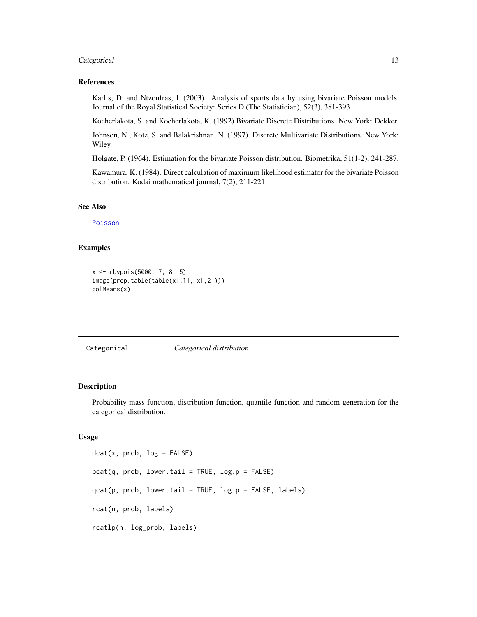### <span id="page-12-0"></span>Categorical 13

### References

Karlis, D. and Ntzoufras, I. (2003). Analysis of sports data by using bivariate Poisson models. Journal of the Royal Statistical Society: Series D (The Statistician), 52(3), 381-393.

Kocherlakota, S. and Kocherlakota, K. (1992) Bivariate Discrete Distributions. New York: Dekker.

Johnson, N., Kotz, S. and Balakrishnan, N. (1997). Discrete Multivariate Distributions. New York: Wiley.

Holgate, P. (1964). Estimation for the bivariate Poisson distribution. Biometrika, 51(1-2), 241-287.

Kawamura, K. (1984). Direct calculation of maximum likelihood estimator for the bivariate Poisson distribution. Kodai mathematical journal, 7(2), 211-221.

### See Also

[Poisson](#page-0-0)

#### Examples

```
x <- rbvpois(5000, 7, 8, 5)
image(prop.table(table(x[,1], x[,2])))
colMeans(x)
```
Categorical *Categorical distribution*

### **Description**

Probability mass function, distribution function, quantile function and random generation for the categorical distribution.

### Usage

```
dot(x, prob, log = FALSE)pcat(q, prob, lower.tail = TRUE, log.p = FALSE)qcat(p, prob, lower.tail = TRUE, log.p = FALSE, labels)rcat(n, prob, labels)
rcatlp(n, log_prob, labels)
```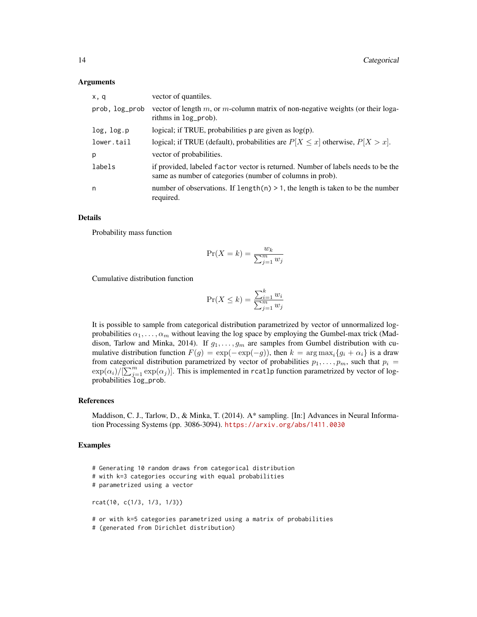#### Arguments

| x, q           | vector of quantiles.                                                                                                                          |
|----------------|-----------------------------------------------------------------------------------------------------------------------------------------------|
| prob, log_prob | vector of length $m$ , or $m$ -column matrix of non-negative weights (or their loga-<br>rithms in log_prob).                                  |
| log, log.p     | logical; if TRUE, probabilities $p$ are given as $log(p)$ .                                                                                   |
| lower.tail     | logical; if TRUE (default), probabilities are $P[X \le x]$ otherwise, $P[X > x]$ .                                                            |
| р              | vector of probabilities.                                                                                                                      |
| labels         | if provided, labeled factor vector is returned. Number of labels needs to be the<br>same as number of categories (number of columns in prob). |
| n              | number of observations. If length $(n) > 1$ , the length is taken to be the number<br>required.                                               |

#### Details

Probability mass function

$$
\Pr(X = k) = \frac{w_k}{\sum_{j=1}^{m} w_j}
$$

Cumulative distribution function

$$
\Pr(X \le k) = \frac{\sum_{i=1}^{k} w_i}{\sum_{j=1}^{m} w_j}
$$

It is possible to sample from categorical distribution parametrized by vector of unnormalized logprobabilities  $\alpha_1, \ldots, \alpha_m$  without leaving the log space by employing the Gumbel-max trick (Maddison, Tarlow and Minka, 2014). If  $g_1, \ldots, g_m$  are samples from Gumbel distribution with cumulative distribution function  $F(g) = \exp(-\exp(-g))$ , then  $k = \arg \max_i \{g_i + \alpha_i\}$  is a draw from categorical distribution parametrized by vector of probabilities  $p_1, \ldots, p_m$ , such that  $p_i =$  $\exp(\alpha_i)/[\sum_{j=1}^m \exp(\alpha_j)]$ . This is implemented in rcatlp function parametrized by vector of logprobabilities log\_prob.

#### References

Maddison, C. J., Tarlow, D., & Minka, T. (2014). A\* sampling. [In:] Advances in Neural Information Processing Systems (pp. 3086-3094). <https://arxiv.org/abs/1411.0030>

#### Examples

- # Generating 10 random draws from categorical distribution # with k=3 categories occuring with equal probabilities # parametrized using a vector rcat(10, c(1/3, 1/3, 1/3)) # or with k=5 categories parametrized using a matrix of probabilities
- # (generated from Dirichlet distribution)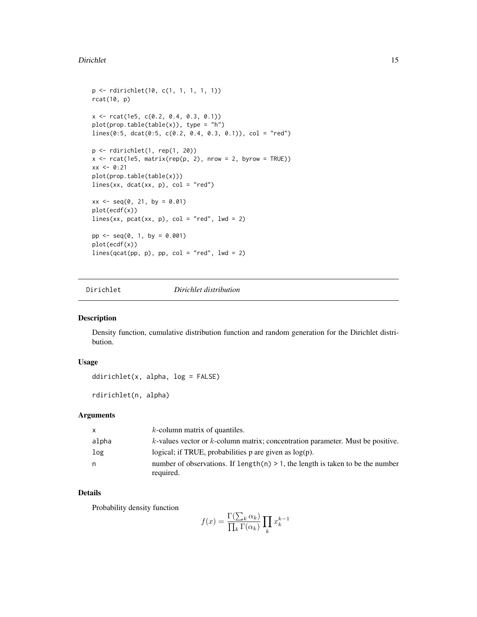#### <span id="page-14-0"></span>Dirichlet 15

```
p <- rdirichlet(10, c(1, 1, 1, 1, 1))
rcat(10, p)
x <- rcat(1e5, c(0.2, 0.4, 0.3, 0.1))
plot(prop.table(table(x)), type = "h")
lines(0:5, dcat(0:5, c(0.2, 0.4, 0.3, 0.1)), col = "red")
p <- rdirichlet(1, rep(1, 20))
x \le rcat(1e5, matrix(rep(p, 2), nrow = 2, byrow = TRUE))
xx < -0:21plot(prop.table(table(x)))
lines(xx, data(xx, p), col = "red")xx \le - seq(0, 21, by = 0.01)
plot(ecdf(x))
lines(xx, pcat(xx, p), col = "red", lwd = 2)pp \le - \text{seq}(0, 1, by = 0.001)plot(ecdf(x))
lines(qcat(pp, p), pp, col = "red", lwd = 2)
```
<span id="page-14-1"></span>Dirichlet *Dirichlet distribution*

### Description

Density function, cumulative distribution function and random generation for the Dirichlet distribution.

#### Usage

```
ddirichlet(x, alpha, log = FALSE)
```
rdirichlet(n, alpha)

### Arguments

| X     | $k$ -column matrix of quantiles.                                                                |
|-------|-------------------------------------------------------------------------------------------------|
| alpha | $k$ -values vector or $k$ -column matrix; concentration parameter. Must be positive.            |
| log   | logical; if TRUE, probabilities $p$ are given as $log(p)$ .                                     |
| n     | number of observations. If length $(n) > 1$ , the length is taken to be the number<br>required. |

### Details

Probability density function

$$
f(x) = \frac{\Gamma(\sum_{k} \alpha_k)}{\prod_{k} \Gamma(\alpha_k)} \prod_{k} x_k^{k-1}
$$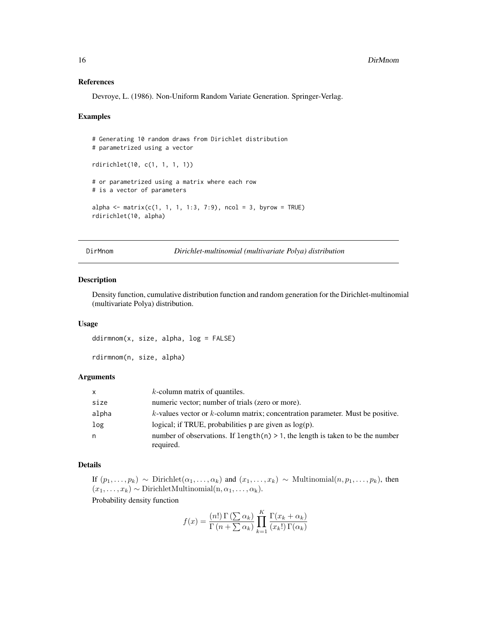#### <span id="page-15-0"></span>References

Devroye, L. (1986). Non-Uniform Random Variate Generation. Springer-Verlag.

#### Examples

```
# Generating 10 random draws from Dirichlet distribution
# parametrized using a vector
rdirichlet(10, c(1, 1, 1, 1))
# or parametrized using a matrix where each row
# is a vector of parameters
alpha <- matrix(c(1, 1, 1, 1:3, 7:9), ncol = 3, byrow = TRUE)
rdirichlet(10, alpha)
```
DirMnom *Dirichlet-multinomial (multivariate Polya) distribution*

#### Description

Density function, cumulative distribution function and random generation for the Dirichlet-multinomial (multivariate Polya) distribution.

#### Usage

```
ddirmnom(x, size, alpha, log = FALSE)
```
rdirmnom(n, size, alpha)

### Arguments

| X.    | $k$ -column matrix of quantiles.                                                                |
|-------|-------------------------------------------------------------------------------------------------|
| size  | numeric vector; number of trials (zero or more).                                                |
| alpha | $k$ -values vector or $k$ -column matrix; concentration parameter. Must be positive.            |
| log   | logical; if TRUE, probabilities $p$ are given as $log(p)$ .                                     |
| n     | number of observations. If length $(n) > 1$ , the length is taken to be the number<br>required. |

#### Details

If  $(p_1, \ldots, p_k) \sim$  Dirichlet $(\alpha_1, \ldots, \alpha_k)$  and  $(x_1, \ldots, x_k) \sim$  Multinomial $(n, p_1, \ldots, p_k)$ , then  $(x_1, \ldots, x_k) \sim \text{DirichletMultinomial}(n, \alpha_1, \ldots, \alpha_k).$ 

Probability density function

$$
f(x) = \frac{(n!)\,\Gamma\left(\sum \alpha_k\right)}{\Gamma\left(n + \sum \alpha_k\right)} \prod_{k=1}^K \frac{\Gamma(x_k + \alpha_k)}{(x_k!)\,\Gamma(\alpha_k)}
$$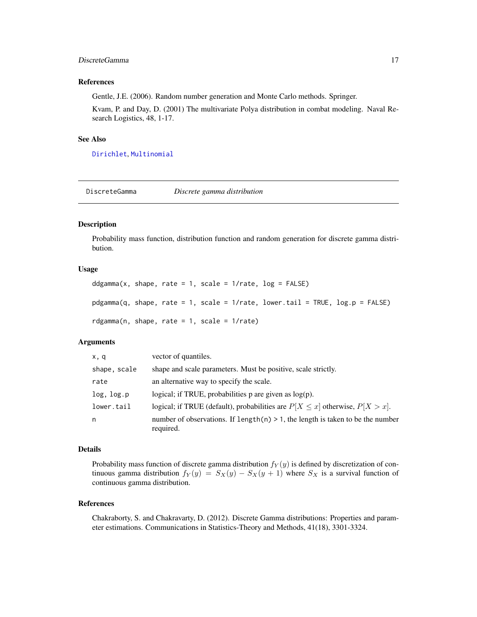### <span id="page-16-0"></span>DiscreteGamma 17

#### References

Gentle, J.E. (2006). Random number generation and Monte Carlo methods. Springer.

Kvam, P. and Day, D. (2001) The multivariate Polya distribution in combat modeling. Naval Research Logistics, 48, 1-17.

#### See Also

[Dirichlet](#page-14-1), [Multinomial](#page-45-1)

DiscreteGamma *Discrete gamma distribution*

### Description

Probability mass function, distribution function and random generation for discrete gamma distribution.

#### Usage

```
ddgamma(x, shape, rate = 1, scale = 1/rate, log = FALSE)
pdgamma(q, shape, rate = 1, scale = 1/rate, lower.tail = TRUE, log.p = FALSE)
rdgamma(n, shape, rate = 1, scale = 1/rate)
```
### Arguments

| x, q         | vector of quantiles.                                                                            |
|--------------|-------------------------------------------------------------------------------------------------|
| shape, scale | shape and scale parameters. Must be positive, scale strictly.                                   |
| rate         | an alternative way to specify the scale.                                                        |
| log, log.p   | logical; if TRUE, probabilities $p$ are given as $log(p)$ .                                     |
| lower.tail   | logical; if TRUE (default), probabilities are $P[X \le x]$ otherwise, $P[X > x]$ .              |
| n            | number of observations. If length $(n) > 1$ , the length is taken to be the number<br>required. |

### Details

Probability mass function of discrete gamma distribution  $f_Y(y)$  is defined by discretization of continuous gamma distribution  $f_Y(y) = S_X(y) - S_X(y+1)$  where  $S_X$  is a survival function of continuous gamma distribution.

#### References

Chakraborty, S. and Chakravarty, D. (2012). Discrete Gamma distributions: Properties and parameter estimations. Communications in Statistics-Theory and Methods, 41(18), 3301-3324.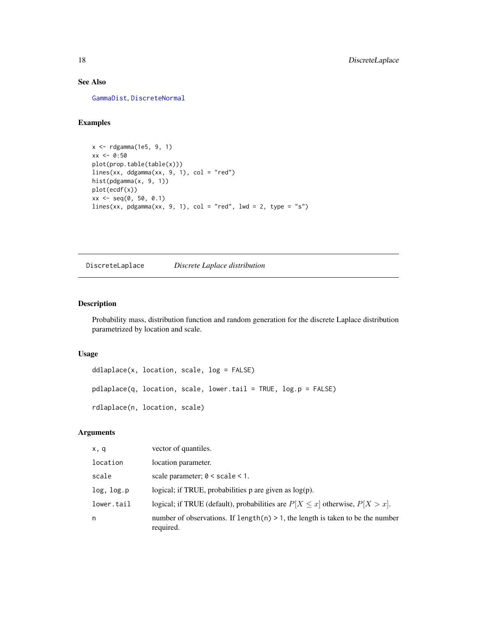### See Also

[GammaDist](#page-0-0), [DiscreteNormal](#page-18-1)

#### Examples

```
x <- rdgamma(1e5, 9, 1)
xx < -0.50plot(prop.table(table(x)))
lines(xx, ddgamma(xx, 9, 1), col = "red")hist(pdgamma(x, 9, 1))
plot(ecdf(x))
xx \le - seq(0, 50, 0.1)
lines(xx, pdgamma(xx, 9, 1), col = "red", lwd = 2, type = "s")
```
DiscreteLaplace *Discrete Laplace distribution*

### Description

Probability mass, distribution function and random generation for the discrete Laplace distribution parametrized by location and scale.

#### Usage

```
ddlaplace(x, location, scale, log = FALSE)
pdlaplace(q, location, scale, lower.tail = TRUE, log.p = FALSE)
rdlaplace(n, location, scale)
```
### Arguments

| x, q       | vector of quantiles.                                                                           |
|------------|------------------------------------------------------------------------------------------------|
| location   | location parameter.                                                                            |
| scale      | scale parameter; $0 <$ scale $< 1$ .                                                           |
| log, log.p | logical; if TRUE, probabilities $p$ are given as $log(p)$ .                                    |
| lower.tail | logical; if TRUE (default), probabilities are $P[X \le x]$ otherwise, $P[X > x]$ .             |
| n          | number of observations. If $length(n) > 1$ , the length is taken to be the number<br>required. |

<span id="page-17-0"></span>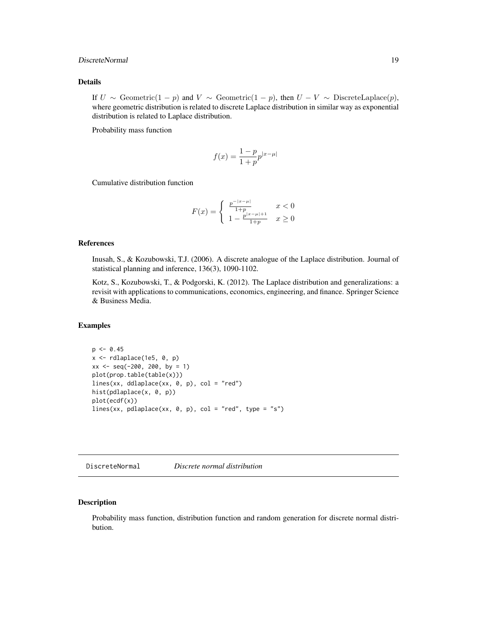### <span id="page-18-0"></span>DiscreteNormal 19

### Details

If  $U \sim$  Geometric(1 − p) and  $V \sim$  Geometric(1 − p), then  $U - V \sim$  DiscreteLaplace(p), where geometric distribution is related to discrete Laplace distribution in similar way as exponential distribution is related to Laplace distribution.

Probability mass function

$$
f(x) = \frac{1-p}{1+p}p^{|x-\mu|}
$$

Cumulative distribution function

$$
F(x) = \begin{cases} \frac{p^{-|x-\mu|}}{1+p} & x < 0\\ 1 - \frac{p^{|x-\mu|+1}}{1+p} & x \ge 0 \end{cases}
$$

### References

Inusah, S., & Kozubowski, T.J. (2006). A discrete analogue of the Laplace distribution. Journal of statistical planning and inference, 136(3), 1090-1102.

Kotz, S., Kozubowski, T., & Podgorski, K. (2012). The Laplace distribution and generalizations: a revisit with applications to communications, economics, engineering, and finance. Springer Science & Business Media.

### Examples

```
p \le -0.45x \leftarrow rdlaplace(1e5, 0, p)
xx \le - seq(-200, 200, by = 1)
plot(prop.table(table(x)))
lines(xx, ddlaplace(xx, 0, p), col = "red")
hist(pdlaplace(x, 0, p))
plot(ecdf(x))
lines(xx, pdlaplace(xx, 0, p), col = "red", type = "s")
```
<span id="page-18-1"></span>DiscreteNormal *Discrete normal distribution*

### Description

Probability mass function, distribution function and random generation for discrete normal distribution.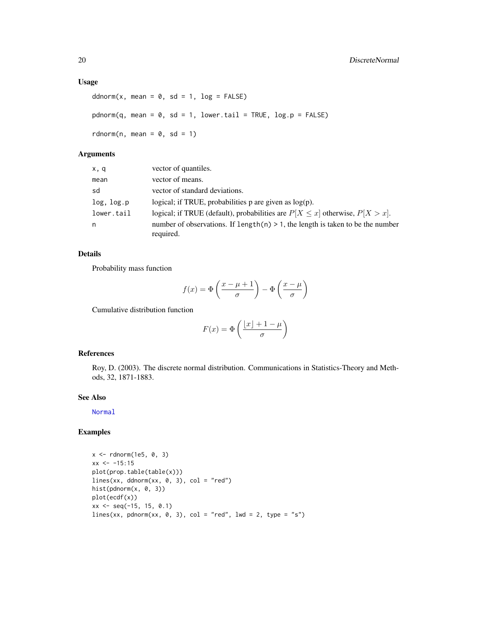### Usage

```
ddnorm(x, \text{mean} = 0, \text{ sd} = 1, \text{log} = \text{FALSE})pdnorm(q, mean = 0, sd = 1, lower.tail = TRUE, log.p = FALSE)
rdnorm(n, mean = 0, sd = 1)
```
### Arguments

| x,q        | vector of quantiles.                                                                            |
|------------|-------------------------------------------------------------------------------------------------|
| mean       | vector of means.                                                                                |
| sd         | vector of standard deviations.                                                                  |
| log, log.p | logical; if TRUE, probabilities $p$ are given as $log(p)$ .                                     |
| lower.tail | logical; if TRUE (default), probabilities are $P[X \le x]$ otherwise, $P[X > x]$ .              |
| n          | number of observations. If length $(n) > 1$ , the length is taken to be the number<br>required. |

### Details

Probability mass function

$$
f(x) = \Phi\left(\frac{x - \mu + 1}{\sigma}\right) - \Phi\left(\frac{x - \mu}{\sigma}\right)
$$

Cumulative distribution function

$$
F(x) = \Phi\left(\frac{\lfloor x \rfloor + 1 - \mu}{\sigma}\right)
$$

#### References

Roy, D. (2003). The discrete normal distribution. Communications in Statistics-Theory and Methods, 32, 1871-1883.

### See Also

[Normal](#page-0-0)

### Examples

```
x <- rdnorm(1e5, 0, 3)
xx < -15:15plot(prop.table(table(x)))
lines(xx, ddnorm(xx, 0, 3), col = "red")hist(pdnorm(x, 0, 3))
plot(ecdf(x))
xx \le - seq(-15, 15, 0.1)
lines(xx, pdnorm(xx, 0, 3), col = "red", lwd = 2, type = "s")
```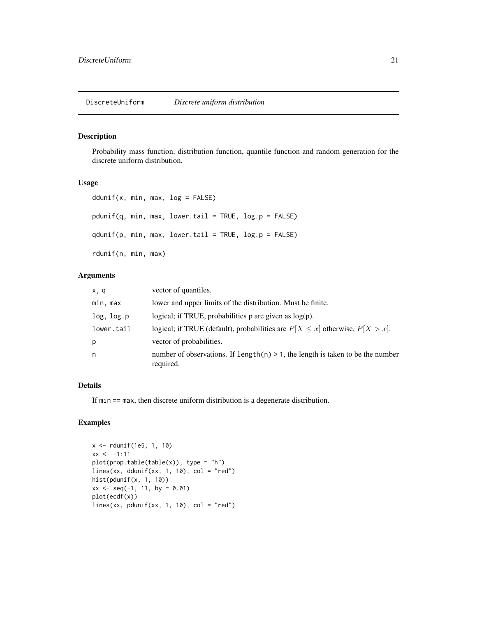### <span id="page-20-0"></span>Description

Probability mass function, distribution function, quantile function and random generation for the discrete uniform distribution.

#### Usage

```
ddunif(x, min, max, log = FALSE)
pdunif(q, min, max, lower.tail = TRUE, log.p = FALSE)qdunif(p, min, max, lower.tail = TRUE, log.p = FALSE)
rdunif(n, min, max)
```
### Arguments

| x, q       | vector of quantiles.                                                                           |
|------------|------------------------------------------------------------------------------------------------|
| min, max   | lower and upper limits of the distribution. Must be finite.                                    |
| log, log.p | logical; if TRUE, probabilities $p$ are given as $log(p)$ .                                    |
| lower.tail | logical; if TRUE (default), probabilities are $P[X \le x]$ otherwise, $P[X > x]$ .             |
| p          | vector of probabilities.                                                                       |
| n          | number of observations. If $length(n) > 1$ , the length is taken to be the number<br>required. |

### Details

If min == max, then discrete uniform distribution is a degenerate distribution.

### Examples

```
x <- rdunif(1e5, 1, 10)
xx < -1:11plot(prop.table(table(x)), type = "h")
lines(xx, ddunif(xx, 1, 10), col = "red")hist(pdunif(x, 1, 10))
xx \le - seq(-1, 11, by = 0.01)
plot(ecdf(x))
lines(xx, pdunif(xx, 1, 10), col = "red")
```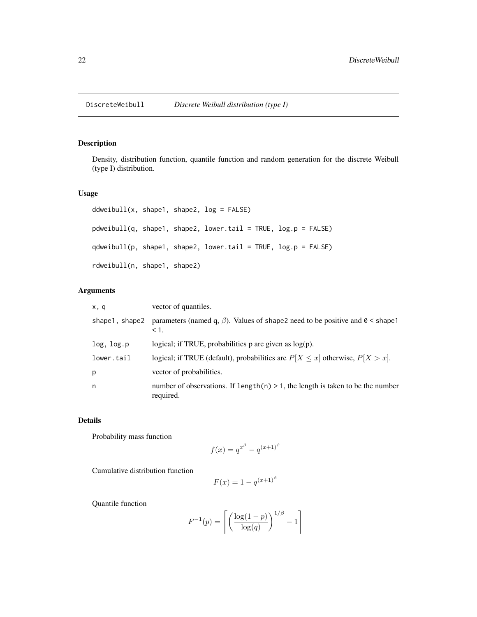### <span id="page-21-0"></span>Description

Density, distribution function, quantile function and random generation for the discrete Weibull (type I) distribution.

### Usage

```
ddweibull(x, shape1, shape2, log = FALSE)
pdweibull(q, shape1, shape2, lower.tail = TRUE, log.p = FALSE)
qdweibull(p, shape1, shape2, lower.tail = TRUE, log.p = FALSE)
rdweibull(n, shape1, shape2)
```
### Arguments

| x, q           | vector of quantiles.                                                                                   |
|----------------|--------------------------------------------------------------------------------------------------------|
| shape1, shape2 | parameters (named q, $\beta$ ). Values of shape2 need to be positive and $0 \leq$ shape1<br>$\leq 1$ . |
| log, log.p     | logical; if TRUE, probabilities $p$ are given as $log(p)$ .                                            |
| lower.tail     | logical; if TRUE (default), probabilities are $P[X \le x]$ otherwise, $P[X > x]$ .                     |
| р              | vector of probabilities.                                                                               |
| n              | number of observations. If $length(n) > 1$ , the length is taken to be the number<br>required.         |

### Details

Probability mass function

$$
f(x) = q^{x^{\beta}} - q^{(x+1)^{\beta}}
$$

Cumulative distribution function

$$
F(x) = 1 - q^{(x+1)^\beta}
$$

Quantile function

$$
F^{-1}(p) = \left\lceil \left( \frac{\log(1-p)}{\log(q)} \right)^{1/\beta} - 1 \right\rceil
$$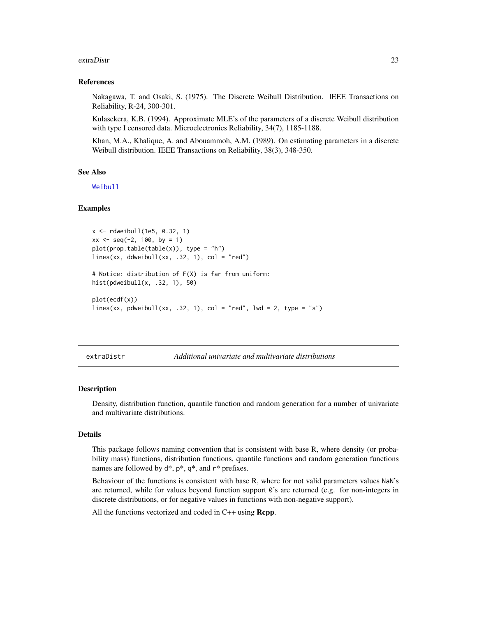#### <span id="page-22-0"></span>extraDistr 23

#### References

Nakagawa, T. and Osaki, S. (1975). The Discrete Weibull Distribution. IEEE Transactions on Reliability, R-24, 300-301.

Kulasekera, K.B. (1994). Approximate MLE's of the parameters of a discrete Weibull distribution with type I censored data. Microelectronics Reliability, 34(7), 1185-1188.

Khan, M.A., Khalique, A. and Abouammoh, A.M. (1989). On estimating parameters in a discrete Weibull distribution. IEEE Transactions on Reliability, 38(3), 348-350.

#### See Also

[Weibull](#page-0-0)

#### Examples

```
x <- rdweibull(1e5, 0.32, 1)
xx \le - seq(-2, 100, by = 1)
plot(prop.table(table(x)), type = "h")lines(xx, ddweibull(xx, .32, 1), col = "red")# Notice: distribution of F(X) is far from uniform:
hist(pdweibull(x, .32, 1), 50)
plot(ecdf(x))
lines(xx, pdweibull(xx, .32, 1), col = "red", lwd = 2, type = "s")
```
extraDistr *Additional univariate and multivariate distributions*

#### Description

Density, distribution function, quantile function and random generation for a number of univariate and multivariate distributions.

### Details

This package follows naming convention that is consistent with base R, where density (or probability mass) functions, distribution functions, quantile functions and random generation functions names are followed by  $d^*$ ,  $p^*$ ,  $q^*$ , and  $r^*$  prefixes.

Behaviour of the functions is consistent with base R, where for not valid parameters values NaN's are returned, while for values beyond function support  $\theta$ 's are returned (e.g. for non-integers in discrete distributions, or for negative values in functions with non-negative support).

All the functions vectorized and coded in C++ using **Rcpp**.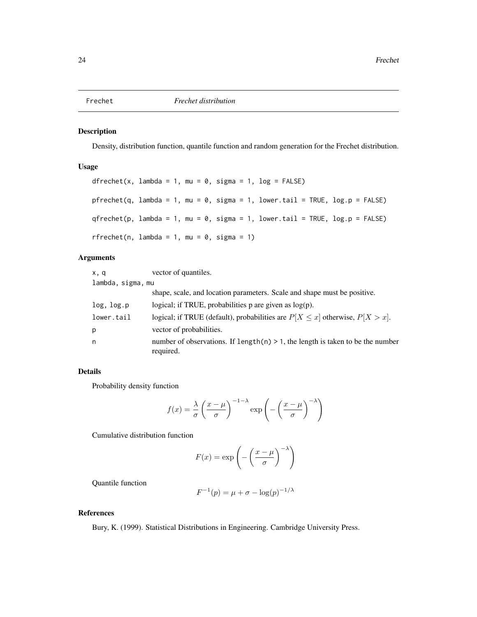<span id="page-23-0"></span>

### Description

Density, distribution function, quantile function and random generation for the Frechet distribution.

### Usage

```
dfrechet(x, lambda = 1, mu = 0, sigma = 1, log = FALSE)
pfrechet(q, lambda = 1, mu = 0, sigma = 1, lower.tail = TRUE, log.p = FALSE)
qfrechet(p, lambda = 1, mu = 0, sigma = 1, lower.tail = TRUE, log.p = FALSE)
rfrechet(n, lambda = 1, mu = 0, sigma = 1)
```
### Arguments

| x, q              | vector of quantiles.                                                                           |
|-------------------|------------------------------------------------------------------------------------------------|
| lambda, sigma, mu |                                                                                                |
|                   | shape, scale, and location parameters. Scale and shape must be positive.                       |
| log, log.p        | logical; if TRUE, probabilities $p$ are given as $log(p)$ .                                    |
| lower.tail        | logical; if TRUE (default), probabilities are $P[X \le x]$ otherwise, $P[X > x]$ .             |
| p                 | vector of probabilities.                                                                       |
| n                 | number of observations. If length(n) $> 1$ , the length is taken to be the number<br>required. |

### Details

Probability density function

$$
f(x) = \frac{\lambda}{\sigma} \left( \frac{x - \mu}{\sigma} \right)^{-1 - \lambda} \exp \left( - \left( \frac{x - \mu}{\sigma} \right)^{-\lambda} \right)
$$

Cumulative distribution function

$$
F(x) = \exp\left(-\left(\frac{x-\mu}{\sigma}\right)^{-\lambda}\right)
$$

Quantile function

$$
F^{-1}(p) = \mu + \sigma - \log(p)^{-1/\lambda}
$$

### References

Bury, K. (1999). Statistical Distributions in Engineering. Cambridge University Press.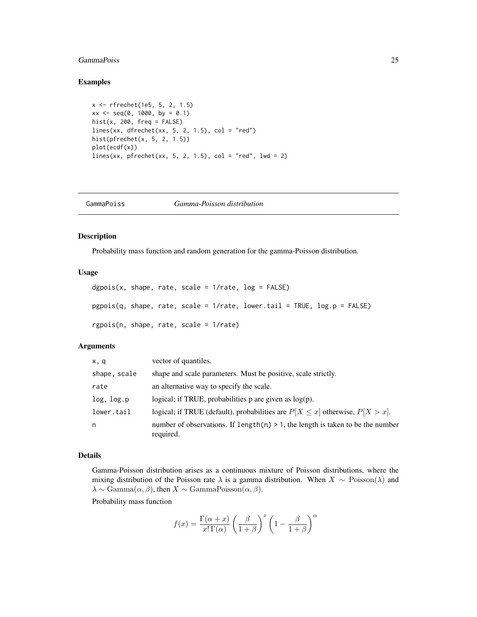### <span id="page-24-0"></span>GammaPoiss 25

#### Examples

```
x <- rfrechet(1e5, 5, 2, 1.5)
xx \le - seq(0, 1000, by = 0.1)
hist(x, 200, freq = FALSE)
lines(xx, dfrechet(xx, 5, 2, 1.5), col = "red")hist(pfrechet(x, 5, 2, 1.5))
plot(ecdf(x))
lines(xx, pfrechet(xx, 5, 2, 1.5), col = "red", 1wd = 2)
```

| GammaPoiss | Gamma-Poisson distribution |  |
|------------|----------------------------|--|
|------------|----------------------------|--|

### Description

Probability mass function and random generation for the gamma-Poisson distribution.

### Usage

```
dgpois(x, shape, rate, scale = 1/rate, log = FALSE)pgpois(q, shape, rate, scale = 1/rate, lower.tail = TRUE, log.p = FALSE)
rgpois(n, shape, rate, scale = 1/rate)
```
### Arguments

| x, q         | vector of quantiles.                                                                            |
|--------------|-------------------------------------------------------------------------------------------------|
| shape, scale | shape and scale parameters. Must be positive, scale strictly.                                   |
| rate         | an alternative way to specify the scale.                                                        |
| log, log.p   | logical; if TRUE, probabilities $p$ are given as $log(p)$ .                                     |
| lower.tail   | logical; if TRUE (default), probabilities are $P[X \le x]$ otherwise, $P[X > x]$ .              |
| n            | number of observations. If length $(n) > 1$ , the length is taken to be the number<br>required. |

#### Details

Gamma-Poisson distribution arises as a continuous mixture of Poisson distributions, where the mixing distribution of the Poisson rate  $\lambda$  is a gamma distribution. When  $X \sim \text{Poisson}(\lambda)$  and  $\lambda \sim \text{Gamma}(\alpha, \beta)$ , then  $X \sim \text{GammaPoisson}(\alpha, \beta)$ .

Probability mass function

$$
f(x) = \frac{\Gamma(\alpha + x)}{x!\,\Gamma(\alpha)} \left(\frac{\beta}{1+\beta}\right)^x \left(1 - \frac{\beta}{1+\beta}\right)^{\alpha}
$$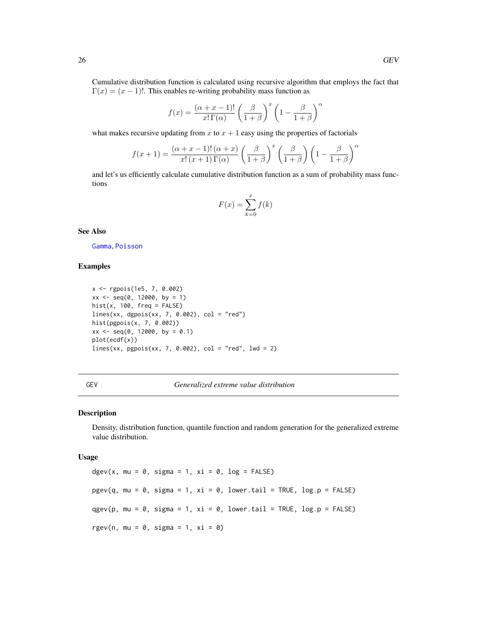<span id="page-25-0"></span>Cumulative distribution function is calculated using recursive algorithm that employs the fact that  $\Gamma(x) = (x - 1)!$ . This enables re-writing probability mass function as

$$
f(x) = \frac{(\alpha + x - 1)!}{x! \Gamma(\alpha)} \left(\frac{\beta}{1 + \beta}\right)^x \left(1 - \frac{\beta}{1 + \beta}\right)^{\alpha}
$$

what makes recursive updating from x to  $x + 1$  easy using the properties of factorials

$$
f(x+1) = \frac{(\alpha + x - 1)! (\alpha + x)}{x! (x+1) \Gamma(\alpha)} \left(\frac{\beta}{1+\beta}\right)^x \left(\frac{\beta}{1+\beta}\right) \left(1 - \frac{\beta}{1+\beta}\right)^{\alpha}
$$

and let's us efficiently calculate cumulative distribution function as a sum of probability mass functions

$$
F(x) = \sum_{k=0}^{x} f(k)
$$

See Also

[Gamma](#page-0-0), [Poisson](#page-0-0)

### Examples

```
x <- rgpois(1e5, 7, 0.002)
xx \leq -\text{seq}(0, 12000, \text{ by } = 1)hist(x, 100, freq = FALSE)
lines(xx, dgpois(xx, 7, 0.002), col = "red")hist(pgpois(x, 7, 0.002))
xx \le - seq(0, 12000, by = 0.1)
plot(ecdf(x))
lines(xx, pgois(xx, 7, 0.002), col = "red", 1wd = 2)
```
GEV *Generalized extreme value distribution*

#### Description

Density, distribution function, quantile function and random generation for the generalized extreme value distribution.

#### Usage

dgev(x, mu =  $0$ , sigma = 1, xi =  $0$ , log = FALSE)  $pgev(q, mu = 0, sigma = 1, xi = 0, lower.tail = TRUE, log.p = FALSE)$ qgev(p, mu = 0, sigma = 1, xi = 0, lower.tail = TRUE, log.p = FALSE) rgev(n, mu =  $0$ , sigma = 1, xi =  $0$ )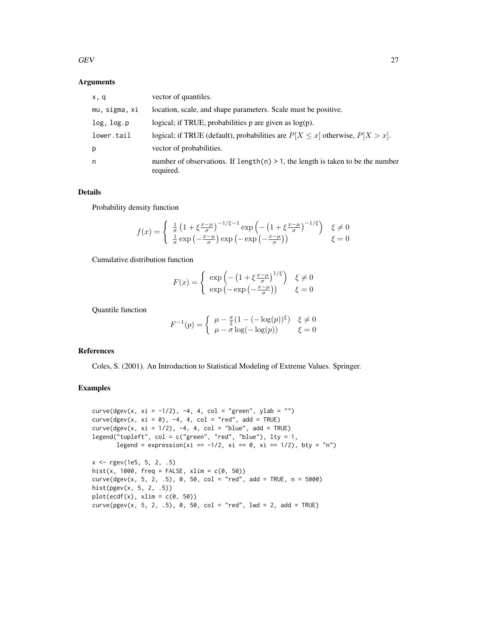### Arguments

| x, q          | vector of quantiles.                                                                           |
|---------------|------------------------------------------------------------------------------------------------|
| mu, sigma, xi | location, scale, and shape parameters. Scale must be positive.                                 |
| log, log.p    | logical; if TRUE, probabilities $p$ are given as $log(p)$ .                                    |
| lower.tail    | logical; if TRUE (default), probabilities are $P[X \le x]$ otherwise, $P[X > x]$ .             |
| р             | vector of probabilities.                                                                       |
| n             | number of observations. If $length(n) > 1$ , the length is taken to be the number<br>required. |

### Details

Probability density function

$$
f(x) = \begin{cases} \frac{1}{\sigma} \left( 1 + \xi \frac{x - \mu}{\sigma} \right)^{-1/\xi - 1} \exp\left( -\left( 1 + \xi \frac{x - \mu}{\sigma} \right)^{-1/\xi} \right) & \xi \neq 0 \\ \frac{1}{\sigma} \exp\left( -\frac{x - \mu}{\sigma} \right) \exp\left( -\exp\left( -\frac{x - \mu}{\sigma} \right) \right) & \xi = 0 \end{cases}
$$

Cumulative distribution function

$$
F(x) = \begin{cases} \exp\left(-\left(1 + \xi \frac{x-\mu}{\sigma}\right)^{1/\xi}\right) & \xi \neq 0\\ \exp\left(-\exp\left(-\frac{x-\mu}{\sigma}\right)\right) & \xi = 0 \end{cases}
$$

Quantile function

$$
F^{-1}(p) = \begin{cases} \mu - \frac{\sigma}{\xi} (1 - (-\log(p))^{\xi}) & \xi \neq 0 \\ \mu - \sigma \log(-\log(p)) & \xi = 0 \end{cases}
$$

### References

Coles, S. (2001). An Introduction to Statistical Modeling of Extreme Values. Springer.

### Examples

```
curve(dgev(x, xi = -1/2), -4, 4, col = "green", ylab = "")
curve(dgev(x, xi = 0), -4, 4, col = "red", add = TRUE)curve(dgev(x, xi = 1/2), -4, 4, col = "blue", add = TRUE)legend("topleft", col = c("green", "red", "blue"), lty = 1,
      legend = expression(xi == -1/2, xi == 0, xi == 1/2), bty = "n")
x \leq - rgev(1e5, 5, 2, .5)
hist(x, 1000, freq = FALSE, xlim = c(0, 50))
curve(dgev(x, 5, 2, .5), 0, 50, col = "red", add = TRUE, n = 5000)hist(pgev(x, 5, 2, .5))
plot(ecdf(x), xlim = c(0, 50))curve(pgev(x, 5, 2, .5), 0, 50, col = "red", lwd = 2, add = TRUE)
```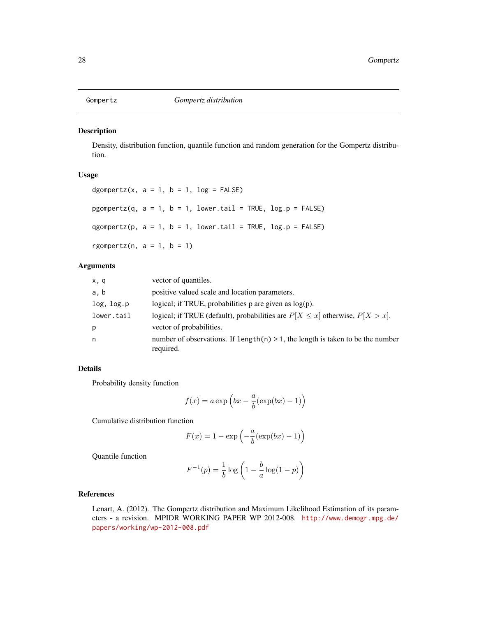<span id="page-27-0"></span>

#### Description

Density, distribution function, quantile function and random generation for the Gompertz distribution.

### Usage

```
dgompertz(x, a = 1, b = 1, log = FALSE)
pgompertz(q, a = 1, b = 1, lower.tail = TRUE, log.p = FALSE)
qgompertz(p, a = 1, b = 1, lower.tail = TRUE, log.p = FALSE)
rgompertz(n, a = 1, b = 1)
```
### Arguments

| x, q       | vector of quantiles.                                                                           |
|------------|------------------------------------------------------------------------------------------------|
| a, b       | positive valued scale and location parameters.                                                 |
| log, log.p | logical; if TRUE, probabilities $p$ are given as $log(p)$ .                                    |
| lower.tail | logical; if TRUE (default), probabilities are $P[X \le x]$ otherwise, $P[X > x]$ .             |
| p          | vector of probabilities.                                                                       |
| n          | number of observations. If length(n) $> 1$ , the length is taken to be the number<br>required. |

### Details

Probability density function

$$
f(x) = a \exp\left(bx - \frac{a}{b}(\exp(bx) - 1)\right)
$$

Cumulative distribution function

$$
F(x) = 1 - \exp\left(-\frac{a}{b}(\exp(bx) - 1)\right)
$$

Quantile function

$$
F^{-1}(p) = \frac{1}{b} \log \left( 1 - \frac{b}{a} \log(1-p) \right)
$$

### References

Lenart, A. (2012). The Gompertz distribution and Maximum Likelihood Estimation of its parameters - a revision. MPIDR WORKING PAPER WP 2012-008. [http://www.demogr.mpg.de/](http://www.demogr.mpg.de/papers/working/wp-2012-008.pdf) [papers/working/wp-2012-008.pdf](http://www.demogr.mpg.de/papers/working/wp-2012-008.pdf)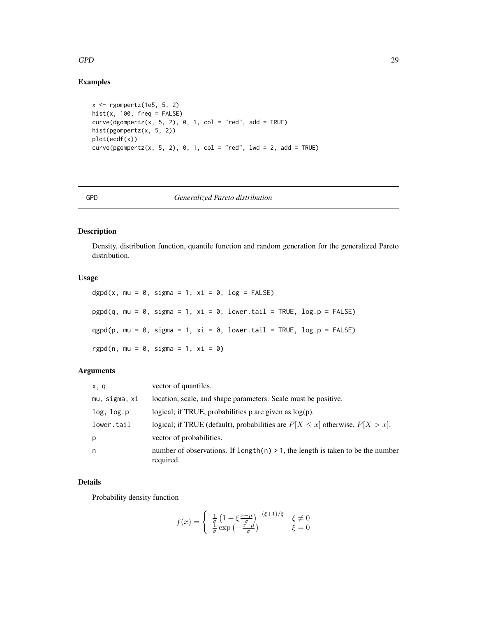### <span id="page-28-0"></span> $GPD$  29

### Examples

```
x <- rgompertz(1e5, 5, 2)
hist(x, 100, freq = FALSE)curve(dgompertz(x, 5, 2), 0, 1, col = "red", add = TRUE)hist(pgompertz(x, 5, 2))
plot(ecdf(x))
curve(pgompertz(x, 5, 2), 0, 1, col = "red", lwd = 2, add = TRUE)
```
### GPD *Generalized Pareto distribution*

### Description

Density, distribution function, quantile function and random generation for the generalized Pareto distribution.

### Usage

dgpd(x, mu =  $\theta$ , sigma = 1, xi =  $\theta$ , log = FALSE)  $pgpd(q, mu = 0, sigma = 1, xi = 0, lower.tail = TRUE, log.p = FALSE)$  $qgpd(p, mu = 0, sigma = 1, xi = 0, lower.tail = TRUE, log.p = FALSE)$ rgpd(n, mu =  $0$ , sigma = 1, xi =  $0$ )

### Arguments

| x, q          | vector of quantiles.                                                                            |
|---------------|-------------------------------------------------------------------------------------------------|
| mu, sigma, xi | location, scale, and shape parameters. Scale must be positive.                                  |
| log, log.p    | logical; if TRUE, probabilities $p$ are given as $log(p)$ .                                     |
| lower.tail    | logical; if TRUE (default), probabilities are $P[X \le x]$ otherwise, $P[X > x]$ .              |
| p             | vector of probabilities.                                                                        |
| n             | number of observations. If length $(n) > 1$ , the length is taken to be the number<br>required. |

### Details

Probability density function

$$
f(x) = \begin{cases} \frac{1}{q} \left( 1 + \xi \frac{x - \mu}{\sigma} \right)^{-(\xi + 1)/\xi} & \xi \neq 0\\ \frac{1}{\sigma} \exp\left( -\frac{x - \mu}{\sigma} \right) & \xi = 0 \end{cases}
$$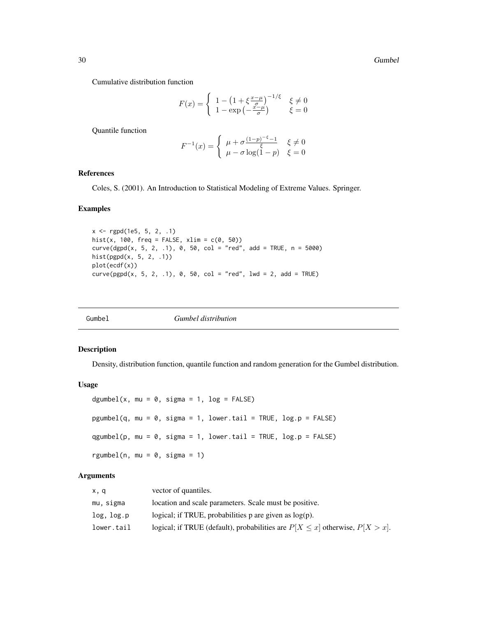<span id="page-29-0"></span>Cumulative distribution function

$$
F(x) = \begin{cases} 1 - \left(1 + \xi \frac{x - \mu}{\sigma}\right)^{-1/\xi} & \xi \neq 0\\ 1 - \exp\left(-\frac{x - \mu}{\sigma}\right) & \xi = 0 \end{cases}
$$

Quantile function

$$
F^{-1}(x) = \begin{cases} \mu + \sigma \frac{(1-p)^{-\xi} - 1}{\xi} & \xi \neq 0\\ \mu - \sigma \log(1-p) & \xi = 0 \end{cases}
$$

### References

Coles, S. (2001). An Introduction to Statistical Modeling of Extreme Values. Springer.

#### Examples

x <- rgpd(1e5, 5, 2, .1) hist(x, 100, freq = FALSE,  $xlim = c(0, 50)$ )  $curve(dgpd(x, 5, 2, .1), 0, 50, col = "red", add = TRUE, n = 5000)$ hist(pgpd(x, 5, 2, .1)) plot(ecdf(x))  $curve(pgpd(x, 5, 2, .1), 0, 50, col = "red", 1wd = 2, add = TRUE)$ 

| Gumbel<br><i>Gumbel distribution</i> |
|--------------------------------------|
|--------------------------------------|

#### Description

Density, distribution function, quantile function and random generation for the Gumbel distribution.

### Usage

```
dgumbel(x, mu = 0, sigma = 1, log = FALSE)
pgumbel(q, mu = 0, sigma = 1, lower.tail = TRUE, log.p = FALSE)
qgumbel(p, mu = 0, sigma = 1, lower.tail = TRUE, log.p = FALSE)
rgumbel(n, mu = 0, sigma = 1)
```
### Arguments

| x, q       | vector of quantiles.                                                               |
|------------|------------------------------------------------------------------------------------|
| mu, sigma  | location and scale parameters. Scale must be positive.                             |
| log, log.p | logical; if TRUE, probabilities p are given as $log(p)$ .                          |
| lower.tail | logical; if TRUE (default), probabilities are $P[X \le x]$ otherwise, $P[X > x]$ . |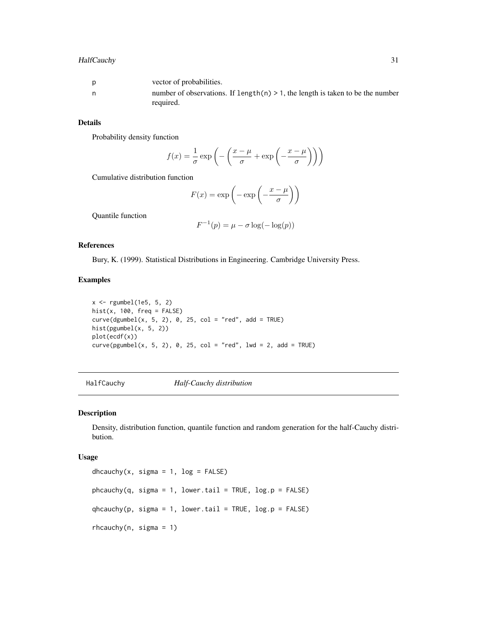### <span id="page-30-0"></span>HalfCauchy 31

| <sub>D</sub> | vector of probabilities.                                                          |
|--------------|-----------------------------------------------------------------------------------|
| n,           | number of observations. If $length(n) > 1$ , the length is taken to be the number |
|              | required.                                                                         |

### Details

Probability density function

$$
f(x) = \frac{1}{\sigma} \exp\left(-\left(\frac{x-\mu}{\sigma} + \exp\left(-\frac{x-\mu}{\sigma}\right)\right)\right)
$$

Cumulative distribution function

$$
F(x) = \exp\left(-\exp\left(-\frac{x-\mu}{\sigma}\right)\right)
$$

Quantile function

$$
F^{-1}(p) = \mu - \sigma \log(-\log(p))
$$

### References

Bury, K. (1999). Statistical Distributions in Engineering. Cambridge University Press.

#### Examples

```
x <- rgumbel(1e5, 5, 2)
hist(x, 100, freq = FALSE)curve(dgumbel(x, 5, 2), 0, 25, col = "red", add = TRUE)hist(pgumbel(x, 5, 2))
plot(ecdf(x))
curve(pgumbel(x, 5, 2), 0, 25, col = "red", lwd = 2, add = TRUE)
```
<span id="page-30-1"></span>HalfCauchy *Half-Cauchy distribution*

#### Description

Density, distribution function, quantile function and random generation for the half-Cauchy distribution.

#### Usage

```
dhcauchy(x, sigma = 1, log = FALSE)
phcauchy(q, sigma = 1, lower.tail = TRUE, log.p = FALSE)qhcauchy(p, sigma = 1, lower.tail = TRUE, log.p = FALSE)
rhcauchy(n, sigma = 1)
```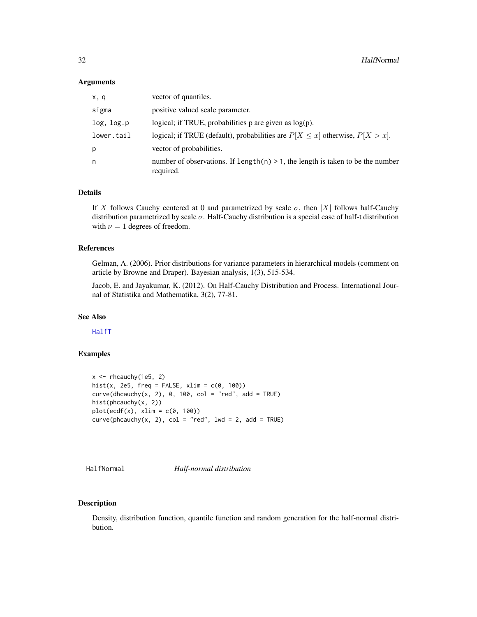#### <span id="page-31-0"></span>**Arguments**

| x, q       | vector of quantiles.                                                                           |
|------------|------------------------------------------------------------------------------------------------|
| sigma      | positive valued scale parameter.                                                               |
| log, log.p | logical; if TRUE, probabilities $p$ are given as $log(p)$ .                                    |
| lower.tail | logical; if TRUE (default), probabilities are $P[X \le x]$ otherwise, $P[X > x]$ .             |
| p          | vector of probabilities.                                                                       |
| n          | number of observations. If $length(n) > 1$ , the length is taken to be the number<br>required. |

### Details

If X follows Cauchy centered at 0 and parametrized by scale  $\sigma$ , then |X| follows half-Cauchy distribution parametrized by scale  $\sigma$ . Half-Cauchy distribution is a special case of half-t distribution with  $\nu = 1$  degrees of freedom.

### References

Gelman, A. (2006). Prior distributions for variance parameters in hierarchical models (comment on article by Browne and Draper). Bayesian analysis, 1(3), 515-534.

Jacob, E. and Jayakumar, K. (2012). On Half-Cauchy Distribution and Process. International Journal of Statistika and Mathematika, 3(2), 77-81.

### See Also

[HalfT](#page-33-1)

### Examples

```
x \leftarrow rhcauchy(1e5, 2)
hist(x, 2e5, freq = FALSE, xlim = c(\theta, 100))
curve(dhcauchy(x, 2), 0, 100, col = "red", add = TRUE)hist(phcauchy(x, 2))
plot(ecdf(x), xlim = c(0, 100))curve(phenachy(x, 2), col = "red", lwd = 2, add = TRUE)
```
<span id="page-31-1"></span>HalfNormal *Half-normal distribution*

### Description

Density, distribution function, quantile function and random generation for the half-normal distribution.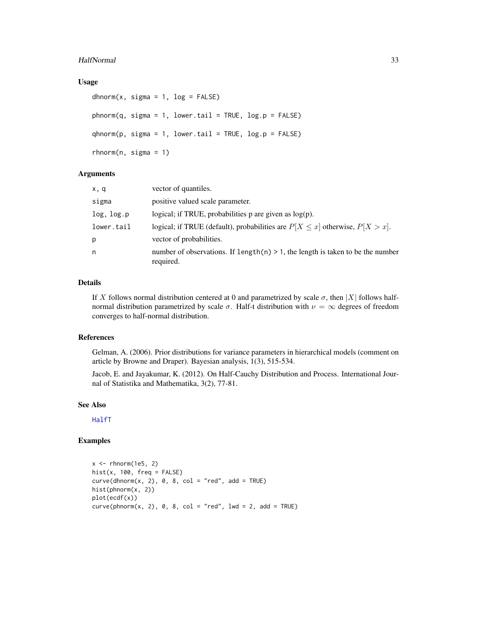#### HalfNormal 33

#### Usage

```
dhnorm(x, \text{sigma} = 1, \text{log} = \text{FALSE})phnorm(q, sigma = 1, lowertail = TRUE, log.p = FALSE)qhnorm(p, sigma = 1, lowertail = TRUE, <math>log.p = FALSE)
rhnorm(n, \text{sigma} = 1)
```
#### Arguments

| x, q       | vector of quantiles.                                                                           |
|------------|------------------------------------------------------------------------------------------------|
| sigma      | positive valued scale parameter.                                                               |
| log, log.p | logical; if TRUE, probabilities $p$ are given as $log(p)$ .                                    |
| lower.tail | logical; if TRUE (default), probabilities are $P[X \le x]$ otherwise, $P[X > x]$ .             |
| p          | vector of probabilities.                                                                       |
| n          | number of observations. If $length(n) > 1$ , the length is taken to be the number<br>required. |

### Details

If X follows normal distribution centered at 0 and parametrized by scale  $\sigma$ , then |X| follows halfnormal distribution parametrized by scale σ. Half-t distribution with  $ν = ∞$  degrees of freedom converges to half-normal distribution.

#### References

Gelman, A. (2006). Prior distributions for variance parameters in hierarchical models (comment on article by Browne and Draper). Bayesian analysis, 1(3), 515-534.

Jacob, E. and Jayakumar, K. (2012). On Half-Cauchy Distribution and Process. International Journal of Statistika and Mathematika, 3(2), 77-81.

### See Also

[HalfT](#page-33-1)

### Examples

```
x \le - rhnorm(1e5, 2)
hist(x, 100, freq = FALSE)
curve(dhnorm(x, 2), 0, 8, col = "red", add = TRUE)hist(phnorm(x, 2))
plot(ecdf(x))
curve(phonorm(x, 2), 0, 8, col = "red", lwd = 2, add = TRUE)
```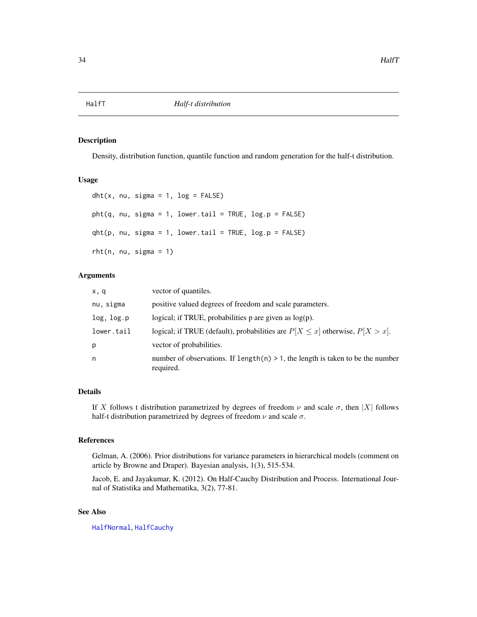<span id="page-33-1"></span><span id="page-33-0"></span>

### Description

Density, distribution function, quantile function and random generation for the half-t distribution.

### Usage

```
dht(x, nu, sigma = 1, log = FALSE)pht(q, nu, sigma = 1, lower.tail = TRUE, log.p = FALSE)qht(p, nu, sigma = 1, lower.tail = TRUE, log.p = FALSE)rht(n, nu, sigma = 1)
```
#### **Arguments**

| x, q       | vector of quantiles.                                                                           |
|------------|------------------------------------------------------------------------------------------------|
| nu, sigma  | positive valued degrees of freedom and scale parameters.                                       |
| log, log.p | logical; if TRUE, probabilities $p$ are given as $log(p)$ .                                    |
| lower.tail | logical; if TRUE (default), probabilities are $P[X \le x]$ otherwise, $P[X > x]$ .             |
| p          | vector of probabilities.                                                                       |
| n          | number of observations. If $length(n) > 1$ , the length is taken to be the number<br>required. |

### Details

If X follows t distribution parametrized by degrees of freedom  $\nu$  and scale  $\sigma$ , then |X| follows half-t distribution parametrized by degrees of freedom  $\nu$  and scale  $\sigma$ .

#### References

Gelman, A. (2006). Prior distributions for variance parameters in hierarchical models (comment on article by Browne and Draper). Bayesian analysis, 1(3), 515-534.

Jacob, E. and Jayakumar, K. (2012). On Half-Cauchy Distribution and Process. International Journal of Statistika and Mathematika, 3(2), 77-81.

### See Also

[HalfNormal](#page-31-1), [HalfCauchy](#page-30-1)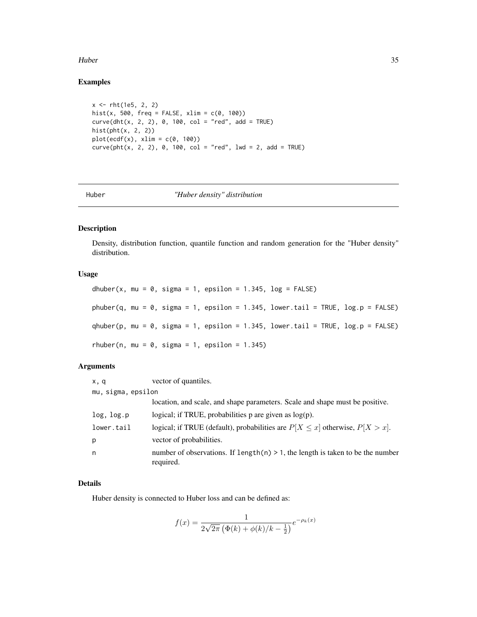#### <span id="page-34-0"></span>Huber 35

### Examples

```
x <- rht(1e5, 2, 2)
hist(x, 500, freq = FALSE, xlim = c(0, 100))
curve(dht(x, 2, 2), 0, 100, col = "red", add = TRUE)hist(pht(x, 2, 2))
plot(ecdf(x), xlim = c(0, 100))curve(\text{pht}(x, 2, 2), 0, 100, col = "red", 1wd = 2, add = TRUE)
```
#### Huber *"Huber density" distribution*

#### Description

Density, distribution function, quantile function and random generation for the "Huber density" distribution.

### Usage

dhuber(x, mu = 0, sigma = 1, epsilon = 1.345,  $log = FALSE$ ) phuber(q, mu = 0, sigma = 1, epsilon = 1.345, lower.tail = TRUE,  $log.p = FALSE$ ) qhuber(p, mu =  $\theta$ , sigma = 1, epsilon = 1.345, lower.tail = TRUE, log.p = FALSE) rhuber(n, mu =  $0$ , sigma = 1, epsilon = 1.345)

### Arguments

| x, q               | vector of quantiles.                                                                           |
|--------------------|------------------------------------------------------------------------------------------------|
| mu, sigma, epsilon |                                                                                                |
|                    | location, and scale, and shape parameters. Scale and shape must be positive.                   |
| log, log.p         | logical; if TRUE, probabilities $p$ are given as $log(p)$ .                                    |
| lower.tail         | logical; if TRUE (default), probabilities are $P[X \le x]$ otherwise, $P[X > x]$ .             |
| p                  | vector of probabilities.                                                                       |
| n                  | number of observations. If $length(n) > 1$ , the length is taken to be the number<br>required. |

#### Details

Huber density is connected to Huber loss and can be defined as:

$$
f(x) = \frac{1}{2\sqrt{2\pi} \left(\Phi(k) + \phi(k)/k - \frac{1}{2}\right)} e^{-\rho_k(x)}
$$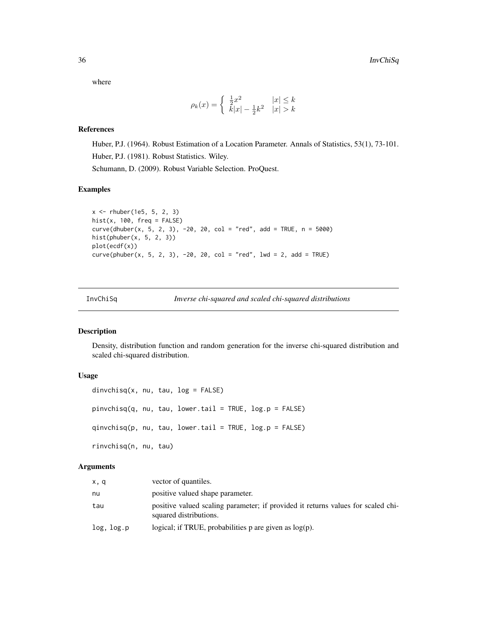where

$$
\rho_k(x) = \begin{cases} \frac{1}{2}x^2 & |x| \le k \\ k|x| - \frac{1}{2}k^2 & |x| > k \end{cases}
$$

#### References

Huber, P.J. (1964). Robust Estimation of a Location Parameter. Annals of Statistics, 53(1), 73-101. Huber, P.J. (1981). Robust Statistics. Wiley. Schumann, D. (2009). Robust Variable Selection. ProQuest.

### Examples

```
x <- rhuber(1e5, 5, 2, 3)
hist(x, 100, freq = FALSE)
curve(dhuber(x, 5, 2, 3), -20, 20, col = "red", add = TRUE, n = 5000)hist(phuber(x, 5, 2, 3))
plot(ecdf(x))
curve(phuber(x, 5, 2, 3), -20, 20, col = "red", 1wd = 2, add = TRUE)
```

| InvChiSa | Inverse chi-squared and scaled chi-squared distributions |
|----------|----------------------------------------------------------|
|          |                                                          |

#### Description

Density, distribution function and random generation for the inverse chi-squared distribution and scaled chi-squared distribution.

#### Usage

```
divchisq(x, nu, tau, log = FALSE)pinvchisq(q, nu, tau, lower.tail = TRUE, log.p = FALSE)
qinvchisq(p, nu, tau, lower.tail = TRUE, log.p = FALSE)
rinvchisq(n, nu, tau)
```
### Arguments

| x, q       | vector of quantiles.                                                                                       |
|------------|------------------------------------------------------------------------------------------------------------|
| nu         | positive valued shape parameter.                                                                           |
| tau        | positive valued scaling parameter; if provided it returns values for scaled chi-<br>squared distributions. |
| log, log.p | logical; if TRUE, probabilities $p$ are given as $log(p)$ .                                                |

<span id="page-35-0"></span>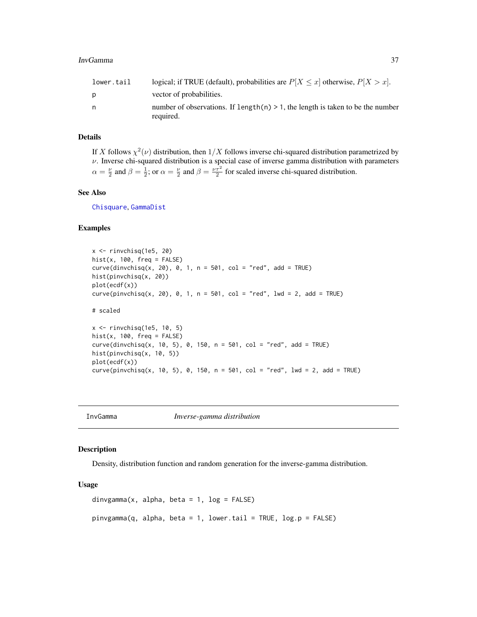| lower.tail | logical; if TRUE (default), probabilities are $P[X \le x]$ otherwise, $P[X > x]$ .             |
|------------|------------------------------------------------------------------------------------------------|
|            | vector of probabilities.                                                                       |
| n          | number of observations. If length(n) $> 1$ , the length is taken to be the number<br>required. |
|            |                                                                                                |

## Details

If X follows  $\chi^2(\nu)$  distribution, then  $1/X$  follows inverse chi-squared distribution parametrized by  $\nu$ . Inverse chi-squared distribution is a special case of inverse gamma distribution with parameters  $\alpha = \frac{\nu}{2}$  and  $\beta = \frac{\nu}{2}$ ; or  $\alpha = \frac{\nu}{2}$  and  $\beta = \frac{\nu \tau^2}{2}$  for scaled inverse chi-squared distribution.

#### See Also

[Chisquare](#page-0-0), [GammaDist](#page-0-0)

## Examples

```
x \le -rinvchisq(1e5, 20)
hist(x, 100, freq = FALSE)curve(dinvchisq(x, 20), 0, 1, n = 501, col = "red", add = TRUE)hist(pinvchisq(x, 20))
plot(ecdf(x))
curve(pinvchisq(x, 20), 0, 1, n = 501, col = "red", lwd = 2, add = TRUE)# scaled
x \le rinvchisq(1e5, 10, 5)
hist(x, 100, freq = FALSE)
curve(dinvchisq(x, 10, 5), 0, 150, n = 501, col = "red", add = TRUE)hist(pinvchisq(x, 10, 5))
plot(ecdf(x))
curve(pinvchisq(x, 10, 5), 0, 150, n = 501, col = "red", lwd = 2, add = TRUE)
```
InvGamma *Inverse-gamma distribution*

# Description

Density, distribution function and random generation for the inverse-gamma distribution.

#### Usage

```
dinvgamma(x, alpha, beta = 1, log = FALSE)
pinvgamma(q, alpha, beta = 1, lower.tail = TRUE, log.p = FALSE)
```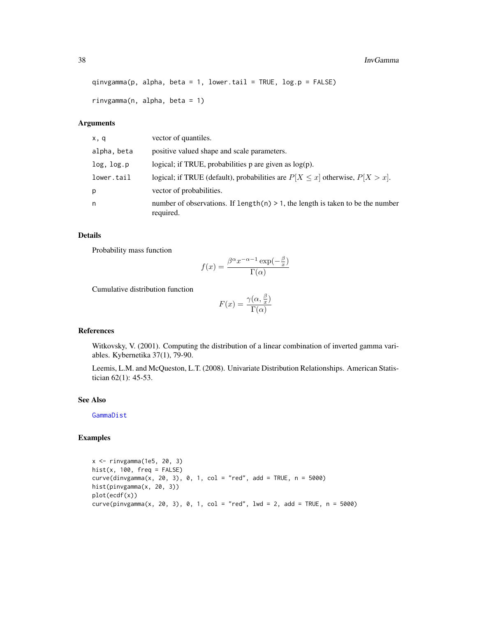#### 38 InvGamma

```
qinvgamma(p, alpha, beta = 1, lower.tail = TRUE, log.p = FALSE)
```

```
rinvgamma(n, alpha, beta = 1)
```
## Arguments

| x, q        | vector of quantiles.                                                                            |
|-------------|-------------------------------------------------------------------------------------------------|
| alpha, beta | positive valued shape and scale parameters.                                                     |
| log, log.p  | logical; if TRUE, probabilities $p$ are given as $log(p)$ .                                     |
| lower.tail  | logical; if TRUE (default), probabilities are $P[X \le x]$ otherwise, $P[X > x]$ .              |
| р           | vector of probabilities.                                                                        |
| n           | number of observations. If length $(n) > 1$ , the length is taken to be the number<br>required. |

# Details

Probability mass function

$$
f(x) = \frac{\beta^{\alpha} x^{-\alpha - 1} \exp(-\frac{\beta}{x})}{\Gamma(\alpha)}
$$

Cumulative distribution function

$$
F(x) = \frac{\gamma(\alpha, \frac{\beta}{x})}{\Gamma(\alpha)}
$$

#### References

Witkovsky, V. (2001). Computing the distribution of a linear combination of inverted gamma variables. Kybernetika 37(1), 79-90.

Leemis, L.M. and McQueston, L.T. (2008). Univariate Distribution Relationships. American Statistician 62(1): 45-53.

## See Also

[GammaDist](#page-0-0)

```
x <- rinvgamma(1e5, 20, 3)
hist(x, 100, freq = FALSE)curve(dinyamma(x, 20, 3), 0, 1, col = "red", add = TRUE, n = 5000)hist(pinvgamma(x, 20, 3))
plot(ecdf(x))
curve(pinvgamma(x, 20, 3), 0, 1, col = "red", 1wd = 2, add = TRUE, n = 5000)
```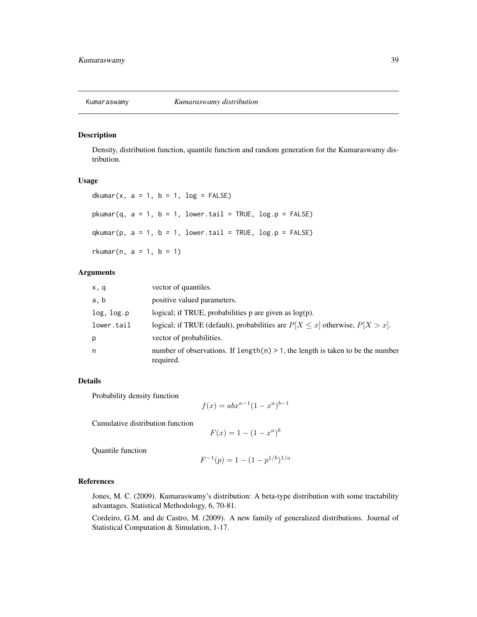Density, distribution function, quantile function and random generation for the Kumaraswamy distribution.

#### Usage

dkumar(x,  $a = 1$ ,  $b = 1$ ,  $log =$  FALSE)  $pkumar(q, a = 1, b = 1, lower.tail = TRUE, log.p = FALSE)$  $q$ kumar(p,  $a = 1$ ,  $b = 1$ , lower.tail = TRUE, log.p = FALSE) rkumar(n,  $a = 1$ ,  $b = 1$ )

## Arguments

| x, q       | vector of quantiles.                                                                           |
|------------|------------------------------------------------------------------------------------------------|
| a, b       | positive valued parameters.                                                                    |
| log, log.p | logical; if TRUE, probabilities $p$ are given as $log(p)$ .                                    |
| lower.tail | logical; if TRUE (default), probabilities are $P[X \le x]$ otherwise, $P[X > x]$ .             |
| р          | vector of probabilities.                                                                       |
| n          | number of observations. If length(n) $> 1$ , the length is taken to be the number<br>required. |

## Details

Probability density function

 $f(x) = abx^{a-1}(1-x^a)^{b-1}$ 

Cumulative distribution function

 $F(x) = 1 - (1 - x^a)^b$ 

Quantile function

$$
F^{-1}(p) = 1 - (1 - p^{1/b})^{1/a}
$$

#### References

Jones, M. C. (2009). Kumaraswamy's distribution: A beta-type distribution with some tractability advantages. Statistical Methodology, 6, 70-81.

Cordeiro, G.M. and de Castro, M. (2009). A new family of generalized distributions. Journal of Statistical Computation & Simulation, 1-17.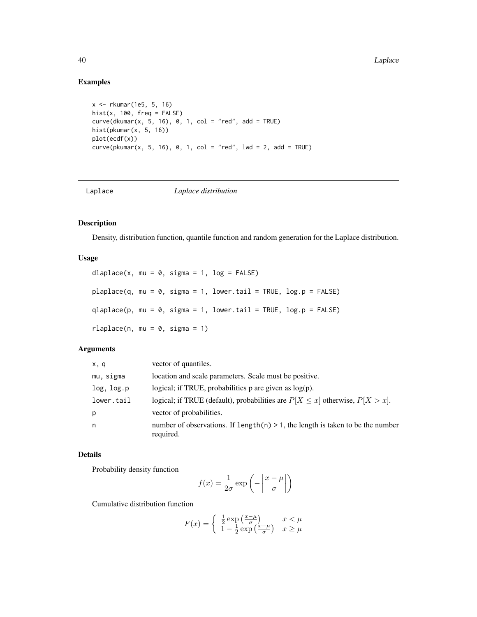# Examples

```
x <- rkumar(1e5, 5, 16)
hist(x, 100, freq = FALSE)
curve(dkumar(x, 5, 16), 0, 1, col = "red", add = TRUE)hist(pkumar(x, 5, 16))
plot(ecdf(x))
curve(pkumar(x, 5, 16), 0, 1, col = "red", lwd = 2, add = TRUE)
```
Laplace *Laplace distribution*

# Description

Density, distribution function, quantile function and random generation for the Laplace distribution.

# Usage

```
dlaplace(x, mu = 0, sigma = 1, log = FALSE)
plaplace(q, mu = 0, sigma = 1, lower.tail = TRUE, log.p = FALSE)qlaplace(p, mu = 0, sigma = 1, lower.tail = TRUE, log.p = FALSE)
rlaplace(n, mu = 0, sigma = 1)
```
## Arguments

| vector of quantiles.                                                                            |
|-------------------------------------------------------------------------------------------------|
| location and scale parameters. Scale must be positive.                                          |
| logical; if TRUE, probabilities p are given as $log(p)$ .                                       |
| logical; if TRUE (default), probabilities are $P[X \le x]$ otherwise, $P[X > x]$ .              |
| vector of probabilities.                                                                        |
| number of observations. If length $(n) > 1$ , the length is taken to be the number<br>required. |
|                                                                                                 |

## Details

Probability density function

$$
f(x) = \frac{1}{2\sigma} \exp\left(-\left|\frac{x-\mu}{\sigma}\right|\right)
$$

Cumulative distribution function

$$
F(x) = \begin{cases} \frac{1}{2} \exp\left(\frac{x-\mu}{\sigma}\right) & x < \mu\\ 1 - \frac{1}{2} \exp\left(\frac{x-\mu}{\sigma}\right) & x \ge \mu \end{cases}
$$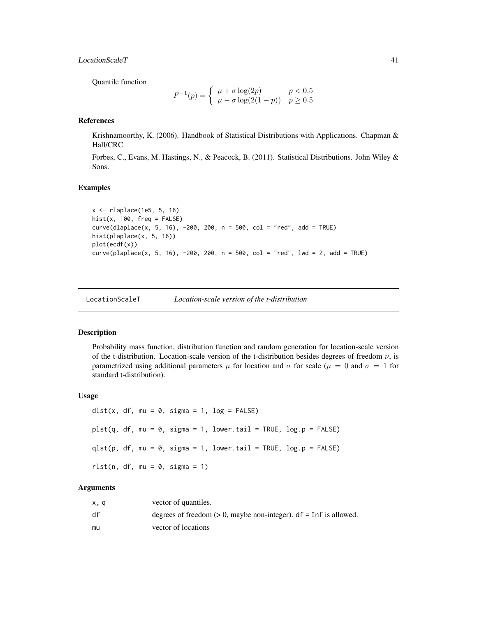## LocationScaleT 41

Quantile function

$$
F^{-1}(p) = \begin{cases} \mu + \sigma \log(2p) & p < 0.5\\ \mu - \sigma \log(2(1-p)) & p \ge 0.5 \end{cases}
$$

## References

Krishnamoorthy, K. (2006). Handbook of Statistical Distributions with Applications. Chapman & Hall/CRC

Forbes, C., Evans, M. Hastings, N., & Peacock, B. (2011). Statistical Distributions. John Wiley & Sons.

# Examples

```
x <- rlaplace(1e5, 5, 16)
hist(x, 100, freq = FALSE)
curve(dlaplace(x, 5, 16), -200, 200, n = 500, col = "red", add = TRUE)hist(plaplace(x, 5, 16))
plot(ecdf(x))
curve(plaplace(x, 5, 16), -200, 200, n = 500, col = 'red', lwd = 2, add = TRUE)
```
LocationScaleT *Location-scale version of the t-distribution*

#### Description

Probability mass function, distribution function and random generation for location-scale version of the t-distribution. Location-scale version of the t-distribution besides degrees of freedom  $\nu$ , is parametrized using additional parameters  $\mu$  for location and  $\sigma$  for scale ( $\mu = 0$  and  $\sigma = 1$  for standard t-distribution).

### Usage

```
dlst(x, df, mu = 0, sigma = 1, log = FALSE)
plst(q, df, mu = 0, sigma = 1, lower[amara] = TRUE, <math>log.p = FALSE)
qlst(p, df, mu = 0, sigma = 1, lower.tail = TRUE, log.p = FALSE)rlst(n, df, mu = 0, sigma = 1)
```
## Arguments

| x.q | vector of quantiles.                                                   |
|-----|------------------------------------------------------------------------|
| df  | degrees of freedom $(> 0$ , maybe non-integer). $df = Inf$ is allowed. |
| mu  | vector of locations                                                    |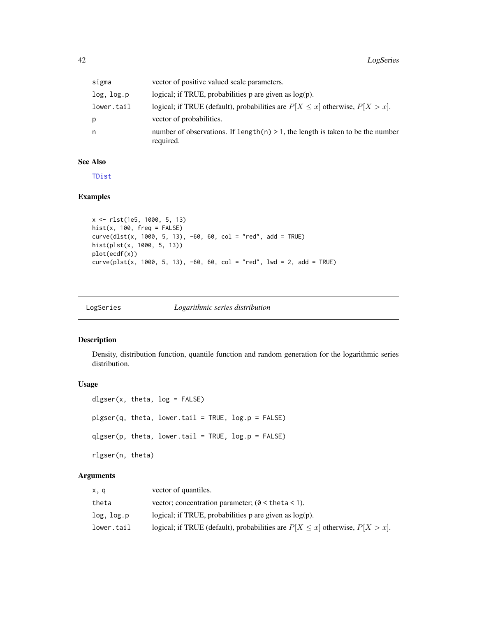| sigma      | vector of positive valued scale parameters.                                                     |
|------------|-------------------------------------------------------------------------------------------------|
| log, log.p | logical; if TRUE, probabilities $p$ are given as $log(p)$ .                                     |
| lower.tail | logical; if TRUE (default), probabilities are $P[X \le x]$ otherwise, $P[X > x]$ .              |
| р          | vector of probabilities.                                                                        |
| n          | number of observations. If length $(n) > 1$ , the length is taken to be the number<br>required. |

## See Also

[TDist](#page-0-0)

# Examples

```
x <- rlst(1e5, 1000, 5, 13)
hist(x, 100, freq = FALSE)
curve(dlst(x, 1000, 5, 13), -60, 60, col = "red", add = TRUE)hist(plst(x, 1000, 5, 13))
plot(ecdf(x))
curve(plst(x, 1000, 5, 13), -60, 60, col = "red", lwd = 2, add = TRUE)
```

| Logarithmic series distribution<br>LogSeries |
|----------------------------------------------|
|----------------------------------------------|

# Description

Density, distribution function, quantile function and random generation for the logarithmic series distribution.

# Usage

```
dlgser(x, theta, log = FALSE)
plgser(q, theta, lower.tail = TRUE, log.p = FALSE)
qlgser(p, theta, lower.tail = TRUE, log.p = FALSE)
rlgser(n, theta)
```
# Arguments

| x, q       | vector of quantiles.                                                               |
|------------|------------------------------------------------------------------------------------|
| theta      | vector; concentration parameter; ( $\theta$ < theta < 1).                          |
| log, log.p | logical; if TRUE, probabilities p are given as $log(p)$ .                          |
| lower.tail | logical; if TRUE (default), probabilities are $P[X \le x]$ otherwise, $P[X > x]$ . |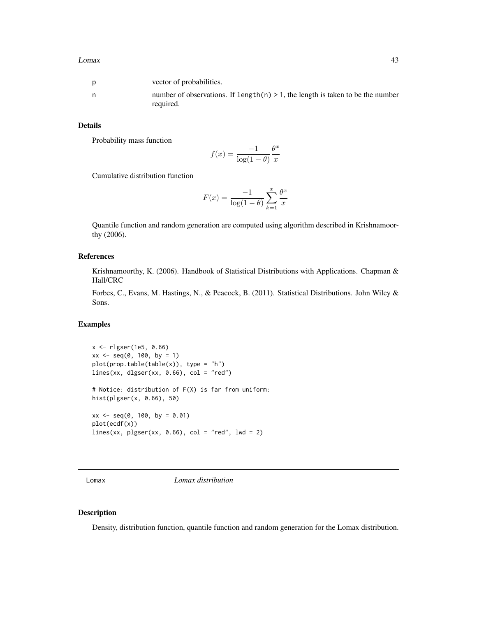|   | vector of probabilities.                                                                       |
|---|------------------------------------------------------------------------------------------------|
| n | number of observations. If $length(n) > 1$ , the length is taken to be the number<br>required. |

## Details

Probability mass function

$$
f(x) = \frac{-1}{\log(1-\theta)} \frac{\theta^x}{x}
$$

Cumulative distribution function

$$
F(x) = \frac{-1}{\log(1-\theta)} \sum_{k=1}^{x} \frac{\theta^x}{x}
$$

Quantile function and random generation are computed using algorithm described in Krishnamoorthy (2006).

## References

Krishnamoorthy, K. (2006). Handbook of Statistical Distributions with Applications. Chapman & Hall/CRC

Forbes, C., Evans, M. Hastings, N., & Peacock, B. (2011). Statistical Distributions. John Wiley & Sons.

## Examples

```
x <- rlgser(1e5, 0.66)
xx \le - seq(0, 100, by = 1)
plot(prop.table(table(x)), type = "h")
lines(xx, dlgser(xx, 0.66), col = "red")
# Notice: distribution of F(X) is far from uniform:
hist(plgser(x, 0.66), 50)
xx \le - seq(0, 100, by = 0.01)
plot(ecdf(x))
lines(xx, plgser(xx, 0.66), col = "red", lwd = 2)
```
Lomax *Lomax distribution*

#### Description

Density, distribution function, quantile function and random generation for the Lomax distribution.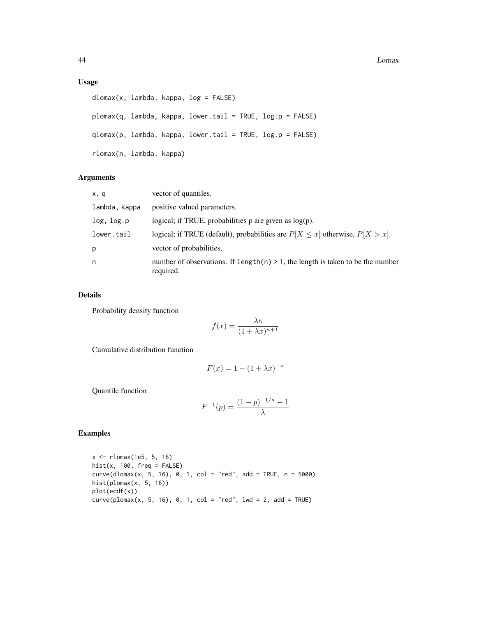## Usage

```
dlomax(x, lambda, kappa, log = FALSE)
plomax(q, lambda, kappa, lower.tail = TRUE, log.p = FALSE)
qlomax(p, lambda, kappa, lower.tail = TRUE, log.p = FALSE)
rlomax(n, lambda, kappa)
```
# Arguments

| x, q          | vector of quantiles.                                                                           |
|---------------|------------------------------------------------------------------------------------------------|
| lambda, kappa | positive valued parameters.                                                                    |
| log, log.p    | logical; if TRUE, probabilities $p$ are given as $log(p)$ .                                    |
| lower.tail    | logical; if TRUE (default), probabilities are $P[X \le x]$ otherwise, $P[X > x]$ .             |
| p             | vector of probabilities.                                                                       |
| n             | number of observations. If $length(n) > 1$ , the length is taken to be the number<br>required. |

# Details

Probability density function

$$
f(x) = \frac{\lambda \kappa}{(1 + \lambda x)^{\kappa + 1}}
$$

Cumulative distribution function

$$
F(x) = 1 - (1 + \lambda x)^{-\kappa}
$$

Quantile function

$$
F^{-1}(p) = \frac{(1-p)^{-1/\kappa} - 1}{\lambda}
$$

# Examples

x <- rlomax(1e5, 5, 16)  $hist(x, 100, freq = FALSE)$  $curve(dlomax(x, 5, 16), 0, 1, col = "red", add = TRUE, n = 5000)$ hist(plomax $(x, 5, 16)$ ) plot(ecdf(x))  $curve($ plomax(x, 5, 16), 0, 1, col = "red", lwd = 2, add = TRUE)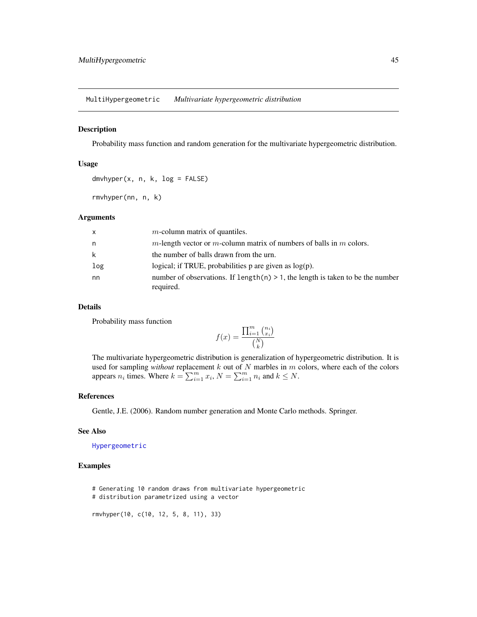MultiHypergeometric *Multivariate hypergeometric distribution*

#### Description

Probability mass function and random generation for the multivariate hypergeometric distribution.

## Usage

dmvhyper(x, n, k, log = FALSE)

rmvhyper(nn, n, k)

## Arguments

| $\mathsf{x}$ | $m$ -column matrix of quantiles.                                                               |
|--------------|------------------------------------------------------------------------------------------------|
| n.           | m-length vector or m-column matrix of numbers of balls in m colors.                            |
| k            | the number of balls drawn from the urn.                                                        |
| log          | logical; if TRUE, probabilities $p$ are given as $log(p)$ .                                    |
| nn           | number of observations. If $length(n) > 1$ , the length is taken to be the number<br>required. |

#### Details

Probability mass function

$$
f(x) = \frac{\prod_{i=1}^{m} {n_i \choose x_i}}{\binom{N}{k}}
$$

The multivariate hypergeometric distribution is generalization of hypergeometric distribution. It is used for sampling *without* replacement k out of N marbles in m colors, where each of the colors appears  $n_i$  times. Where  $k = \sum_{i=1}^m x_i$ ,  $N = \sum_{i=1}^m n_i$  and  $k \leq N$ .

## References

Gentle, J.E. (2006). Random number generation and Monte Carlo methods. Springer.

#### See Also

[Hypergeometric](#page-0-0)

## Examples

# Generating 10 random draws from multivariate hypergeometric # distribution parametrized using a vector

rmvhyper(10, c(10, 12, 5, 8, 11), 33)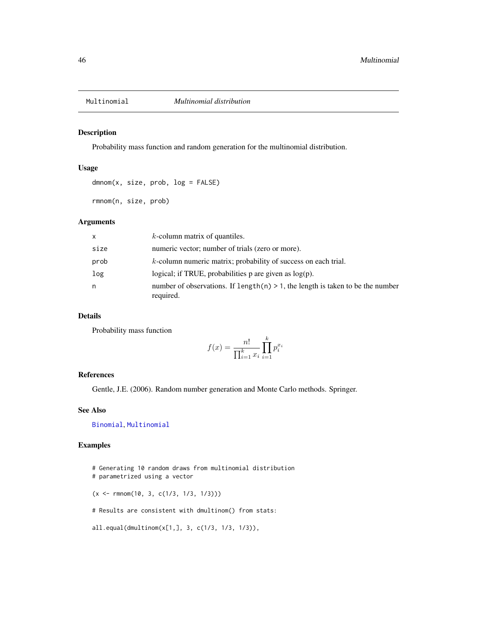<span id="page-45-0"></span>

Probability mass function and random generation for the multinomial distribution.

#### Usage

dmnom(x, size, prob, log = FALSE)

rmnom(n, size, prob)

### Arguments

| x    | $k$ -column matrix of quantiles.                                                                |
|------|-------------------------------------------------------------------------------------------------|
| size | numeric vector; number of trials (zero or more).                                                |
| prob | $k$ -column numeric matrix; probability of success on each trial.                               |
| log  | logical; if TRUE, probabilities $p$ are given as $log(p)$ .                                     |
| n    | number of observations. If length $(n) > 1$ , the length is taken to be the number<br>required. |

# Details

Probability mass function

$$
f(x) = \frac{n!}{\prod_{i=1}^{k} x_i} \prod_{i=1}^{k} p_i^{x_i}
$$

## References

Gentle, J.E. (2006). Random number generation and Monte Carlo methods. Springer.

## See Also

[Binomial](#page-0-0), [Multinomial](#page-45-0)

```
# Generating 10 random draws from multinomial distribution
# parametrized using a vector
(x \leq r \text{mmom}(10, 3, c(1/3, 1/3, 1/3)))# Results are consistent with dmultinom() from stats:
all.equal(dmultinom(x[1,], 3, c(1/3, 1/3, 1/3)),
```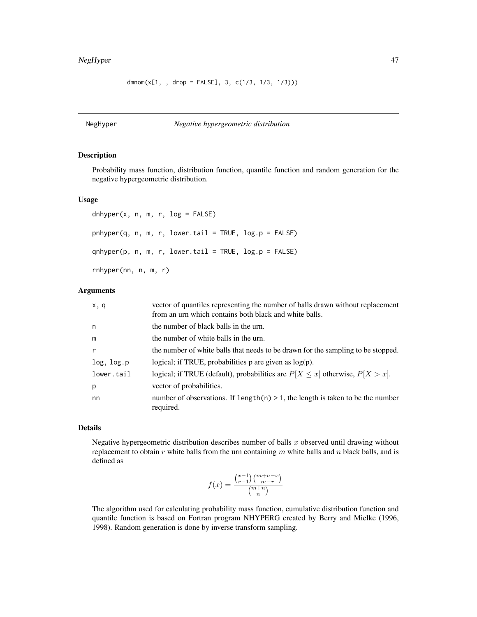# NegHyper 47

 $d$ mnom $(x[1, , d$ rop = FALSE], 3, c $(1/3, 1/3, 1/3)))$ 

NegHyper *Negative hypergeometric distribution*

## Description

Probability mass function, distribution function, quantile function and random generation for the negative hypergeometric distribution.

## Usage

dnhyper(x, n, m, r, log = FALSE)  $phyper(q, n, m, r, lower.tail = TRUE, log.p = FALSE)$  $qnhyper(p, n, m, r, lower$  $tail = TRUE,  $log.p = FALSE$ )$ rnhyper(nn, n, m, r)

## Arguments

| x, q         | vector of quantiles representing the number of balls drawn without replacement<br>from an urn which contains both black and white balls. |
|--------------|------------------------------------------------------------------------------------------------------------------------------------------|
| n            | the number of black balls in the urn.                                                                                                    |
| m            | the number of white balls in the urn.                                                                                                    |
| $\mathsf{r}$ | the number of white balls that needs to be drawn for the sampling to be stopped.                                                         |
| log, log.p   | logical; if TRUE, probabilities $p$ are given as $log(p)$ .                                                                              |
| lower.tail   | logical; if TRUE (default), probabilities are $P[X \le x]$ otherwise, $P[X > x]$ .                                                       |
| p            | vector of probabilities.                                                                                                                 |
| nn           | number of observations. If $length(n) > 1$ , the length is taken to be the number<br>required.                                           |

# Details

Negative hypergeometric distribution describes number of balls  $x$  observed until drawing without replacement to obtain r white balls from the urn containing m white balls and n black balls, and is defined as

$$
f(x) = \frac{\binom{x-1}{r-1}\binom{m+n-x}{m-r}}{\binom{m+n}{n}}
$$

The algorithm used for calculating probability mass function, cumulative distribution function and quantile function is based on Fortran program NHYPERG created by Berry and Mielke (1996, 1998). Random generation is done by inverse transform sampling.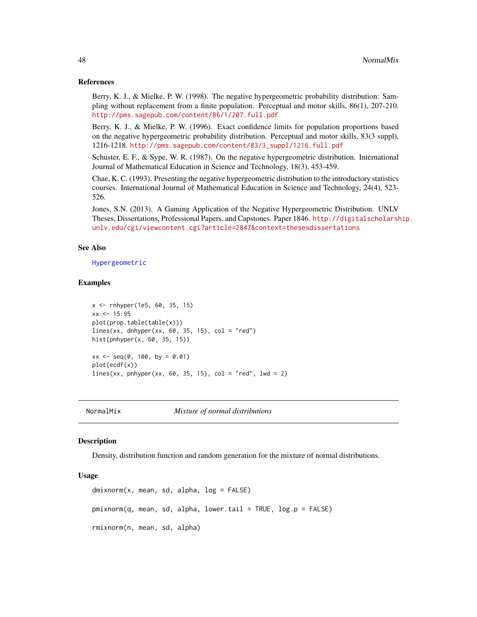#### References

Berry, K. J., & Mielke, P. W. (1998). The negative hypergeometric probability distribution: Sampling without replacement from a finite population. Perceptual and motor skills, 86(1), 207-210. <http://pms.sagepub.com/content/86/1/207.full.pdf>

Berry, K. J., & Mielke, P. W. (1996). Exact confidence limits for population proportions based on the negative hypergeometric probability distribution. Perceptual and motor skills, 83(3 suppl), 1216-1218. [http://pms.sagepub.com/content/83/3\\_suppl/1216.full.pdf](http://pms.sagepub.com/content/83/3_suppl/1216.full.pdf)

Schuster, E. F., & Sype, W. R. (1987). On the negative hypergeometric distribution. International Journal of Mathematical Education in Science and Technology, 18(3), 453-459.

Chae, K. C. (1993). Presenting the negative hypergeometric distribution to the introductory statistics courses. International Journal of Mathematical Education in Science and Technology, 24(4), 523- 526.

Jones, S.N. (2013). A Gaming Application of the Negative Hypergeometric Distribution. UNLV Theses, Dissertations, Professional Papers, and Capstones. Paper 1846. [http://digitalscholarsh](http://digitalscholarship.unlv.edu/cgi/viewcontent.cgi?article=2847&context=thesesdissertations)ip. [unlv.edu/cgi/viewcontent.cgi?article=2847&context=thesesdissertations](http://digitalscholarship.unlv.edu/cgi/viewcontent.cgi?article=2847&context=thesesdissertations)

#### See Also

[Hypergeometric](#page-0-0)

#### Examples

```
x <- rnhyper(1e5, 60, 35, 15)
xx < -15:95plot(prop.table(table(x)))
lines(xx, dnhyper(xx, 60, 35, 15), col = "red")hist(pnhyper(x, 60, 35, 15))
xx \le - seq(0, 100, by = 0.01)
plot(ecdf(x))
lines(xx, phyper(xx, 60, 35, 15), col = "red", lwd = 2)
```
NormalMix *Mixture of normal distributions*

#### Description

Density, distribution function and random generation for the mixture of normal distributions.

## Usage

```
dmixnorm(x, mean, sd, alpha, log = FALSE)
pmixnorm(q, mean, sd, alpha, lower.tail = TRUE, log.p = FALSE)
rmixnorm(n, mean, sd, alpha)
```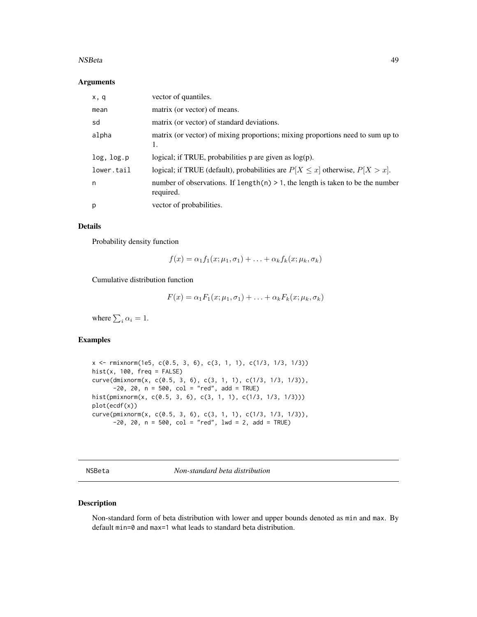#### NSBeta 49

#### Arguments

| x, q       | vector of quantiles.                                                                           |
|------------|------------------------------------------------------------------------------------------------|
| mean       | matrix (or vector) of means.                                                                   |
| sd         | matrix (or vector) of standard deviations.                                                     |
| alpha      | matrix (or vector) of mixing proportions; mixing proportions need to sum up to<br>1.           |
| log, log.p | logical; if TRUE, probabilities $p$ are given as $log(p)$ .                                    |
| lower.tail | logical; if TRUE (default), probabilities are $P[X \le x]$ otherwise, $P[X > x]$ .             |
| n          | number of observations. If length(n) $> 1$ , the length is taken to be the number<br>required. |
| p          | vector of probabilities.                                                                       |

## Details

Probability density function

$$
f(x) = \alpha_1 f_1(x; \mu_1, \sigma_1) + \ldots + \alpha_k f_k(x; \mu_k, \sigma_k)
$$

Cumulative distribution function

$$
F(x) = \alpha_1 F_1(x; \mu_1, \sigma_1) + \ldots + \alpha_k F_k(x; \mu_k, \sigma_k)
$$

where  $\sum_i \alpha_i = 1$ .

# Examples

x <- rmixnorm(1e5, c(0.5, 3, 6), c(3, 1, 1), c(1/3, 1/3, 1/3))  $hist(x, 100, freq = FALSE)$ curve(dmixnorm(x, c(0.5, 3, 6), c(3, 1, 1), c(1/3, 1/3, 1/3)),  $-20$ , 20, n = 500, col = "red", add = TRUE) hist(pmixnorm(x, c(0.5, 3, 6), c(3, 1, 1), c(1/3, 1/3, 1/3))) plot(ecdf(x)) curve(pmixnorm(x, c(0.5, 3, 6), c(3, 1, 1), c(1/3, 1/3, 1/3)),  $-20$ ,  $20$ ,  $n = 500$ ,  $col = "red",$   $1wd = 2$ ,  $add = TRUE)$ 

NSBeta *Non-standard beta distribution*

## Description

Non-standard form of beta distribution with lower and upper bounds denoted as min and max. By default min=0 and max=1 what leads to standard beta distribution.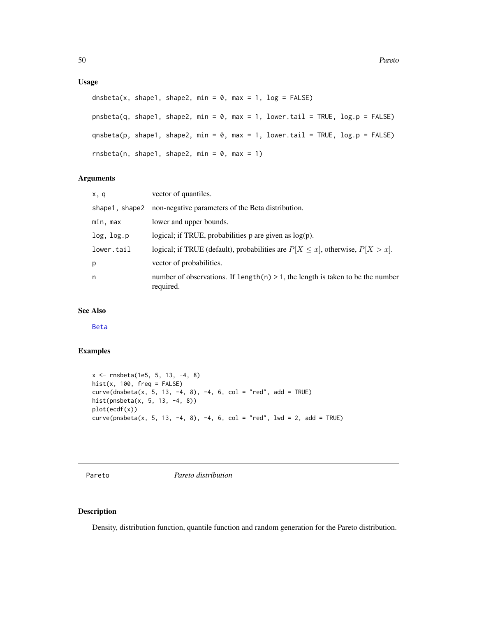## Usage

```
dnsbeta(x, shape1, shape2, min = 0, max = 1, log = FALSE)
pnsbeta(q, shape1, shape2, min = \theta, max = 1, lower.tail = TRUE, log.p = FALSE)
qnsbeta(p, shape1, shape2, min = \theta, max = 1, lower.tail = TRUE, log.p = FALSE)
rnsbeta(n, shape1, shape2, min = 0, max = 1)
```
# Arguments

| x, q           | vector of quantiles.                                                                            |
|----------------|-------------------------------------------------------------------------------------------------|
| shape1, shape2 | non-negative parameters of the Beta distribution.                                               |
| min, max       | lower and upper bounds.                                                                         |
| log, log.p     | logical; if TRUE, probabilities $p$ are given as $log(p)$ .                                     |
| lower.tail     | logical; if TRUE (default), probabilities are $P[X \le x]$ , otherwise, $P[X > x]$ .            |
| p              | vector of probabilities.                                                                        |
| n              | number of observations. If length $(n) > 1$ , the length is taken to be the number<br>required. |

## See Also

[Beta](#page-0-0)

# Examples

```
x <- rnsbeta(1e5, 5, 13, -4, 8)
hist(x, 100, freq = FALSE)curve(dnsbeta(x, 5, 13, -4, 8), -4, 6, col = "red", add = TRUE)
hist(pnsbeta(x, 5, 13, -4, 8))
plot(ecdf(x))
curve(psbeta(x, 5, 13, -4, 8), -4, 6, col = "red", 1wd = 2, add = TRUE)
```
Pareto *Pareto distribution*

### Description

Density, distribution function, quantile function and random generation for the Pareto distribution.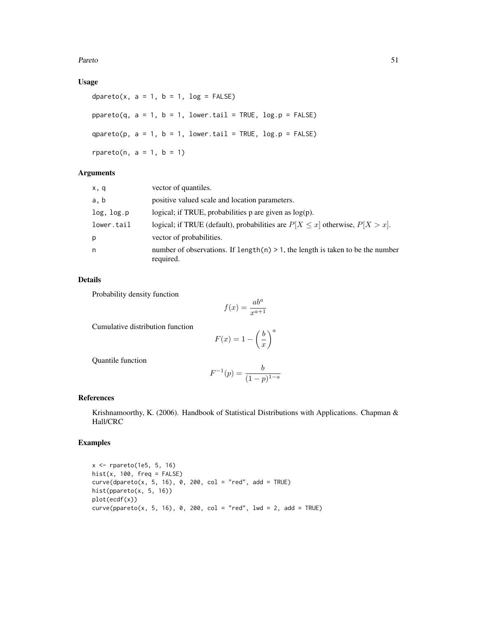Pareto 51

# Usage

dpareto(x,  $a = 1$ ,  $b = 1$ ,  $log = FALSE$ )  $ppareto(q, a = 1, b = 1, lower$ **tail = TRUE, log.p = FALSE** $)$ qpareto(p,  $a = 1$ ,  $b = 1$ , lower.tail = TRUE, log.p = FALSE) rpareto(n,  $a = 1$ ,  $b = 1$ )

# Arguments

| x, q       | vector of quantiles.                                                                           |
|------------|------------------------------------------------------------------------------------------------|
| a, b       | positive valued scale and location parameters.                                                 |
| log, log.p | logical; if TRUE, probabilities $p$ are given as $log(p)$ .                                    |
| lower.tail | logical; if TRUE (default), probabilities are $P[X \le x]$ otherwise, $P[X > x]$ .             |
| p          | vector of probabilities.                                                                       |
| n          | number of observations. If $length(n) > 1$ , the length is taken to be the number<br>required. |

## Details

Probability density function

$$
f(x) = \frac{ab^a}{x^{a+1}}
$$

Cumulative distribution function

$$
F(x) = 1 - \left(\frac{b}{x}\right)^a
$$

Quantile function

$$
F^{-1}(p) = \frac{b}{(1-p)^{1-a}}
$$

# References

Krishnamoorthy, K. (2006). Handbook of Statistical Distributions with Applications. Chapman & Hall/CRC

# Examples

x <- rpareto(1e5, 5, 16)  $hist(x, 100, freq = FALSE)$  $curve(dparento(x, 5, 16), 0, 200, col = "red", add = TRUE)$ hist(ppareto(x, 5, 16)) plot(ecdf(x))  $curve(pparento(x, 5, 16), 0, 200, col = "red", lwd = 2, add = TRUE)$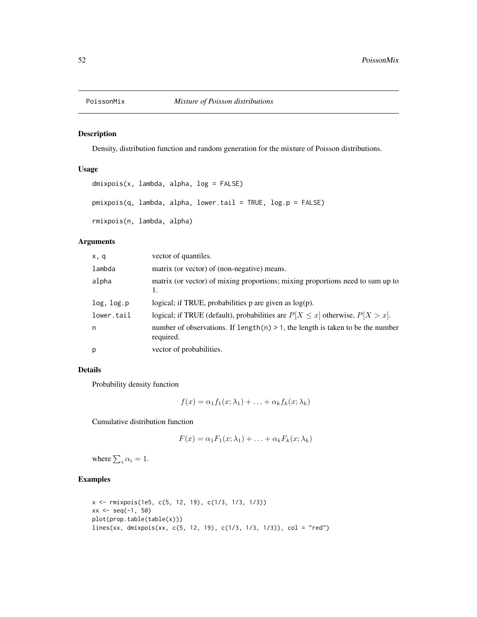Density, distribution function and random generation for the mixture of Poisson distributions.

# Usage

```
dmixpois(x, lambda, alpha, log = FALSE)
pmixpois(q, lambda, alpha, lower.tail = TRUE, log.p = FALSE)
rmixpois(n, lambda, alpha)
```
# Arguments

| x, q       | vector of quantiles.                                                                            |
|------------|-------------------------------------------------------------------------------------------------|
| lambda     | matrix (or vector) of (non-negative) means.                                                     |
| alpha      | matrix (or vector) of mixing proportions; mixing proportions need to sum up to<br>1.            |
| log, log.p | logical; if TRUE, probabilities $p$ are given as $log(p)$ .                                     |
| lower.tail | logical; if TRUE (default), probabilities are $P[X \le x]$ otherwise, $P[X > x]$ .              |
| n          | number of observations. If length $(n) > 1$ , the length is taken to be the number<br>required. |
| p          | vector of probabilities.                                                                        |

# Details

Probability density function

$$
f(x) = \alpha_1 f_1(x; \lambda_1) + \ldots + \alpha_k f_k(x; \lambda_k)
$$

Cumulative distribution function

$$
F(x) = \alpha_1 F_1(x; \lambda_1) + \ldots + \alpha_k F_k(x; \lambda_k)
$$

where  $\sum_i \alpha_i = 1$ .

```
x <- rmixpois(1e5, c(5, 12, 19), c(1/3, 1/3, 1/3))
xx < - seq(-1, 50)
plot(prop.table(table(x)))
lines(xx, dmixpois(xx, c(5, 12, 19), c(1/3, 1/3, 1/3)), col = "red")
```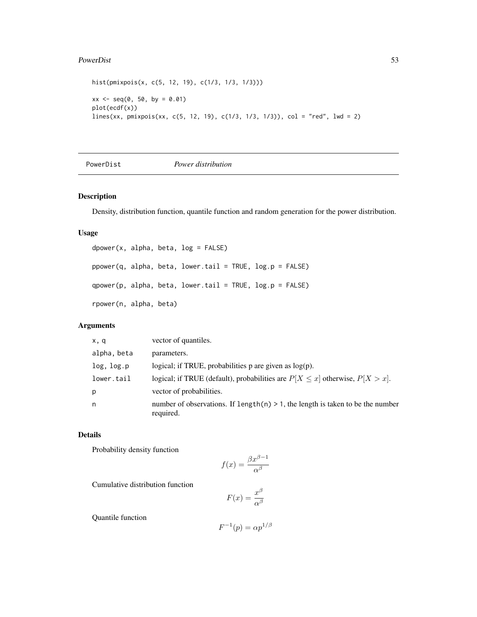#### PowerDist 53

```
hist(pmixpois(x, c(5, 12, 19), c(1/3, 1/3, 1/3)))
xx \le - seq(0, 50, by = 0.01)
plot(ecdf(x))
lines(xx, pmixpois(xx, c(5, 12, 19), c(1/3, 1/3, 1/3)), col = "red", lwd = 2)
```
PowerDist *Power distribution*

## Description

Density, distribution function, quantile function and random generation for the power distribution.

## Usage

```
dpower(x, alpha, beta, log = FALSE)
ppower(q, alpha, beta, lower.tail = TRUE, log.p = FALSE)qpower(p, alpha, beta, lower.tail = TRUE, log.p = FALSE)rpower(n, alpha, beta)
```
# Arguments

| x, q        | vector of quantiles.                                                                           |
|-------------|------------------------------------------------------------------------------------------------|
| alpha, beta | parameters.                                                                                    |
| log, log.p  | logical; if TRUE, probabilities $p$ are given as $log(p)$ .                                    |
| lower.tail  | logical; if TRUE (default), probabilities are $P[X \le x]$ otherwise, $P[X > x]$ .             |
| p           | vector of probabilities.                                                                       |
| n           | number of observations. If $length(n) > 1$ , the length is taken to be the number<br>required. |

# Details

Probability density function

$$
f(x) = \frac{\beta x^{\beta - 1}}{\alpha^{\beta}}
$$

Cumulative distribution function

$$
F(x) = \frac{x^{\beta}}{\alpha^{\beta}}
$$

Quantile function

$$
F^{-1}(p) = \alpha p^{1/\beta}
$$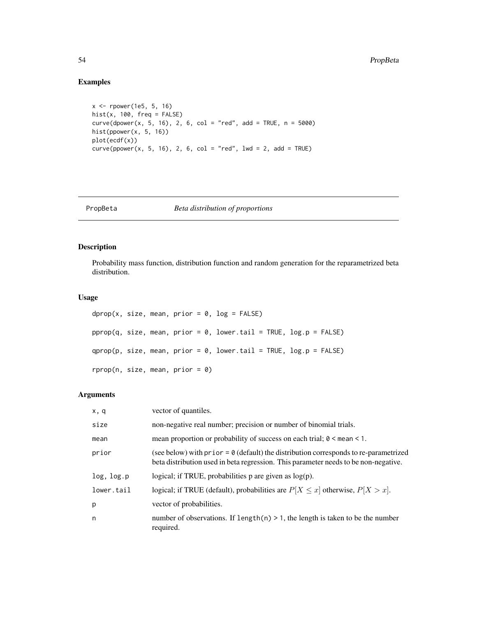# Examples

```
x <- rpower(1e5, 5, 16)
hist(x, 100, freq = FALSE)
curve(dpower(x, 5, 16), 2, 6, col = "red", add = TRUE, n = 5000)hist(ppower(x, 5, 16))
plot(ecdf(x))
curve(ppower(x, 5, 16), 2, 6, col = "red", lwd = 2, add = TRUE)
```
## PropBeta *Beta distribution of proportions*

# Description

Probability mass function, distribution function and random generation for the reparametrized beta distribution.

## Usage

```
dprop(x, size, mean, prior = 0, log = FALSE)pprop(q, size, mean, prior = 0, lower.tail = TRUE, log.p = FALSE)qprop(p, size, mean, prior = 0, lower.tail = TRUE, log.p = FALSE)rprop(n, size, mean, prior = \theta)
```
# Arguments

| x, q       | vector of quantiles.                                                                                                                                                                  |
|------------|---------------------------------------------------------------------------------------------------------------------------------------------------------------------------------------|
| size       | non-negative real number; precision or number of binomial trials.                                                                                                                     |
| mean       | mean proportion or probability of success on each trial; $0 \le$ mean $\le$ 1.                                                                                                        |
| prior      | (see below) with $prior = \emptyset$ (default) the distribution corresponds to re-parametrized<br>beta distribution used in beta regression. This parameter needs to be non-negative. |
| log, log.p | logical; if TRUE, probabilities $p$ are given as $log(p)$ .                                                                                                                           |
| lower.tail | logical; if TRUE (default), probabilities are $P[X \le x]$ otherwise, $P[X > x]$ .                                                                                                    |
| p          | vector of probabilities.                                                                                                                                                              |
| n          | number of observations. If $length(n) > 1$ , the length is taken to be the number<br>required.                                                                                        |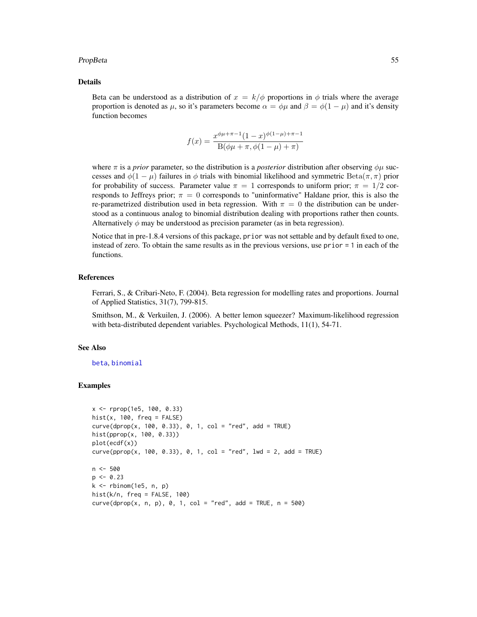#### PropBeta 55

## Details

Beta can be understood as a distribution of  $x = k/\phi$  proportions in  $\phi$  trials where the average proportion is denoted as  $\mu$ , so it's parameters become  $\alpha = \phi\mu$  and  $\beta = \phi(1 - \mu)$  and it's density function becomes

$$
f(x) = \frac{x^{\phi\mu + \pi - 1}(1 - x)^{\phi(1 - \mu) + \pi - 1}}{B(\phi\mu + \pi, \phi(1 - \mu) + \pi)}
$$

where  $\pi$  is a *prior* parameter, so the distribution is a *posterior* distribution after observing  $\phi\mu$  successes and  $\phi(1-\mu)$  failures in  $\phi$  trials with binomial likelihood and symmetric Beta $(\pi, \pi)$  prior for probability of success. Parameter value  $\pi = 1$  corresponds to uniform prior;  $\pi = 1/2$  corresponds to Jeffreys prior;  $\pi = 0$  corresponds to "uninformative" Haldane prior, this is also the re-parametrized distribution used in beta regression. With  $\pi = 0$  the distribution can be understood as a continuous analog to binomial distribution dealing with proportions rather then counts. Alternatively  $\phi$  may be understood as precision parameter (as in beta regression).

Notice that in pre-1.8.4 versions of this package, prior was not settable and by default fixed to one, instead of zero. To obtain the same results as in the previous versions, use prior = 1 in each of the functions.

## References

Ferrari, S., & Cribari-Neto, F. (2004). Beta regression for modelling rates and proportions. Journal of Applied Statistics, 31(7), 799-815.

Smithson, M., & Verkuilen, J. (2006). A better lemon squeezer? Maximum-likelihood regression with beta-distributed dependent variables. Psychological Methods, 11(1), 54-71.

### See Also

[beta](#page-0-0), [binomial](#page-0-0)

```
x <- rprop(1e5, 100, 0.33)
hist(x, 100, freq = FALSE)
curve(dprop(x, 100, 0.33), 0, 1, col = "red", add = TRUE)hist(pprop(x, 100, 0.33))
plot(ecdf(x))
curve(pprop(x, 100, 0.33), 0, 1, col = "red", lwd = 2, add = TRUE)n < -500p \le -0.23k \leq - rbinom(1e5, n, p)
hist(k/n, freq = FALSE, 100)
curve(dprop(x, n, p), 0, 1, col = "red", add = TRUE, n = 500)
```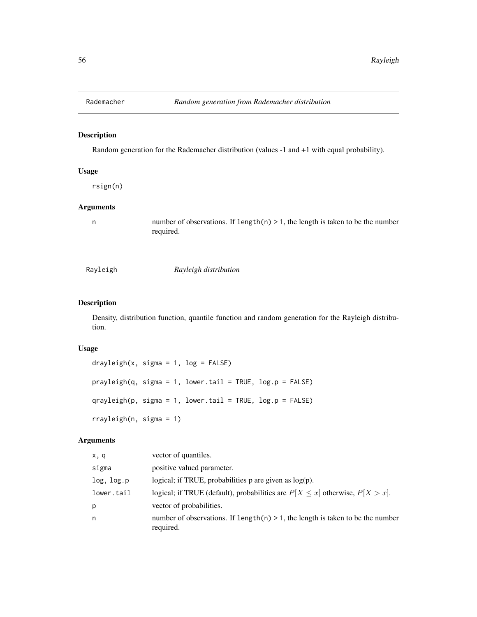Random generation for the Rademacher distribution (values -1 and +1 with equal probability).

# Usage

rsign(n)

## Arguments

n number of observations. If length $(n) > 1$ , the length is taken to be the number required.

| Rayleigh |
|----------|
|          |

Rayleigh *Rayleigh distribution*

# Description

Density, distribution function, quantile function and random generation for the Rayleigh distribution.

## Usage

```
drayleigh(x, sigma = 1, log = FALSE)
prayleigh(q, sigma = 1, lower.tail = TRUE, log.p = FALSE)
qrayleigh(p, sigma = 1, lower.tail = TRUE, log.p = FALSE)
rrayleigh(n, sigma = 1)
```
#### Arguments

| x, q       | vector of quantiles.                                                                           |
|------------|------------------------------------------------------------------------------------------------|
| sigma      | positive valued parameter.                                                                     |
| log, log.p | logical; if TRUE, probabilities $p$ are given as $log(p)$ .                                    |
| lower.tail | logical; if TRUE (default), probabilities are $P[X \le x]$ otherwise, $P[X > x]$ .             |
| p          | vector of probabilities.                                                                       |
| n          | number of observations. If length(n) $> 1$ , the length is taken to be the number<br>required. |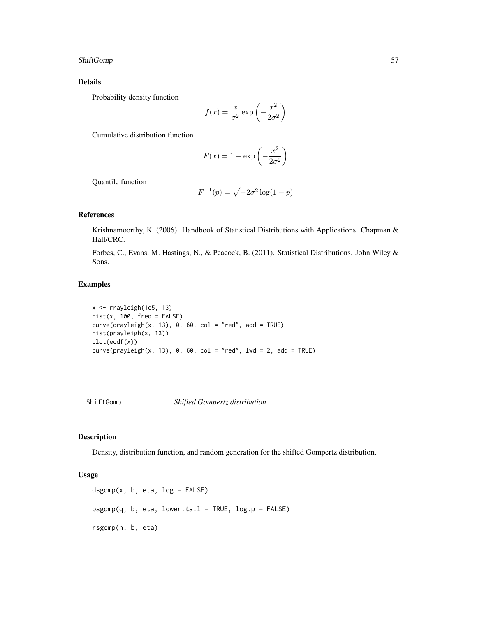# ShiftGomp 57

## Details

Probability density function

$$
f(x) = \frac{x}{\sigma^2} \exp\left(-\frac{x^2}{2\sigma^2}\right)
$$

Cumulative distribution function

$$
F(x) = 1 - \exp\left(-\frac{x^2}{2\sigma^2}\right)
$$

Quantile function

$$
F^{-1}(p) = \sqrt{-2\sigma^2 \log(1-p)}
$$

## References

Krishnamoorthy, K. (2006). Handbook of Statistical Distributions with Applications. Chapman & Hall/CRC.

Forbes, C., Evans, M. Hastings, N., & Peacock, B. (2011). Statistical Distributions. John Wiley & Sons.

# Examples

```
x <- rrayleigh(1e5, 13)
hist(x, 100, freq = FALSE)
curve(drayleigh(x, 13), 0, 60, col = "red", add = TRUE)hist(prayleigh(x, 13))
plot(ecdf(x))
curve(prayleigh(x, 13), 0, 60, col = "red", lwd = 2, add = TRUE)
```
## ShiftGomp *Shifted Gompertz distribution*

# **Description**

Density, distribution function, and random generation for the shifted Gompertz distribution.

#### Usage

```
dsgomp(x, b, eta, log = FALSE)psgomp(q, b, eta, lower.tail = TRUE, log.p = FALSE)
rsgomp(n, b, eta)
```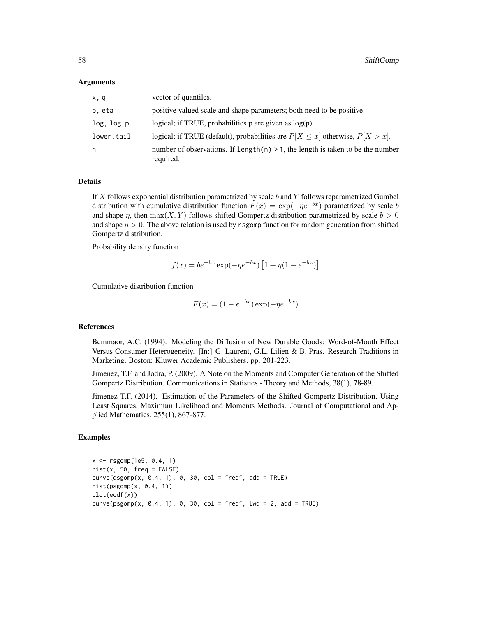#### Arguments

| x, q       | vector of quantiles.                                                                           |
|------------|------------------------------------------------------------------------------------------------|
| b, eta     | positive valued scale and shape parameters; both need to be positive.                          |
| log, log.p | logical; if TRUE, probabilities $p$ are given as $log(p)$ .                                    |
| lower.tail | logical; if TRUE (default), probabilities are $P[X \le x]$ otherwise, $P[X > x]$ .             |
| n          | number of observations. If $length(n) > 1$ , the length is taken to be the number<br>required. |

# Details

If  $X$  follows exponential distribution parametrized by scale  $b$  and  $Y$  follows reparametrized Gumbel distribution with cumulative distribution function  $F(x) = \exp(-\eta e^{-bx})$  parametrized by scale b and shape  $\eta$ , then  $\max(X, Y)$  follows shifted Gompertz distribution parametrized by scale  $b > 0$ and shape  $\eta > 0$ . The above relation is used by rsgomp function for random generation from shifted Gompertz distribution.

Probability density function

$$
f(x) = be^{-bx} \exp(-\eta e^{-bx}) [1 + \eta (1 - e^{-bx})]
$$

Cumulative distribution function

$$
F(x) = (1 - e^{-bx}) \exp(-\eta e^{-bx})
$$

#### References

Bemmaor, A.C. (1994). Modeling the Diffusion of New Durable Goods: Word-of-Mouth Effect Versus Consumer Heterogeneity. [In:] G. Laurent, G.L. Lilien & B. Pras. Research Traditions in Marketing. Boston: Kluwer Academic Publishers. pp. 201-223.

Jimenez, T.F. and Jodra, P. (2009). A Note on the Moments and Computer Generation of the Shifted Gompertz Distribution. Communications in Statistics - Theory and Methods, 38(1), 78-89.

Jimenez T.F. (2014). Estimation of the Parameters of the Shifted Gompertz Distribution, Using Least Squares, Maximum Likelihood and Moments Methods. Journal of Computational and Applied Mathematics, 255(1), 867-877.

```
x \leq - rsgomp(1e5, 0.4, 1)
hist(x, 50, freq = FALSE)
curve(dsgomp(x, 0.4, 1), 0, 30, col = "red", add = TRUE)hist(psgomp(x, 0.4, 1))
plot(ecdf(x))
curve(psgomp(x, 0.4, 1), 0, 30, col = "red", lwd = 2, add = TRUE)
```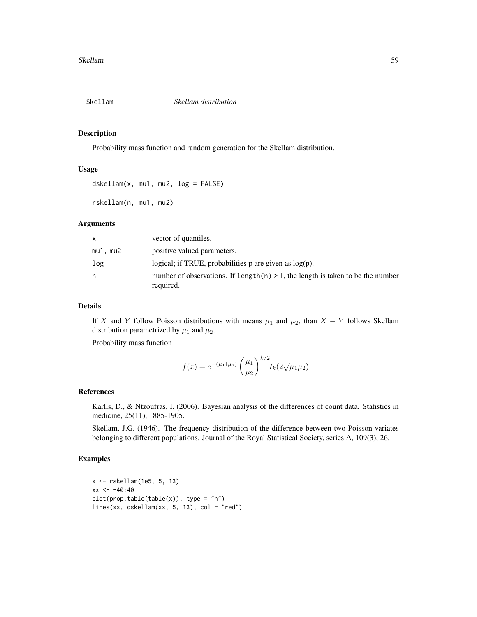Probability mass function and random generation for the Skellam distribution.

### Usage

```
dskellam(x, mu1, mu2, log = FALSE)
```
rskellam(n, mu1, mu2)

## Arguments

| x       | vector of quantiles.                                                                            |
|---------|-------------------------------------------------------------------------------------------------|
| mu1.mu2 | positive valued parameters.                                                                     |
| log     | logical; if TRUE, probabilities $p$ are given as $log(p)$ .                                     |
| n       | number of observations. If length $(n) > 1$ , the length is taken to be the number<br>required. |

#### Details

If X and Y follow Poisson distributions with means  $\mu_1$  and  $\mu_2$ , than  $X - Y$  follows Skellam distribution parametrized by  $\mu_1$  and  $\mu_2$ .

Probability mass function

$$
f(x) = e^{-(\mu_1 + \mu_2)} \left(\frac{\mu_1}{\mu_2}\right)^{k/2} I_k(2\sqrt{\mu_1\mu_2})
$$

## References

Karlis, D., & Ntzoufras, I. (2006). Bayesian analysis of the differences of count data. Statistics in medicine, 25(11), 1885-1905.

Skellam, J.G. (1946). The frequency distribution of the difference between two Poisson variates belonging to different populations. Journal of the Royal Statistical Society, series A, 109(3), 26.

```
x <- rskellam(1e5, 5, 13)
xx < -40:40plot(prop_table(table(x)), type = "h")lines(xx, dskellam(xx, 5, 13), col = "red")
```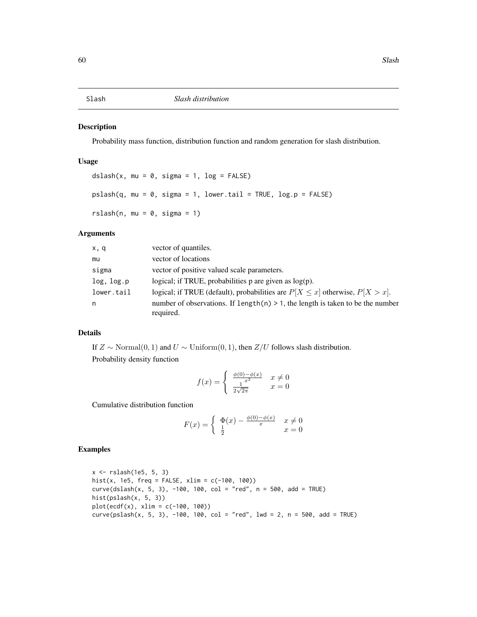Probability mass function, distribution function and random generation for slash distribution.

## Usage

```
dslash(x, mu = 0, sigma = 1, log = FALSE)
pslash(q, mu = 0, sigma = 1, lower[allerage] <math>p = FALSErslash(n, mu = 0, sigma = 1)
```
# Arguments

| x, q       | vector of quantiles.                                                                           |
|------------|------------------------------------------------------------------------------------------------|
| mu         | vector of locations                                                                            |
| sigma      | vector of positive valued scale parameters.                                                    |
| log, log.p | logical; if TRUE, probabilities $p$ are given as $log(p)$ .                                    |
| lower.tail | logical; if TRUE (default), probabilities are $P[X \le x]$ otherwise, $P[X > x]$ .             |
| n          | number of observations. If $length(n) > 1$ , the length is taken to be the number<br>required. |

#### Details

If  $Z \sim \text{Normal}(0, 1)$  and  $U \sim \text{Uniform}(0, 1)$ , then  $Z/U$  follows slash distribution. Probability density function

$$
f(x) = \begin{cases} \frac{\phi(0) - \phi(x)}{x^2} & x \neq 0\\ \frac{1}{2\sqrt{2\pi}} & x = 0 \end{cases}
$$

Cumulative distribution function

$$
F(x) = \begin{cases} \n\Phi(x) - \frac{\phi(0) - \phi(x)}{x} & x \neq 0 \\ \n\frac{1}{2} & x = 0 \n\end{cases}
$$

```
x <- rslash(1e5, 5, 3)
hist(x, 1e5, freq = FALSE, xlim = c(-100, 100))
curve(dslash(x, 5, 3), -100, 100, col = "red", n = 500, add = TRUE)
hist(pslash(x, 5, 3))
plot(ecdf(x), xlim = c(-100, 100))curve(pslashx, 5, 3), -100, 100, col = "red", lwd = 2, n = 500, add = TRUE)
```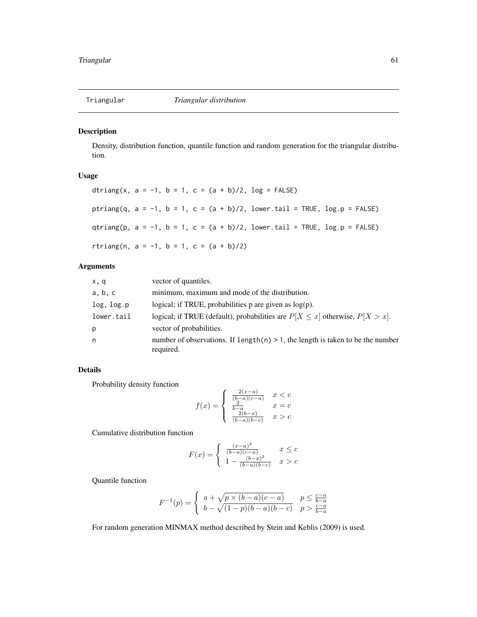Density, distribution function, quantile function and random generation for the triangular distribution.

# Usage

|                                          |  |  |  |  | dtriang(x, a = -1, b = 1, c = $(a + b)/2$ , log = FALSE)                             |
|------------------------------------------|--|--|--|--|--------------------------------------------------------------------------------------|
|                                          |  |  |  |  | ptriang(q, a = -1, b = 1, c = (a + b)/2,      lower.tail = TRUE,      log.p = FALSE) |
|                                          |  |  |  |  | qtriang(p, a = -1, b = 1, c = (a + b)/2,      lower.tail = TRUE,      log.p = FALSE) |
| rtriang(n, a = -1, b = 1, c = (a + b)/2) |  |  |  |  |                                                                                      |

# Arguments

| x,q        | vector of quantiles.                                                                           |
|------------|------------------------------------------------------------------------------------------------|
| a, b, c    | minimum, maximum and mode of the distribution.                                                 |
| log, log.p | logical; if TRUE, probabilities $p$ are given as $log(p)$ .                                    |
| lower.tail | logical; if TRUE (default), probabilities are $P[X \le x]$ otherwise, $P[X > x]$ .             |
| p          | vector of probabilities.                                                                       |
| n          | number of observations. If length(n) $> 1$ , the length is taken to be the number<br>required. |

# Details

Probability density function

$$
f(x) = \begin{cases} \frac{2(x-a)}{(b-a)(c-a)} & x < c \\ \frac{b-a}{b-a} & x = c \\ \frac{2(b-x)}{(b-a)(b-c)} & x > c \end{cases}
$$

Cumulative distribution function

$$
F(x) = \begin{cases} \frac{(x-a)^2}{(b-a)(c-a)} & x \leq c\\ 1 - \frac{(b-x)^2}{(b-a)(b-c)} & x > c \end{cases}
$$

Quantile function

$$
F^{-1}(p) = \begin{cases} a + \sqrt{p \times (b - a)(c - a)} & p \leq \frac{c - a}{b - a} \\ b - \sqrt{(1 - p)(b - a)(b - c)} & p > \frac{c - a}{b - a} \end{cases}
$$

For random generation MINMAX method described by Stein and Keblis (2009) is used.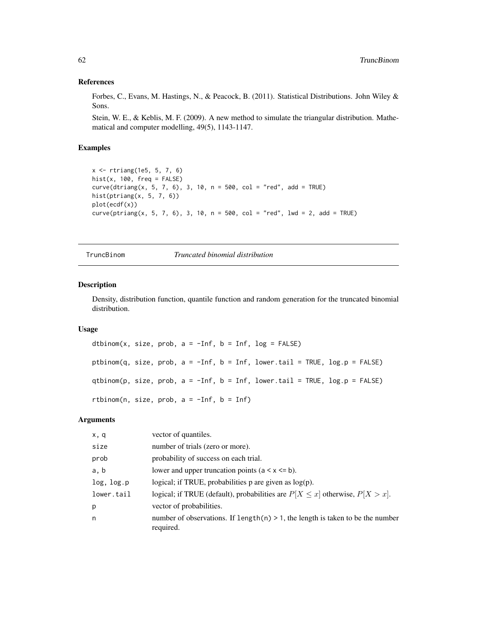#### References

Forbes, C., Evans, M. Hastings, N., & Peacock, B. (2011). Statistical Distributions. John Wiley & Sons.

Stein, W. E., & Keblis, M. F. (2009). A new method to simulate the triangular distribution. Mathematical and computer modelling, 49(5), 1143-1147.

## Examples

```
x <- rtriang(1e5, 5, 7, 6)
hist(x, 100, freq = FALSE)
curve(dtriangle(x, 5, 7, 6), 3, 10, n = 500, col = "red", add = TRUE)hist(ptriang(x, 5, 7, 6))
plot(ecdf(x))
curve(ptriang(x, 5, 7, 6), 3, 10, n = 500, col = "red", 1wd = 2, add = TRUE)
```
TruncBinom *Truncated binomial distribution*

## Description

Density, distribution function, quantile function and random generation for the truncated binomial distribution.

### Usage

```
dtbinom(x, size, prob, a = -Inf, b = Inf, log = FALSE)
ptbinom(q, size, prob, a = -Inf, b = Inf, lower.tail = TRUE, log.p = FALSE)
qtbinom(p, size, prob, a = -Inf, b = Inf, lower.tail = TRUE, log.p = FALSE)
rtbinom(n, size, prob, a = -Inf, b = Inf)
```
# Arguments

| x, q       | vector of quantiles.                                                                           |
|------------|------------------------------------------------------------------------------------------------|
| size       | number of trials (zero or more).                                                               |
| prob       | probability of success on each trial.                                                          |
| a, b       | lower and upper truncation points $(a < x < = b)$ .                                            |
| log, log.p | logical; if TRUE, probabilities $p$ are given as $log(p)$ .                                    |
| lower.tail | logical; if TRUE (default), probabilities are $P[X \le x]$ otherwise, $P[X > x]$ .             |
| p          | vector of probabilities.                                                                       |
| n          | number of observations. If $length(n) > 1$ , the length is taken to be the number<br>required. |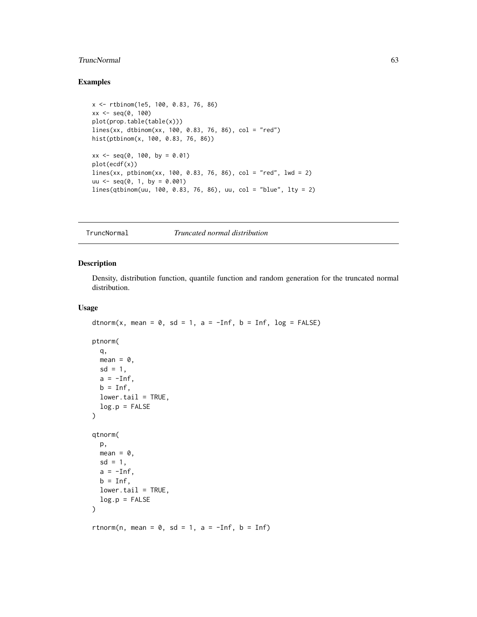# TruncNormal 63

# Examples

```
x <- rtbinom(1e5, 100, 0.83, 76, 86)
xx < - seq(0, 100)
plot(prop.table(table(x)))
lines(xx, dtbinom(xx, 100, 0.83, 76, 86), col = "red")hist(ptbinom(x, 100, 0.83, 76, 86))
xx \le - seq(0, 100, by = 0.01)
plot(ecdf(x))
lines(xx, ptbinom(xx, 100, 0.83, 76, 86), col = "red", lwd = 2)
uu \leq - seq(0, 1, by = 0.001)lines(qtbinom(uu, 100, 0.83, 76, 86), uu, col = "blue", lty = 2)
```
TruncNormal *Truncated normal distribution*

#### Description

Density, distribution function, quantile function and random generation for the truncated normal distribution.

#### Usage

```
dtnorm(x, mean = 0, sd = 1, a = -Inf, b = Inf, log = FALSE)
ptnorm(
 q,
 mean = 0,
 sd = 1,
 a = -Inf,b = Inf,lower.tail = TRUE,log.p = FALSE)
qtnorm(
 p,
 mean = 0,
 sd = 1,
 a = -Inf,b = Inf,
 lower.tail = TRUE,log.p = FALSE)
rtnorm(n, mean = 0, sd = 1, a = -Inf, b = Inf)
```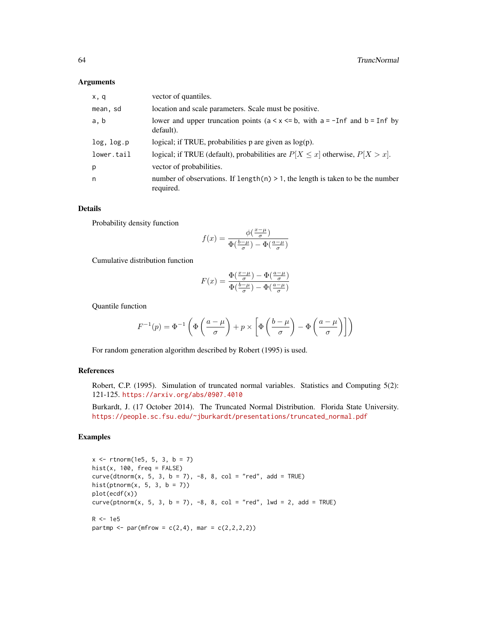#### Arguments

| x, q       | vector of quantiles.                                                                            |
|------------|-------------------------------------------------------------------------------------------------|
| mean, sd   | location and scale parameters. Scale must be positive.                                          |
| a, b       | lower and upper truncation points ( $a < x < b$ , with $a = -Inf$ and $b = Inf$ by<br>default). |
| log, log.p | logical; if TRUE, probabilities $p$ are given as $log(p)$ .                                     |
| lower.tail | logical; if TRUE (default), probabilities are $P[X \le x]$ otherwise, $P[X > x]$ .              |
| р          | vector of probabilities.                                                                        |
| n          | number of observations. If $length(n) > 1$ , the length is taken to be the number<br>required.  |

# Details

Probability density function

$$
f(x) = \frac{\phi(\frac{x-\mu}{\sigma})}{\Phi(\frac{b-\mu}{\sigma}) - \Phi(\frac{a-\mu}{\sigma})}
$$

Cumulative distribution function

$$
F(x) = \frac{\Phi(\frac{x-\mu}{\sigma}) - \Phi(\frac{a-\mu}{\sigma})}{\Phi(\frac{b-\mu}{\sigma}) - \Phi(\frac{a-\mu}{\sigma})}
$$

Quantile function

$$
F^{-1}(p) = \Phi^{-1}\left(\Phi\left(\frac{a-\mu}{\sigma}\right) + p \times \left[\Phi\left(\frac{b-\mu}{\sigma}\right) - \Phi\left(\frac{a-\mu}{\sigma}\right)\right]\right)
$$

For random generation algorithm described by Robert (1995) is used.

# References

Robert, C.P. (1995). Simulation of truncated normal variables. Statistics and Computing 5(2): 121-125. <https://arxiv.org/abs/0907.4010>

Burkardt, J. (17 October 2014). The Truncated Normal Distribution. Florida State University. [https://people.sc.fsu.edu/~jburkardt/presentations/truncated\\_normal.pdf](https://people.sc.fsu.edu/~jburkardt/presentations/truncated_normal.pdf)

```
x \le rtnorm(1e5, 5, 3, b = 7)
hist(x, 100, freq = FALSE)
curve(dtnorm(x, 5, 3, b = 7), -8, 8, col = "red", add = TRUE)
hist(ptnorm(x, 5, 3, b = 7))
plot(ecdf(x))
curve(ptnorm(x, 5, 3, b = 7), -8, 8, col = "red", lwd = 2, add = TRUE)R < -1e5partmp <- par(mfrow = c(2,4), mar = c(2,2,2,2))
```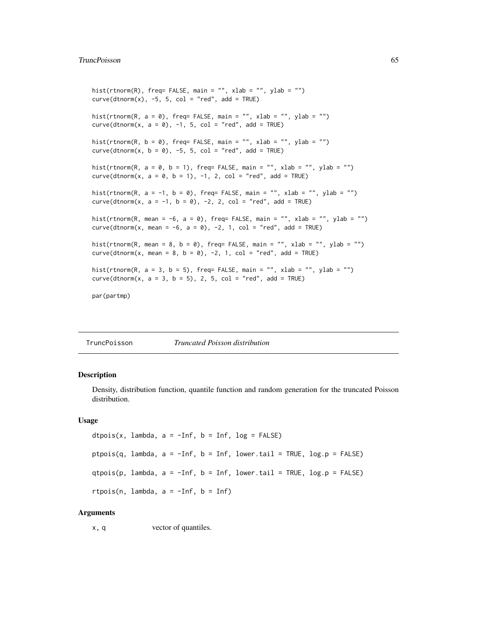# TruncPoisson 65

```
hist(rtnorm(R), freq= FALSE, main = "", xlab = "", ylab = "")
curve(dtnorm(x), -5, 5, col = "red", add = TRUE)hist(rtnorm(R, a = 0), freq= FALSE, main = "", xlab = "", ylab = "")
curve(dtnorm(x, a = 0), -1, 5, col = "red", add = TRUE)
hist(rtnorm(R, b = 0), freq= FALSE, main = "", xlab = "", ylab = "")
curve(dtnorm(x, b = 0), -5, 5, col = "red", add = TRUE)
hist(rtnorm(R, a = 0, b = 1), freq= FALSE, main = "", xlab = "", ylab = "")
curve(dtnorm(x, a = 0, b = 1), -1, 2, col = "red", add = TRUE)
hist(rtnorm(R, a = -1, b = 0), freq= FALSE, main = "", xlab = "", ylab = "")
curve(dtnorm(x, a = -1, b = 0), -2, 2, col = "red", add = TRUE)hist(rtnorm(R, mean = -6, a = 0), freq= FALSE, main = "", xlab = "", ylab = "")
curve(dtnorm(x, mean = -6, a = 0), -2, 1, col = "red", add = TRUE)
hist(rtnorm(R, mean = 8, b = 0), freq= FALSE, main = "", xlab = "", ylab = "")
curve(dtnorm(x, mean = 8, b = 0), -2, 1, col = "red", add = TRUE)
hist(rtnorm(R, a = 3, b = 5), freq= FALSE, main = "", xlab = "", ylab = "")
curve(dtnorm(x, a = 3, b = 5), 2, 5, col = "red", add = TRUE)par(partmp)
```
TruncPoisson *Truncated Poisson distribution*

## Description

Density, distribution function, quantile function and random generation for the truncated Poisson distribution.

## Usage

```
dtpois(x, lambda, a = -Inf, b = Inf, log = FALSE)
ptpois(q, lambda, a = -Inf, b = Inf, lower.tail = TRUE, log.p = FALSE)
qtpois(p, lambda, a = -Inf, b = Inf, lower.tail = TRUE, log.p = FALSE)
rtpois(n, lambda, a = -Inf, b = Inf)
```
## Arguments

x, q vector of quantiles.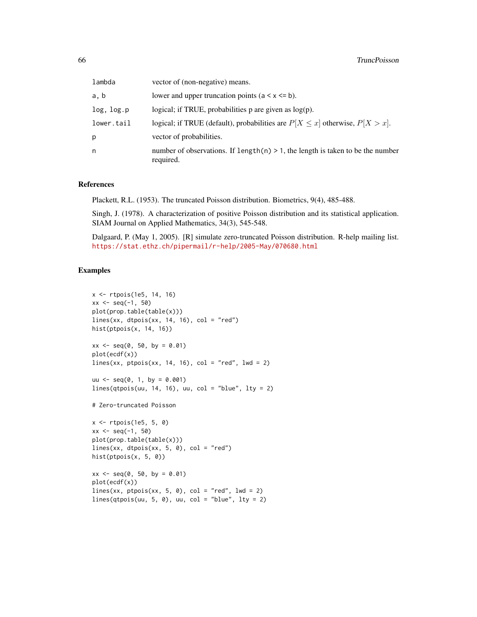| lambda     | vector of (non-negative) means.                                                                |
|------------|------------------------------------------------------------------------------------------------|
| a, b       | lower and upper truncation points $(a < x < b)$ .                                              |
| log, log.p | logical; if TRUE, probabilities $p$ are given as $log(p)$ .                                    |
| lower.tail | logical; if TRUE (default), probabilities are $P[X \le x]$ otherwise, $P[X > x]$ .             |
| p          | vector of probabilities.                                                                       |
| n          | number of observations. If length(n) $> 1$ , the length is taken to be the number<br>required. |

## References

Plackett, R.L. (1953). The truncated Poisson distribution. Biometrics, 9(4), 485-488.

Singh, J. (1978). A characterization of positive Poisson distribution and its statistical application. SIAM Journal on Applied Mathematics, 34(3), 545-548.

Dalgaard, P. (May 1, 2005). [R] simulate zero-truncated Poisson distribution. R-help mailing list. <https://stat.ethz.ch/pipermail/r-help/2005-May/070680.html>

```
x <- rtpois(1e5, 14, 16)
xx \le - seq(-1, 50)
plot(prop.table(table(x)))
lines(xx, dtpois(xx, 14, 16), col = "red")hist(ptpois(x, 14, 16))
xx \le - seq(0, 50, by = 0.01)
plot(ecdf(x))
lines(xx,ptpois(xx, 14, 16), col = "red", lwd = 2)uu \leq - seq(0, 1, by = 0.001)
lines(qtpois(uu, 14, 16), uu, col = "blue", lty = 2)# Zero-truncated Poisson
x <- rtpois(1e5, 5, 0)
xx <- seq(-1, 50)
plot(prop.table(table(x)))
lines(xx, dtpois(xx, 5, 0), col = "red")hist(ptpois(x, 5, 0))
xx \le - seq(0, 50, by = 0.01)
plot(ecdf(x))
lines(xx, ptpois(xx, 5, 0), col = "red", lwd = 2)
lines(qtpois(uu, 5, 0), uu, col = "blue", lty = 2)
```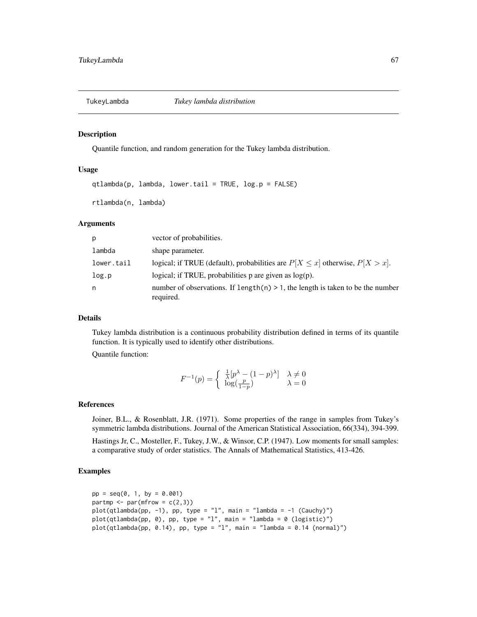Quantile function, and random generation for the Tukey lambda distribution.

### Usage

```
qtlambda(p, lambda, lower.tail = TRUE, log.p = FALSE)
```
rtlambda(n, lambda)

## Arguments

| p          | vector of probabilities.                                                                       |
|------------|------------------------------------------------------------------------------------------------|
| lambda     | shape parameter.                                                                               |
| lower.tail | logical; if TRUE (default), probabilities are $P[X \le x]$ otherwise, $P[X > x]$ .             |
| log.p      | logical; if TRUE, probabilities $p$ are given as $log(p)$ .                                    |
| n          | number of observations. If $length(n) > 1$ , the length is taken to be the number<br>required. |

# Details

Tukey lambda distribution is a continuous probability distribution defined in terms of its quantile function. It is typically used to identify other distributions.

Quantile function:

$$
F^{-1}(p) = \begin{cases} \frac{1}{\lambda} [p^{\lambda} - (1-p)^{\lambda}] & \lambda \neq 0\\ \log(\frac{p}{1-p}) & \lambda = 0 \end{cases}
$$

#### References

Joiner, B.L., & Rosenblatt, J.R. (1971). Some properties of the range in samples from Tukey's symmetric lambda distributions. Journal of the American Statistical Association, 66(334), 394-399.

Hastings Jr, C., Mosteller, F., Tukey, J.W., & Winsor, C.P. (1947). Low moments for small samples: a comparative study of order statistics. The Annals of Mathematical Statistics, 413-426.

```
pp = seq(0, 1, by = 0.001)partmp \leq par(mfrow = c(2,3))
plot(qtlambda(p, -1), pp, type = "l", main = "lambda = -1 (Cauchy)")plot(qtlambda(pp, 0), pp, type = "l", main = "lambda = 0 (logistic)")
plot(qtlambda(p, 0.14), pp, type = "l", main = "lambda = 0.14 (normal)")
```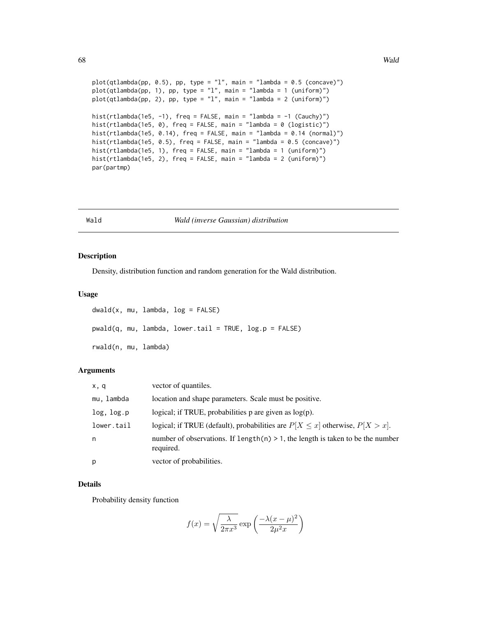```
plot(qtlambda(pp, 0.5), pp, type = "l", main = "lambda = 0.5 (concave)")plot(qtlambda(pp, 1), pp, type = "l", main = "lambda = 1 (uniform)")
plot(qtlambda(pp, 2), pp, type = "l", main = "lambda = 2 (uniform)")
hist(rtlambda(1e5, -1), freq = FALSE, main = "lambda = -1 (Cauchy)")
hist(rtlambda(1e5, 0), freq = FALSE, main = "lambda = 0 (logistic)")
hist(rtlambda(1e5, 0.14), freq = FALSE, main = "lambda = 0.14 (normal)")
hist(rtlambda(1e5, 0.5), freq = FALSE, main = "lambda = 0.5 (concave)")
hist(rtlambda(1e5, 1), freq = FALSE, main = "lambda = 1 (uniform)")
hist(rtlambda(1e5, 2), freq = FALSE, main = "lambda = 2 (uniform)")
par(partmp)
```
#### Wald *Wald (inverse Gaussian) distribution*

#### Description

Density, distribution function and random generation for the Wald distribution.

### Usage

```
dwald(x, mu, lambda, log = FALSE)pwald(q, mu, lambda, lower.tail = TRUE, log.p = FALSE)rwald(n, mu, lambda)
```
## Arguments

| x, q       | vector of quantiles.                                                                            |
|------------|-------------------------------------------------------------------------------------------------|
| mu. lambda | location and shape parameters. Scale must be positive.                                          |
| log, log.p | logical; if TRUE, probabilities $p$ are given as $log(p)$ .                                     |
| lower.tail | logical; if TRUE (default), probabilities are $P[X \le x]$ otherwise, $P[X > x]$ .              |
| n          | number of observations. If length $(n) > 1$ , the length is taken to be the number<br>required. |
| р          | vector of probabilities.                                                                        |

#### Details

Probability density function

$$
f(x) = \sqrt{\frac{\lambda}{2\pi x^3}} \exp\left(\frac{-\lambda (x - \mu)^2}{2\mu^2 x}\right)
$$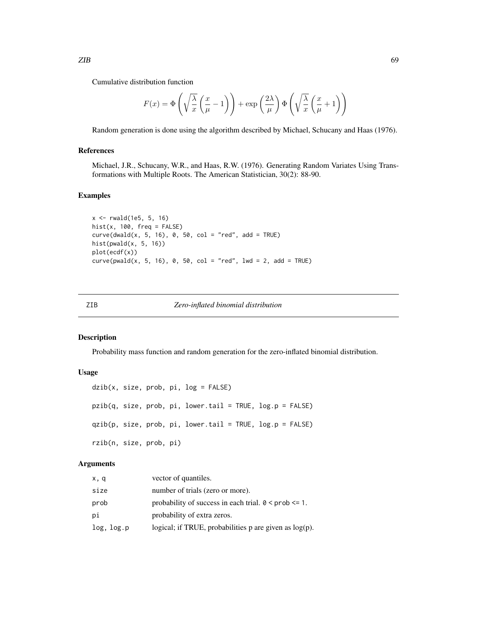Cumulative distribution function

$$
F(x) = \Phi\left(\sqrt{\frac{\lambda}{x}} \left(\frac{x}{\mu} - 1\right)\right) + \exp\left(\frac{2\lambda}{\mu}\right) \Phi\left(\sqrt{\frac{\lambda}{x}} \left(\frac{x}{\mu} + 1\right)\right)
$$

Random generation is done using the algorithm described by Michael, Schucany and Haas (1976).

## References

Michael, J.R., Schucany, W.R., and Haas, R.W. (1976). Generating Random Variates Using Transformations with Multiple Roots. The American Statistician, 30(2): 88-90.

#### Examples

```
x \le -r rwald(1e5, 5, 16)
hist(x, 100, freq = FALSE)curve(dwald(x, 5, 16), 0, 50, col = "red", add = TRUE)hist(pwald(x, 5, 16))
plot(ecdf(x))
curve(pwald(x, 5, 16), 0, 50, col = "red", lwd = 2, add = TRUE)
```
# ZIB *Zero-inflated binomial distribution*

#### Description

Probability mass function and random generation for the zero-inflated binomial distribution.

## Usage

```
dzib(x, size, prob, pi, log = FALSE)pzib(q, size, prob, pi, lower.tail = TRUE, log.p = FALSE)
qzib(p, size, prob, pi, lower.tail = TRUE, log.p = FALSE)
rzib(n, size, prob, pi)
```
### Arguments

| x, q       | vector of quantiles.                                         |
|------------|--------------------------------------------------------------|
| size       | number of trials (zero or more).                             |
| prob       | probability of success in each trial. $0 \leq prob \leq 1$ . |
| рi         | probability of extra zeros.                                  |
| log, log.p | logical; if TRUE, probabilities $p$ are given as $log(p)$ .  |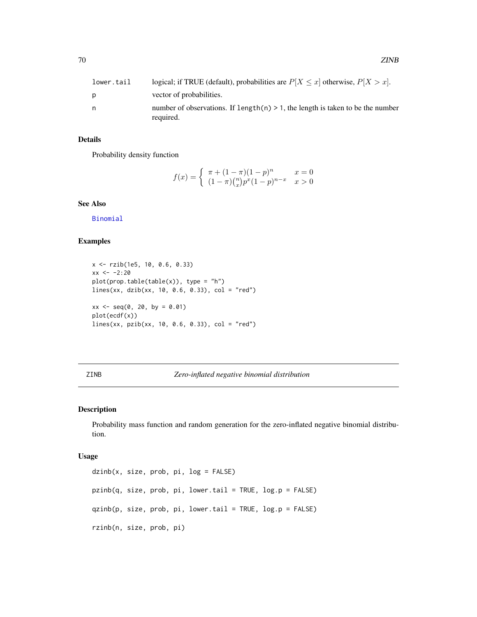| lower.tail | logical; if TRUE (default), probabilities are $P[X \le x]$ otherwise, $P[X > x]$ . |
|------------|------------------------------------------------------------------------------------|
| p          | vector of probabilities.                                                           |
| n          | number of observations. If length $(n) > 1$ , the length is taken to be the number |
|            | required.                                                                          |

## Details

Probability density function

$$
f(x) = \begin{cases} \pi + (1 - \pi)(1 - p)^n & x = 0\\ (1 - \pi)\binom{n}{x}p^x(1 - p)^{n - x} & x > 0 \end{cases}
$$

# See Also

[Binomial](#page-0-0)

# Examples

```
x <- rzib(1e5, 10, 0.6, 0.33)
xx < -2:20plot(prop.table(table(x)), type = "h")lines(xx, dzib(xx, 10, 0.6, 0.33), col = "red")
xx \le - seq(0, 20, by = 0.01)
plot(ecdf(x))
lines(xx, pzib(xx, 10, 0.6, 0.33), col = "red")
```
## ZINB *Zero-inflated negative binomial distribution*

## Description

Probability mass function and random generation for the zero-inflated negative binomial distribution.

#### Usage

```
dzinb(x, size, prob, pi, log = FALSE)
pzinb(q, size, prob, pi, lower.tail = TRUE, log.p = FALSE)
qzinb(p, size, prob, pi, lower.tail = TRUE, log.p = FALSE)
rzinb(n, size, prob, pi)
```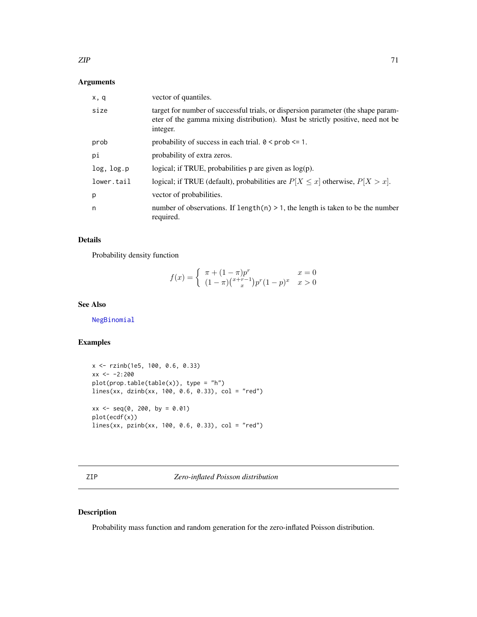# Arguments

| x, q       | vector of quantiles.                                                                                                                                                            |
|------------|---------------------------------------------------------------------------------------------------------------------------------------------------------------------------------|
| size       | target for number of successful trials, or dispersion parameter (the shape param-<br>eter of the gamma mixing distribution). Must be strictly positive, need not be<br>integer. |
| prob       | probability of success in each trial. $0 \leq prob \leq 1$ .                                                                                                                    |
| рi         | probability of extra zeros.                                                                                                                                                     |
| log, log.p | logical; if TRUE, probabilities $p$ are given as $log(p)$ .                                                                                                                     |
| lower.tail | logical; if TRUE (default), probabilities are $P[X \le x]$ otherwise, $P[X > x]$ .                                                                                              |
| p          | vector of probabilities.                                                                                                                                                        |
| n          | number of observations. If $length(n) > 1$ , the length is taken to be the number<br>required.                                                                                  |

# Details

Probability density function

$$
f(x) = \begin{cases} \pi + (1 - \pi)p^{r} & x = 0\\ (1 - \pi)(\frac{x + r - 1}{x})p^{r}(1 - p)^{x} & x > 0 \end{cases}
$$

## See Also

[NegBinomial](#page-0-0)

# Examples

```
x <- rzinb(1e5, 100, 0.6, 0.33)
xx < -2:200plot(prop.table(table(x)), type = "h")
lines(xx, dzinb(xx, 100, 0.6, 0.33), col = "red")
xx \le - seq(0, 200, by = 0.01)
plot(ecdf(x))
lines(xx, pzinb(xx, 100, 0.6, 0.33), col = "red")
```
ZIP *Zero-inflated Poisson distribution*

# Description

Probability mass function and random generation for the zero-inflated Poisson distribution.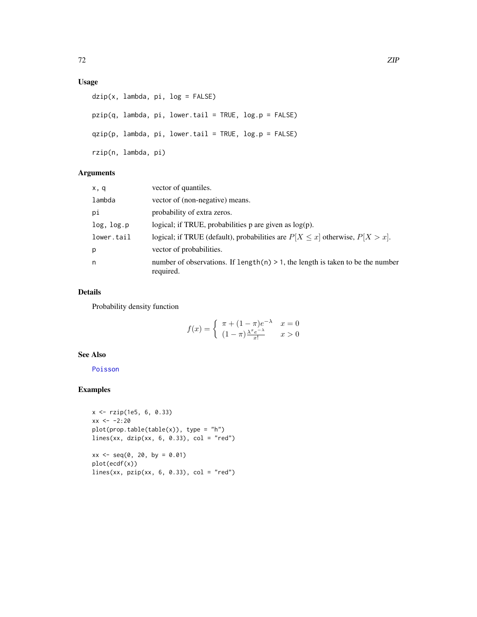# Usage

```
dzip(x, lambda, pi, log = FALSE)
pzip(q, lambda, pi, lower.tail = TRUE, log.p = FALSE)
qzip(p, lambda, pi, lower.tail = TRUE, log.p = FALSE)
rzip(n, lambda, pi)
```
# Arguments

| x, q       | vector of quantiles.                                                                           |
|------------|------------------------------------------------------------------------------------------------|
| lambda     | vector of (non-negative) means.                                                                |
| рi         | probability of extra zeros.                                                                    |
| log, log.p | logical; if TRUE, probabilities $p$ are given as $log(p)$ .                                    |
| lower.tail | logical; if TRUE (default), probabilities are $P[X \le x]$ otherwise, $P[X > x]$ .             |
| p          | vector of probabilities.                                                                       |
| n          | number of observations. If length(n) $> 1$ , the length is taken to be the number<br>required. |

## Details

Probability density function

$$
f(x) = \begin{cases} \pi + (1 - \pi)e^{-\lambda} & x = 0\\ (1 - \pi)\frac{\lambda^x e^{-\lambda}}{x!} & x > 0 \end{cases}
$$

# See Also

[Poisson](#page-0-0)

```
x <- rzip(1e5, 6, 0.33)
xx < -2:20plot(prop.table(table(x)), type = "h")lines(xx, dzip(xx, 6, 0.33), col = "red")xx \le - seq(0, 20, by = 0.01)plot(ecdf(x))
lines(xx, pzip(xx, 6, 0.33), col = "red")
```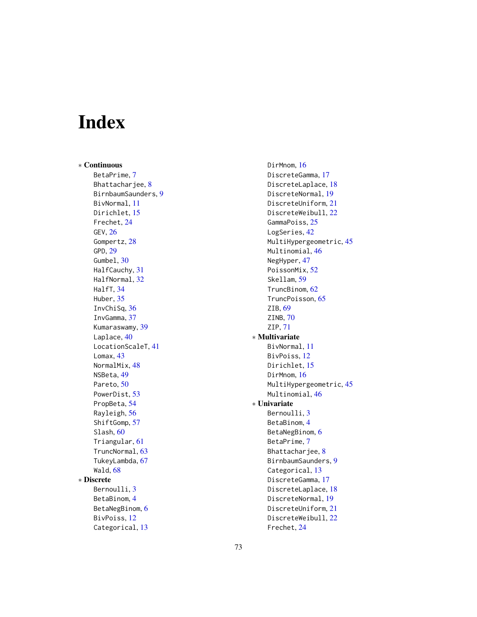## Index

∗ Continuous BetaPrime, [7](#page-6-0) Bhattacharjee, [8](#page-7-0) BirnbaumSaunders, [9](#page-8-0) BivNormal, [11](#page-10-0) Dirichlet, [15](#page-14-0) Frechet, [24](#page-23-0) GEV, [26](#page-25-0) Gompertz, [28](#page-27-0) GPD, [29](#page-28-0) Gumbel, [30](#page-29-0) HalfCauchy, [31](#page-30-0) HalfNormal, [32](#page-31-0) HalfT, [34](#page-33-0) Huber, [35](#page-34-0) InvChiSq, [36](#page-35-0) InvGamma, [37](#page-36-0) Kumaraswamy, [39](#page-38-0) Laplace, [40](#page-39-0) LocationScaleT, [41](#page-40-0) Lomax, [43](#page-42-0) NormalMix, [48](#page-47-0) NSBeta, [49](#page-48-0) Pareto, [50](#page-49-0) PowerDist, [53](#page-52-0) PropBeta, [54](#page-53-0) Rayleigh, [56](#page-55-0) ShiftGomp, [57](#page-56-0) Slash, [60](#page-59-0) Triangular, [61](#page-60-0) TruncNormal, [63](#page-62-0) TukeyLambda, [67](#page-66-0) Wald, [68](#page-67-0) ∗ Discrete Bernoulli, [3](#page-2-0) BetaBinom, [4](#page-3-0) BetaNegBinom, [6](#page-5-0) BivPoiss, [12](#page-11-0) Categorical, [13](#page-12-0)

DirMnom, [16](#page-15-0) DiscreteGamma, [17](#page-16-0) DiscreteLaplace, [18](#page-17-0) DiscreteNormal, [19](#page-18-0) DiscreteUniform, [21](#page-20-0) DiscreteWeibull, [22](#page-21-0) GammaPoiss, [25](#page-24-0) LogSeries, [42](#page-41-0) MultiHypergeometric, [45](#page-44-0) Multinomial, [46](#page-45-0) NegHyper, [47](#page-46-0) PoissonMix, [52](#page-51-0) Skellam, [59](#page-58-0) TruncBinom, [62](#page-61-0) TruncPoisson, [65](#page-64-0) ZIB, [69](#page-68-0) ZINB, [70](#page-69-0) ZIP, [71](#page-70-0) ∗ Multivariate BivNormal, [11](#page-10-0) BivPoiss, [12](#page-11-0) Dirichlet, [15](#page-14-0) DirMnom, [16](#page-15-0) MultiHypergeometric, [45](#page-44-0) Multinomial, [46](#page-45-0) ∗ Univariate Bernoulli, [3](#page-2-0) BetaBinom, [4](#page-3-0) BetaNegBinom, [6](#page-5-0) BetaPrime, [7](#page-6-0) Bhattacharjee, [8](#page-7-0) BirnbaumSaunders, [9](#page-8-0) Categorical, [13](#page-12-0) DiscreteGamma, [17](#page-16-0) DiscreteLaplace, [18](#page-17-0) DiscreteNormal, [19](#page-18-0) DiscreteUniform, [21](#page-20-0) DiscreteWeibull, [22](#page-21-0) Frechet, [24](#page-23-0)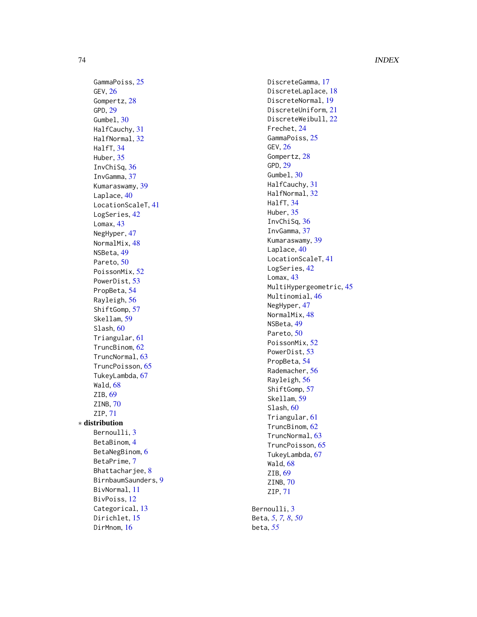GammaPoiss, [25](#page-24-0) GEV , [26](#page-25-0) Gompertz, [28](#page-27-0) GPD , [29](#page-28-0) Gumbel, [30](#page-29-0) HalfCauchy , [31](#page-30-0) HalfNormal , [32](#page-31-0) HalfT , [34](#page-33-0) Huber, [35](#page-34-0) InvChiSq , [36](#page-35-0) InvGamma , [37](#page-36-0) Kumaraswamy , [39](#page-38-0) Laplace, [40](#page-39-0) LocationScaleT , [41](#page-40-0) LogSeries, [42](#page-41-0) Lomax, [43](#page-42-0) NegHyper , [47](#page-46-0) NormalMix , [48](#page-47-0) NSBeta , [49](#page-48-0) Pareto, [50](#page-49-0) PoissonMix, [52](#page-51-0) PowerDist , [53](#page-52-0) PropBeta, [54](#page-53-0) Rayleigh , [56](#page-55-0) ShiftGomp , [57](#page-56-0) Skellam , [59](#page-58-0) Slash, [60](#page-59-0) Triangular , [61](#page-60-0) TruncBinom , [62](#page-61-0) TruncNormal , [63](#page-62-0) TruncPoisson , [65](#page-64-0) TukeyLambda , [67](#page-66-0) Wald , [68](#page-67-0) ZIB, [69](#page-68-0) ZINB , [70](#page-69-0) ZIP , [71](#page-70-0) ∗ distribution Bernoulli, [3](#page-2-0) BetaBinom , [4](#page-3-0) BetaNegBinom, [6](#page-5-0) BetaPrime , [7](#page-6-0) Bhattacharjee , [8](#page-7-0) BirnbaumSaunders , [9](#page-8-0) BivNormal , [11](#page-10-0) BivPoiss , [12](#page-11-0) Categorical, [13](#page-12-0) Dirichlet, [15](#page-14-0) DirMnom, [16](#page-15-0)

DiscreteGamma, [17](#page-16-0) DiscreteLaplace, [18](#page-17-0) DiscreteNormal , [19](#page-18-0) DiscreteUniform , [21](#page-20-0) DiscreteWeibull , [22](#page-21-0) Frechet , [24](#page-23-0) GammaPoiss , [25](#page-24-0) GEV,  $26$ Gompertz, [28](#page-27-0) GPD , [29](#page-28-0) Gumbel, [30](#page-29-0) HalfCauchy , [31](#page-30-0) HalfNormal , [32](#page-31-0) HalfT , [34](#page-33-0) Huber, [35](#page-34-0) InvChiSq , [36](#page-35-0) InvGamma , [37](#page-36-0) Kumaraswamy , [39](#page-38-0) Laplace, [40](#page-39-0) LocationScaleT , [41](#page-40-0) LogSeries, [42](#page-41-0) Lomax, [43](#page-42-0) MultiHypergeometric, [45](#page-44-0) Multinomial , [46](#page-45-0) NegHyper, [47](#page-46-0) NormalMix, [48](#page-47-0) NSBeta, [49](#page-48-0) Pareto, <mark>[50](#page-49-0)</mark> PoissonMix, [52](#page-51-0) PowerDist, [53](#page-52-0) PropBeta , [54](#page-53-0) Rademacher , [56](#page-55-0) Rayleigh, <mark>[56](#page-55-0)</mark> ShiftGomp , [57](#page-56-0) Skellam, [59](#page-58-0) Slash, [60](#page-59-0) Triangular , [61](#page-60-0) TruncBinom , [62](#page-61-0) TruncNormal , [63](#page-62-0) TruncPoisson , [65](#page-64-0) TukeyLambda , [67](#page-66-0) Wald , [68](#page-67-0) ZIB, [69](#page-68-0) ZINB , [70](#page-69-0) ZIP , [71](#page-70-0) Bernoulli, [3](#page-2-0) Beta , *[5](#page-4-0)* , *[7,](#page-6-0) [8](#page-7-0)* , *[50](#page-49-0)*

beta , *[55](#page-54-0)*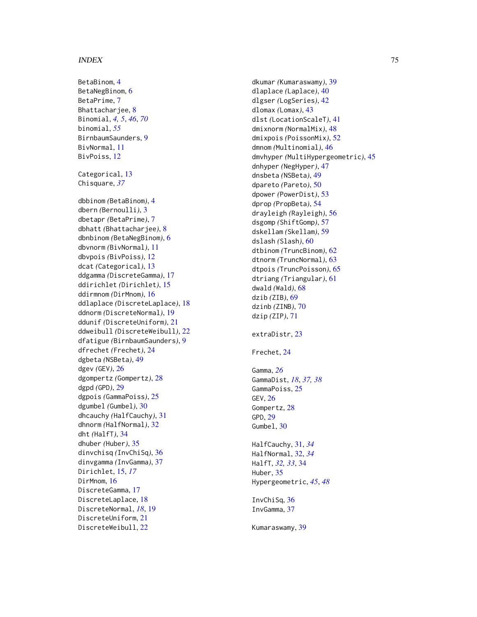BetaBinom, [4](#page-3-0) BetaNegBinom, [6](#page-5-0) BetaPrime , [7](#page-6-0) Bhattacharjee, <mark>[8](#page-7-0)</mark> Binomial , *[4](#page-3-0) , [5](#page-4-0)* , *[46](#page-45-0)* , *[70](#page-69-0)* binomial , *[55](#page-54-0)* BirnbaumSaunders , [9](#page-8-0) BivNormal, [11](#page-10-0) BivPoiss , [12](#page-11-0) Categorical, [13](#page-12-0) Chisquare , *[37](#page-36-0)* dbbinom *(*BetaBinom *)* , [4](#page-3-0) dbern *(*Bernoulli *)* , [3](#page-2-0) dbetapr *(*BetaPrime *)* , [7](#page-6-0) dbhatt *(*Bhattacharjee *)* , [8](#page-7-0) dbnbinom *(*BetaNegBinom *)* , [6](#page-5-0) dbvnorm *(*BivNormal *)* , [11](#page-10-0) dbvpois *(*BivPoiss *)* , [12](#page-11-0) dcat *(*Categorical *)* , [13](#page-12-0) ddgamma *(*DiscreteGamma *)* , [17](#page-16-0) ddirichlet *(*Dirichlet *)* , [15](#page-14-0) ddirmnom *(*DirMnom *)* , [16](#page-15-0) ddlaplace *(*DiscreteLaplace *)* , [18](#page-17-0) ddnorm *(*DiscreteNormal *)* , [19](#page-18-0) ddunif *(*DiscreteUniform *)* , [21](#page-20-0) ddweibull *(*DiscreteWeibull *)* , [22](#page-21-0) dfatigue *(*BirnbaumSaunders *)* , [9](#page-8-0) dfrechet *(*Frechet *)* , [24](#page-23-0) dgbeta *(*NSBeta *)* , [49](#page-48-0) dgev *(*GEV *)* , [26](#page-25-0) dgompertz *(*Gompertz *)* , [28](#page-27-0) dgpd *(*GPD *)* , [29](#page-28-0) dgpois *(*GammaPoiss *)* , [25](#page-24-0) dgumbel *(*Gumbel *)* , [30](#page-29-0) dhcauchy *(*HalfCauchy *)* , [31](#page-30-0) dhnorm *(*HalfNormal *)* , [32](#page-31-0) dht *(*HalfT *)* , [34](#page-33-0) dhuber *(*Huber *)* , [35](#page-34-0) dinvchisq *(*InvChiSq *)* , [36](#page-35-0) dinvgamma *(*InvGamma *)* , [37](#page-36-0) Dirichlet , [15](#page-14-0) , *[17](#page-16-0)* DirMnom, [16](#page-15-0) DiscreteGamma , [17](#page-16-0) DiscreteLaplace , [18](#page-17-0) DiscreteNormal , *[18](#page-17-0)* , [19](#page-18-0) DiscreteUniform , [21](#page-20-0) DiscreteWeibull , [22](#page-21-0)

dkumar *(*Kumaraswamy *)* , [39](#page-38-0) dlaplace *(*Laplace *)* , [40](#page-39-0) dlgser *(*LogSeries *)* , [42](#page-41-0) dlomax *(*Lomax *)* , [43](#page-42-0) dlst *(*LocationScaleT *)* , [41](#page-40-0) dmixnorm *(*NormalMix *)* , [48](#page-47-0) dmixpois *(*PoissonMix *)* , [52](#page-51-0) dmnom *(*Multinomial *)* , [46](#page-45-0) dmvhyper *(*MultiHypergeometric *)* , [45](#page-44-0) dnhyper *(*NegHyper *)* , [47](#page-46-0) dnsbeta *(*NSBeta *)* , [49](#page-48-0) dpareto *(*Pareto *)* , [50](#page-49-0) dpower *(*PowerDist *)* , [53](#page-52-0) dprop *(*PropBeta *)* , [54](#page-53-0) drayleigh *(*Rayleigh *)* , [56](#page-55-0) dsgomp *(*ShiftGomp *)* , [57](#page-56-0) dskellam *(*Skellam *)* , [59](#page-58-0) dslash *(*Slash *)* , [60](#page-59-0) dtbinom *(*TruncBinom *)* , [62](#page-61-0) dtnorm *(*TruncNormal *)* , [63](#page-62-0) dtpois *(*TruncPoisson *)* , [65](#page-64-0) dtriang *(*Triangular *)* , [61](#page-60-0) dwald *(*Wald *)* , [68](#page-67-0) dzib *(*ZIB *)* , [69](#page-68-0) dzinb *(*ZINB *)* , [70](#page-69-0) dzip *(*ZIP *)* , [71](#page-70-0) extraDistr , [23](#page-22-0) Frechet , [24](#page-23-0) Gamma , *[26](#page-25-0)* GammaDist , *[18](#page-17-0)* , *[37,](#page-36-0) [38](#page-37-0)* GammaPoiss , [25](#page-24-0) GEV,  $26$ Gompertz , [28](#page-27-0) GPD , [29](#page-28-0) Gumbel, [30](#page-29-0) HalfCauchy , [31](#page-30-0) , *[34](#page-33-0)* HalfNormal , [32](#page-31-0) , *[34](#page-33-0)* HalfT , *[32](#page-31-0) , [33](#page-32-0)* , [34](#page-33-0) Huber , [35](#page-34-0) Hypergeometric , *[45](#page-44-0)* , *[48](#page-47-0)* InvChiSq , [36](#page-35-0) InvGamma , [37](#page-36-0) Kumaraswamy , [39](#page-38-0)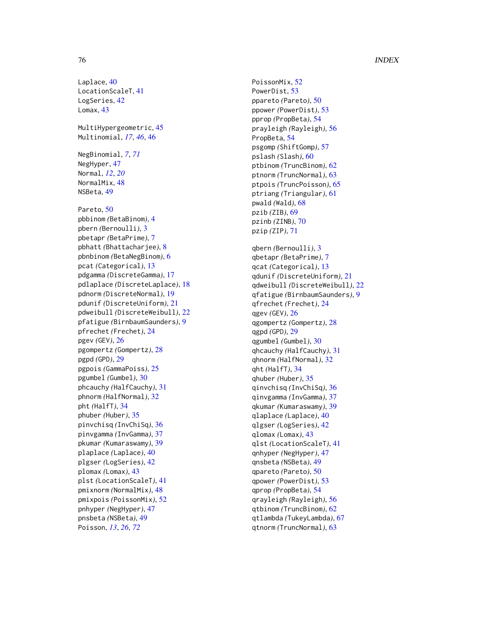Laplace, [40](#page-39-0) LocationScaleT , [41](#page-40-0) LogSeries, [42](#page-41-0) Lomax, [43](#page-42-0) MultiHypergeometric, [45](#page-44-0) Multinomial , *[17](#page-16-0)* , *[46](#page-45-0)* , [46](#page-45-0) NegBinomial , *[7](#page-6-0)* , *[71](#page-70-0)* NegHyper, [47](#page-46-0) Normal , *[12](#page-11-0)* , *[20](#page-19-0)* NormalMix, [48](#page-47-0) NSBeta, [49](#page-48-0) Pareto, <mark>5</mark>0 pbbinom *(*BetaBinom *)* , [4](#page-3-0) pbern *(*Bernoulli *)* , [3](#page-2-0) pbetapr *(*BetaPrime *)* , [7](#page-6-0) pbhatt *(*Bhattacharjee *)* , [8](#page-7-0) pbnbinom *(*BetaNegBinom *)* , [6](#page-5-0) pcat *(*Categorical *)* , [13](#page-12-0) pdgamma *(*DiscreteGamma *)* , [17](#page-16-0) pdlaplace *(*DiscreteLaplace *)* , [18](#page-17-0) pdnorm *(*DiscreteNormal *)* , [19](#page-18-0) pdunif *(*DiscreteUniform *)* , [21](#page-20-0) pdweibull *(*DiscreteWeibull *)* , [22](#page-21-0) pfatigue *(*BirnbaumSaunders *)* , [9](#page-8-0) pfrechet *(*Frechet *)* , [24](#page-23-0) pgev *(*GEV *)* , [26](#page-25-0) pgompertz *(*Gompertz *)* , [28](#page-27-0) pgpd *(*GPD *)* , [29](#page-28-0) pgpois *(*GammaPoiss *)* , [25](#page-24-0) pgumbel *(*Gumbel *)* , [30](#page-29-0) phcauchy *(*HalfCauchy *)* , [31](#page-30-0) phnorm *(*HalfNormal *)* , [32](#page-31-0) pht *(*HalfT *)* , [34](#page-33-0) phuber *(*Huber *)* , [35](#page-34-0) pinvchisq *(*InvChiSq *)* , [36](#page-35-0) pinvgamma *(*InvGamma *)* , [37](#page-36-0) pkumar *(*Kumaraswamy *)* , [39](#page-38-0) plaplace *(*Laplace *)* , [40](#page-39-0) plgser *(*LogSeries *)* , [42](#page-41-0) plomax *(*Lomax *)* , [43](#page-42-0) plst *(*LocationScaleT *)* , [41](#page-40-0) pmixnorm *(*NormalMix *)* , [48](#page-47-0) pmixpois *(*PoissonMix *)* , [52](#page-51-0) pnhyper *(*NegHyper *)* , [47](#page-46-0) pnsbeta *(*NSBeta *)* , [49](#page-48-0) Poisson , *[13](#page-12-0)* , *[26](#page-25-0)* , *[72](#page-71-0)*

PoissonMix, [52](#page-51-0) PowerDist, [53](#page-52-0) ppareto *(*Pareto *)* , [50](#page-49-0) ppower *(*PowerDist *)* , [53](#page-52-0) pprop *(*PropBeta *)* , [54](#page-53-0) prayleigh *(*Rayleigh *)* , [56](#page-55-0) PropBeta , [54](#page-53-0) psgomp *(*ShiftGomp *)* , [57](#page-56-0) pslash *(*Slash *)* , [60](#page-59-0) ptbinom *(*TruncBinom *)* , [62](#page-61-0) ptnorm *(*TruncNormal *)* , [63](#page-62-0) ptpois *(*TruncPoisson *)* , [65](#page-64-0) ptriang *(*Triangular *)* , [61](#page-60-0) pwald *(*Wald *)* , [68](#page-67-0) pzib *(*ZIB *)* , [69](#page-68-0) pzinb *(*ZINB *)* , [70](#page-69-0) pzip *(*ZIP *)* , [71](#page-70-0) qbern *(*Bernoulli *)* , [3](#page-2-0) qbetapr *(*BetaPrime *)* , [7](#page-6-0) qcat *(*Categorical *)* , [13](#page-12-0) qdunif *(*DiscreteUniform *)* , [21](#page-20-0) qdweibull *(*DiscreteWeibull *)* , [22](#page-21-0) qfatigue *(*BirnbaumSaunders *)* , [9](#page-8-0) qfrechet *(*Frechet *)* , [24](#page-23-0) qgev *(*GEV *)* , [26](#page-25-0) qgompertz *(*Gompertz *)* , [28](#page-27-0) qgpd *(*GPD *)* , [29](#page-28-0) qgumbel *(*Gumbel *)* , [30](#page-29-0) qhcauchy *(*HalfCauchy *)* , [31](#page-30-0) qhnorm *(*HalfNormal *)* , [32](#page-31-0) qht *(*HalfT *)* , [34](#page-33-0) qhuber *(*Huber *)* , [35](#page-34-0) qinvchisq *(*InvChiSq *)* , [36](#page-35-0) qinvgamma *(*InvGamma *)* , [37](#page-36-0) qkumar *(*Kumaraswamy *)* , [39](#page-38-0) qlaplace *(*Laplace *)* , [40](#page-39-0) qlgser *(*LogSeries *)* , [42](#page-41-0) qlomax *(*Lomax *)* , [43](#page-42-0) qlst *(*LocationScaleT *)* , [41](#page-40-0) qnhyper *(*NegHyper *)* , [47](#page-46-0) qnsbeta *(*NSBeta *)* , [49](#page-48-0) qpareto *(*Pareto *)* , [50](#page-49-0) qpower *(*PowerDist *)* , [53](#page-52-0) qprop *(*PropBeta *)* , [54](#page-53-0) qrayleigh *(*Rayleigh *)* , [56](#page-55-0) qtbinom *(*TruncBinom *)* , [62](#page-61-0) qtlambda *(*TukeyLambda *)* , [67](#page-66-0) qtnorm *(*TruncNormal *)* , [63](#page-62-0)